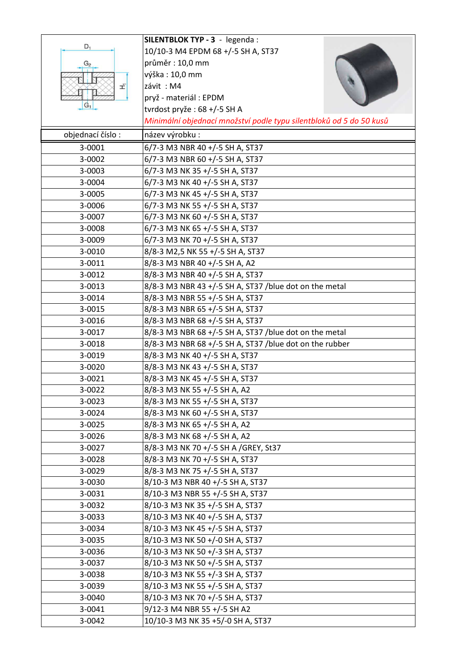|                  | SILENTBLOK TYP - 3 - legenda :                                      |
|------------------|---------------------------------------------------------------------|
| D,               | 10/10-3 M4 EPDM 68 +/-5 SH A, ST37                                  |
| G2               | průměr: 10,0 mm                                                     |
|                  | výška: 10,0 mm                                                      |
| £                | závit: M4                                                           |
|                  | pryž - materiál : EPDM                                              |
| $G_1$            | tvrdost pryže: 68 +/-5 SH A                                         |
|                  | Minimální objednací množství podle typu silentbloků od 5 do 50 kusů |
| objednací číslo: | název výrobku :                                                     |
| 3-0001           | 6/7-3 M3 NBR 40 +/-5 SH A, ST37                                     |
| 3-0002           | 6/7-3 M3 NBR 60 +/-5 SH A, ST37                                     |
| 3-0003           | 6/7-3 M3 NK 35 +/-5 SH A, ST37                                      |
| 3-0004           | 6/7-3 M3 NK 40 +/-5 SH A, ST37                                      |
| 3-0005           | 6/7-3 M3 NK 45 +/-5 SH A, ST37                                      |
| 3-0006           | 6/7-3 M3 NK 55 +/-5 SH A, ST37                                      |
| 3-0007           | 6/7-3 M3 NK 60 +/-5 SH A, ST37                                      |
| 3-0008           | 6/7-3 M3 NK 65 +/-5 SH A, ST37                                      |
|                  | 6/7-3 M3 NK 70 +/-5 SH A, ST37                                      |
| 3-0009<br>3-0010 | 8/8-3 M2,5 NK 55 +/-5 SH A, ST37                                    |
|                  |                                                                     |
| 3-0011           | 8/8-3 M3 NBR 40 +/-5 SH A, A2                                       |
| 3-0012           | 8/8-3 M3 NBR 40 +/-5 SH A, ST37                                     |
| 3-0013           | 8/8-3 M3 NBR 43 +/-5 SH A, ST37 /blue dot on the metal              |
| 3-0014           | 8/8-3 M3 NBR 55 +/-5 SH A, ST37                                     |
| 3-0015           | 8/8-3 M3 NBR 65 +/-5 SH A, ST37                                     |
| 3-0016           | 8/8-3 M3 NBR 68 +/-5 SH A, ST37                                     |
| 3-0017           | 8/8-3 M3 NBR 68 +/-5 SH A, ST37 /blue dot on the metal              |
| 3-0018           | 8/8-3 M3 NBR 68 +/-5 SH A, ST37 /blue dot on the rubber             |
| 3-0019           | 8/8-3 M3 NK 40 +/-5 SH A, ST37                                      |
| 3-0020           | 8/8-3 M3 NK 43 +/-5 SH A, ST37                                      |
| 3-0021           | 8/8-3 M3 NK 45 +/-5 SH A, ST37                                      |
| 3-0022           | 8/8-3 M3 NK 55 +/-5 SH A, A2                                        |
| 3-0023           | 8/8-3 M3 NK 55 +/-5 SH A, ST37                                      |
| 3-0024           | 8/8-3 M3 NK 60 +/-5 SH A, ST37                                      |
| 3-0025           | 8/8-3 M3 NK 65 +/-5 SH A, A2                                        |
| 3-0026           | 8/8-3 M3 NK 68 +/-5 SH A, A2                                        |
| 3-0027           | 8/8-3 M3 NK 70 +/-5 SH A /GREY, St37                                |
| 3-0028           | 8/8-3 M3 NK 70 +/-5 SH A, ST37                                      |
| 3-0029           | 8/8-3 M3 NK 75 +/-5 SH A, ST37                                      |
| 3-0030           | 8/10-3 M3 NBR 40 +/-5 SH A, ST37                                    |
| 3-0031           | 8/10-3 M3 NBR 55 +/-5 SH A, ST37                                    |
| 3-0032           | 8/10-3 M3 NK 35 +/-5 SH A, ST37                                     |
| 3-0033           | 8/10-3 M3 NK 40 +/-5 SH A, ST37                                     |
| 3-0034           | 8/10-3 M3 NK 45 +/-5 SH A, ST37                                     |
| 3-0035           | 8/10-3 M3 NK 50 +/-0 SH A, ST37                                     |
| 3-0036           | 8/10-3 M3 NK 50 +/-3 SH A, ST37                                     |
| 3-0037           | 8/10-3 M3 NK 50 +/-5 SH A, ST37                                     |
| 3-0038           | 8/10-3 M3 NK 55 +/-3 SH A, ST37                                     |
| 3-0039           | 8/10-3 M3 NK 55 +/-5 SH A, ST37                                     |
| 3-0040           | 8/10-3 M3 NK 70 +/-5 SH A, ST37                                     |
| 3-0041           | 9/12-3 M4 NBR 55 +/-5 SH A2                                         |
| 3-0042           | 10/10-3 M3 NK 35 +5/-0 SH A, ST37                                   |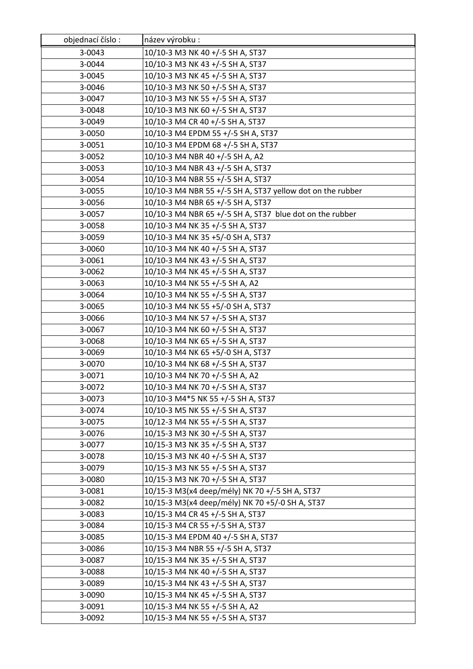| objednací číslo: | název výrobku :                                            |
|------------------|------------------------------------------------------------|
| 3-0043           | 10/10-3 M3 NK 40 +/-5 SH A, ST37                           |
| 3-0044           | 10/10-3 M3 NK 43 +/-5 SH A, ST37                           |
| 3-0045           | 10/10-3 M3 NK 45 +/-5 SH A, ST37                           |
| 3-0046           | 10/10-3 M3 NK 50 +/-5 SH A, ST37                           |
| 3-0047           | 10/10-3 M3 NK 55 +/-5 SH A, ST37                           |
| 3-0048           | 10/10-3 M3 NK 60 +/-5 SH A, ST37                           |
| 3-0049           | 10/10-3 M4 CR 40 +/-5 SH A, ST37                           |
| 3-0050           | 10/10-3 M4 EPDM 55 +/-5 SH A, ST37                         |
| 3-0051           | 10/10-3 M4 EPDM 68 +/-5 SH A, ST37                         |
| 3-0052           | 10/10-3 M4 NBR 40 +/-5 SH A, A2                            |
| 3-0053           | 10/10-3 M4 NBR 43 +/-5 SH A, ST37                          |
| 3-0054           | 10/10-3 M4 NBR 55 +/-5 SH A, ST37                          |
| 3-0055           | 10/10-3 M4 NBR 55 +/-5 SH A, ST37 yellow dot on the rubber |
| 3-0056           | 10/10-3 M4 NBR 65 +/-5 SH A, ST37                          |
| 3-0057           | 10/10-3 M4 NBR 65 +/-5 SH A, ST37 blue dot on the rubber   |
| 3-0058           | 10/10-3 M4 NK 35 +/-5 SH A, ST37                           |
| 3-0059           | 10/10-3 M4 NK 35 +5/-0 SH A, ST37                          |
| 3-0060           | 10/10-3 M4 NK 40 +/-5 SH A, ST37                           |
| 3-0061           | 10/10-3 M4 NK 43 +/-5 SH A, ST37                           |
| 3-0062           | 10/10-3 M4 NK 45 +/-5 SH A, ST37                           |
| 3-0063           | 10/10-3 M4 NK 55 +/-5 SH A, A2                             |
| 3-0064           | 10/10-3 M4 NK 55 +/-5 SH A, ST37                           |
| 3-0065           | 10/10-3 M4 NK 55 +5/-0 SH A, ST37                          |
| 3-0066           | 10/10-3 M4 NK 57 +/-5 SH A, ST37                           |
| 3-0067           | 10/10-3 M4 NK 60 +/-5 SH A, ST37                           |
| 3-0068           | 10/10-3 M4 NK 65 +/-5 SH A, ST37                           |
| 3-0069           | 10/10-3 M4 NK 65 +5/-0 SH A, ST37                          |
| 3-0070           | 10/10-3 M4 NK 68 +/-5 SH A, ST37                           |
| 3-0071           | 10/10-3 M4 NK 70 +/-5 SH A, A2                             |
| 3-0072           | 10/10-3 M4 NK 70 +/-5 SH A, ST37                           |
| 3-0073           | 10/10-3 M4*5 NK 55 +/-5 SH A, ST37                         |
| 3-0074           | 10/10-3 M5 NK 55 +/-5 SH A, ST37                           |
| 3-0075           | 10/12-3 M4 NK 55 +/-5 SH A, ST37                           |
| 3-0076           | 10/15-3 M3 NK 30 +/-5 SH A, ST37                           |
| 3-0077           | 10/15-3 M3 NK 35 +/-5 SH A, ST37                           |
| 3-0078           | 10/15-3 M3 NK 40 +/-5 SH A, ST37                           |
| 3-0079           | 10/15-3 M3 NK 55 +/-5 SH A, ST37                           |
| 3-0080           | 10/15-3 M3 NK 70 +/-5 SH A, ST37                           |
| 3-0081           | 10/15-3 M3(x4 deep/mély) NK 70 +/-5 SH A, ST37             |
| 3-0082           | 10/15-3 M3(x4 deep/mély) NK 70 +5/-0 SH A, ST37            |
| 3-0083           | 10/15-3 M4 CR 45 +/-5 SH A, ST37                           |
| 3-0084           | 10/15-3 M4 CR 55 +/-5 SH A, ST37                           |
| 3-0085           | 10/15-3 M4 EPDM 40 +/-5 SH A, ST37                         |
| 3-0086           | 10/15-3 M4 NBR 55 +/-5 SH A, ST37                          |
| 3-0087           | 10/15-3 M4 NK 35 +/-5 SH A, ST37                           |
| 3-0088           | 10/15-3 M4 NK 40 +/-5 SH A, ST37                           |
| 3-0089           | 10/15-3 M4 NK 43 +/-5 SH A, ST37                           |
| 3-0090           | 10/15-3 M4 NK 45 +/-5 SH A, ST37                           |
| 3-0091           | 10/15-3 M4 NK 55 +/-5 SH A, A2                             |
| 3-0092           | 10/15-3 M4 NK 55 +/-5 SH A, ST37                           |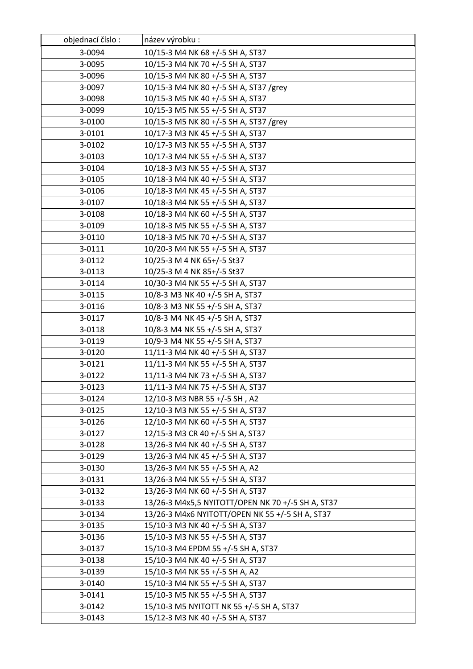| objednací číslo: | název výrobku :                                   |
|------------------|---------------------------------------------------|
| 3-0094           | 10/15-3 M4 NK 68 +/-5 SH A, ST37                  |
| 3-0095           | 10/15-3 M4 NK 70 +/-5 SH A, ST37                  |
| 3-0096           | 10/15-3 M4 NK 80 +/-5 SH A, ST37                  |
| 3-0097           | 10/15-3 M4 NK 80 +/-5 SH A, ST37 /grey            |
| 3-0098           | 10/15-3 M5 NK 40 +/-5 SH A, ST37                  |
| 3-0099           | 10/15-3 M5 NK 55 +/-5 SH A, ST37                  |
| 3-0100           | 10/15-3 M5 NK 80 +/-5 SH A, ST37 /grey            |
| 3-0101           | 10/17-3 M3 NK 45 +/-5 SH A, ST37                  |
| 3-0102           | 10/17-3 M3 NK 55 +/-5 SH A, ST37                  |
| 3-0103           | 10/17-3 M4 NK 55 +/-5 SH A, ST37                  |
| 3-0104           | 10/18-3 M3 NK 55 +/-5 SH A, ST37                  |
| 3-0105           | 10/18-3 M4 NK 40 +/-5 SH A, ST37                  |
| 3-0106           | 10/18-3 M4 NK 45 +/-5 SH A, ST37                  |
| 3-0107           | 10/18-3 M4 NK 55 +/-5 SH A, ST37                  |
| 3-0108           | 10/18-3 M4 NK 60 +/-5 SH A, ST37                  |
| 3-0109           | 10/18-3 M5 NK 55 +/-5 SH A, ST37                  |
| 3-0110           | 10/18-3 M5 NK 70 +/-5 SH A, ST37                  |
| 3-0111           | 10/20-3 M4 NK 55 +/-5 SH A, ST37                  |
| 3-0112           | 10/25-3 M 4 NK 65+/-5 St37                        |
| 3-0113           | 10/25-3 M 4 NK 85+/-5 St37                        |
| 3-0114           | 10/30-3 M4 NK 55 +/-5 SH A, ST37                  |
| 3-0115           | 10/8-3 M3 NK 40 +/-5 SH A, ST37                   |
| 3-0116           | 10/8-3 M3 NK 55 +/-5 SH A, ST37                   |
| 3-0117           | 10/8-3 M4 NK 45 +/-5 SH A, ST37                   |
| 3-0118           | 10/8-3 M4 NK 55 +/-5 SH A, ST37                   |
| 3-0119           | 10/9-3 M4 NK 55 +/-5 SH A, ST37                   |
| 3-0120           | 11/11-3 M4 NK 40 +/-5 SH A, ST37                  |
| 3-0121           | 11/11-3 M4 NK 55 +/-5 SH A, ST37                  |
| 3-0122           | 11/11-3 M4 NK 73 +/-5 SH A, ST37                  |
| 3-0123           | 11/11-3 M4 NK 75 +/-5 SH A, ST37                  |
| 3-0124           | 12/10-3 M3 NBR 55 +/-5 SH, A2                     |
| 3-0125           | 12/10-3 M3 NK 55 +/-5 SH A, ST37                  |
| 3-0126           | 12/10-3 M4 NK 60 +/-5 SH A, ST37                  |
| 3-0127           | 12/15-3 M3 CR 40 +/-5 SH A, ST37                  |
| 3-0128           | 13/26-3 M4 NK 40 +/-5 SH A, ST37                  |
| 3-0129           | 13/26-3 M4 NK 45 +/-5 SH A, ST37                  |
| 3-0130           | 13/26-3 M4 NK 55 +/-5 SH A, A2                    |
| 3-0131           | 13/26-3 M4 NK 55 +/-5 SH A, ST37                  |
| 3-0132           | 13/26-3 M4 NK 60 +/-5 SH A, ST37                  |
| 3-0133           | 13/26-3 M4x5,5 NYITOTT/OPEN NK 70 +/-5 SH A, ST37 |
| 3-0134           | 13/26-3 M4x6 NYITOTT/OPEN NK 55 +/-5 SH A, ST37   |
| 3-0135           | 15/10-3 M3 NK 40 +/-5 SH A, ST37                  |
| 3-0136           | 15/10-3 M3 NK 55 +/-5 SH A, ST37                  |
| 3-0137           | 15/10-3 M4 EPDM 55 +/-5 SH A, ST37                |
| 3-0138           | 15/10-3 M4 NK 40 +/-5 SH A, ST37                  |
| 3-0139           | 15/10-3 M4 NK 55 +/-5 SH A, A2                    |
| 3-0140           | 15/10-3 M4 NK 55 +/-5 SH A, ST37                  |
| 3-0141           | 15/10-3 M5 NK 55 +/-5 SH A, ST37                  |
| 3-0142           | 15/10-3 M5 NYITOTT NK 55 +/-5 SH A, ST37          |
| 3-0143           | 15/12-3 M3 NK 40 +/-5 SH A, ST37                  |
|                  |                                                   |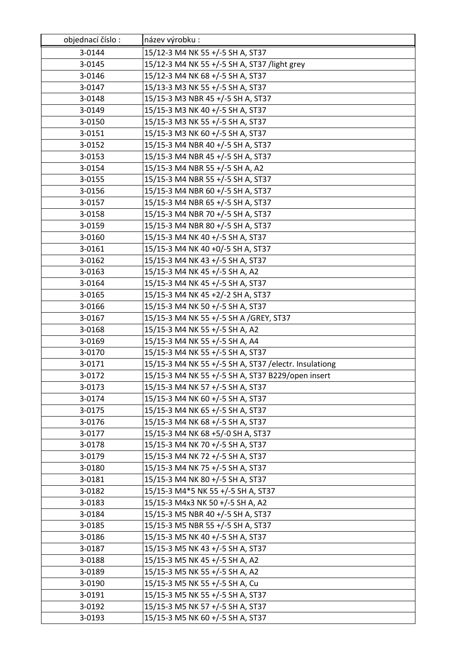| objednací číslo: | název výrobku :                                        |
|------------------|--------------------------------------------------------|
| 3-0144           | 15/12-3 M4 NK 55 +/-5 SH A, ST37                       |
| 3-0145           | 15/12-3 M4 NK 55 +/-5 SH A, ST37 /light grey           |
| 3-0146           | 15/12-3 M4 NK 68 +/-5 SH A, ST37                       |
| 3-0147           | 15/13-3 M3 NK 55 +/-5 SH A, ST37                       |
| 3-0148           | 15/15-3 M3 NBR 45 +/-5 SH A, ST37                      |
| 3-0149           | 15/15-3 M3 NK 40 +/-5 SH A, ST37                       |
| 3-0150           | 15/15-3 M3 NK 55 +/-5 SH A, ST37                       |
| 3-0151           | 15/15-3 M3 NK 60 +/-5 SH A, ST37                       |
| 3-0152           | 15/15-3 M4 NBR 40 +/-5 SH A, ST37                      |
| 3-0153           | 15/15-3 M4 NBR 45 +/-5 SH A, ST37                      |
| 3-0154           | 15/15-3 M4 NBR 55 +/-5 SH A, A2                        |
| 3-0155           | 15/15-3 M4 NBR 55 +/-5 SH A, ST37                      |
| 3-0156           | 15/15-3 M4 NBR 60 +/-5 SH A, ST37                      |
| 3-0157           | 15/15-3 M4 NBR 65 +/-5 SH A, ST37                      |
| 3-0158           | 15/15-3 M4 NBR 70 +/-5 SH A, ST37                      |
| 3-0159           | 15/15-3 M4 NBR 80 +/-5 SH A, ST37                      |
| 3-0160           | 15/15-3 M4 NK 40 +/-5 SH A, ST37                       |
| 3-0161           | 15/15-3 M4 NK 40 +0/-5 SH A, ST37                      |
| 3-0162           | 15/15-3 M4 NK 43 +/-5 SH A, ST37                       |
| 3-0163           | 15/15-3 M4 NK 45 +/-5 SH A, A2                         |
| 3-0164           | 15/15-3 M4 NK 45 +/-5 SH A, ST37                       |
| 3-0165           | 15/15-3 M4 NK 45 +2/-2 SH A, ST37                      |
| 3-0166           | 15/15-3 M4 NK 50 +/-5 SH A, ST37                       |
| 3-0167           | 15/15-3 M4 NK 55 +/-5 SH A /GREY, ST37                 |
| 3-0168           | 15/15-3 M4 NK 55 +/-5 SH A, A2                         |
| 3-0169           | 15/15-3 M4 NK 55 +/-5 SH A, A4                         |
| 3-0170           | 15/15-3 M4 NK 55 +/-5 SH A, ST37                       |
| 3-0171           | 15/15-3 M4 NK 55 +/-5 SH A, ST37 / electr. Insulationg |
| 3-0172           | 15/15-3 M4 NK 55 +/-5 SH A, ST37 B229/open insert      |
| 3-0173           | 15/15-3 M4 NK 57 +/-5 SH A, ST37                       |
| 3-0174           | 15/15-3 M4 NK 60 +/-5 SH A, ST37                       |
| 3-0175           | 15/15-3 M4 NK 65 +/-5 SH A, ST37                       |
| 3-0176           | 15/15-3 M4 NK 68 +/-5 SH A, ST37                       |
| 3-0177           | 15/15-3 M4 NK 68 +5/-0 SH A, ST37                      |
| 3-0178           | 15/15-3 M4 NK 70 +/-5 SH A, ST37                       |
| 3-0179           | 15/15-3 M4 NK 72 +/-5 SH A, ST37                       |
| 3-0180           | 15/15-3 M4 NK 75 +/-5 SH A, ST37                       |
| 3-0181           | 15/15-3 M4 NK 80 +/-5 SH A, ST37                       |
| 3-0182           | 15/15-3 M4*5 NK 55 +/-5 SH A, ST37                     |
| 3-0183           | 15/15-3 M4x3 NK 50 +/-5 SH A, A2                       |
| 3-0184           | 15/15-3 M5 NBR 40 +/-5 SH A, ST37                      |
| 3-0185           | 15/15-3 M5 NBR 55 +/-5 SH A, ST37                      |
| 3-0186           | 15/15-3 M5 NK 40 +/-5 SH A, ST37                       |
| 3-0187           | 15/15-3 M5 NK 43 +/-5 SH A, ST37                       |
| 3-0188           | 15/15-3 M5 NK 45 +/-5 SH A, A2                         |
| 3-0189           | 15/15-3 M5 NK 55 +/-5 SH A, A2                         |
| 3-0190           | 15/15-3 M5 NK 55 +/-5 SH A, Cu                         |
| 3-0191           | 15/15-3 M5 NK 55 +/-5 SH A, ST37                       |
| 3-0192           | 15/15-3 M5 NK 57 +/-5 SH A, ST37                       |
| 3-0193           | 15/15-3 M5 NK 60 +/-5 SH A, ST37                       |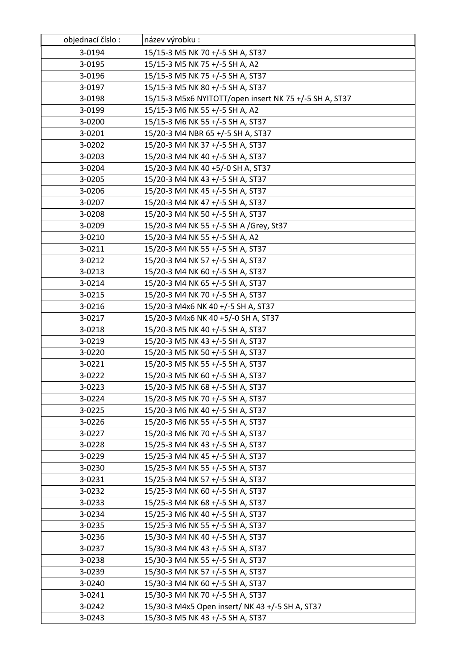| objednací číslo: | název výrobku :                                        |
|------------------|--------------------------------------------------------|
| 3-0194           | 15/15-3 M5 NK 70 +/-5 SH A, ST37                       |
| 3-0195           | 15/15-3 M5 NK 75 +/-5 SH A, A2                         |
| 3-0196           | 15/15-3 M5 NK 75 +/-5 SH A, ST37                       |
| 3-0197           | 15/15-3 M5 NK 80 +/-5 SH A, ST37                       |
| 3-0198           | 15/15-3 M5x6 NYITOTT/open insert NK 75 +/-5 SH A, ST37 |
| 3-0199           | 15/15-3 M6 NK 55 +/-5 SH A, A2                         |
| 3-0200           | 15/15-3 M6 NK 55 +/-5 SH A, ST37                       |
| 3-0201           | 15/20-3 M4 NBR 65 +/-5 SH A, ST37                      |
| 3-0202           | 15/20-3 M4 NK 37 +/-5 SH A, ST37                       |
| 3-0203           | 15/20-3 M4 NK 40 +/-5 SH A, ST37                       |
| 3-0204           | 15/20-3 M4 NK 40 +5/-0 SH A, ST37                      |
| 3-0205           | 15/20-3 M4 NK 43 +/-5 SH A, ST37                       |
| 3-0206           | 15/20-3 M4 NK 45 +/-5 SH A, ST37                       |
| 3-0207           | 15/20-3 M4 NK 47 +/-5 SH A, ST37                       |
| 3-0208           | 15/20-3 M4 NK 50 +/-5 SH A, ST37                       |
| 3-0209           | 15/20-3 M4 NK 55 +/-5 SH A /Grey, St37                 |
| 3-0210           | 15/20-3 M4 NK 55 +/-5 SH A, A2                         |
| 3-0211           | 15/20-3 M4 NK 55 +/-5 SH A, ST37                       |
| 3-0212           | 15/20-3 M4 NK 57 +/-5 SH A, ST37                       |
| 3-0213           | 15/20-3 M4 NK 60 +/-5 SH A, ST37                       |
| 3-0214           | 15/20-3 M4 NK 65 +/-5 SH A, ST37                       |
| 3-0215           | 15/20-3 M4 NK 70 +/-5 SH A, ST37                       |
| 3-0216           | 15/20-3 M4x6 NK 40 +/-5 SH A, ST37                     |
| 3-0217           | 15/20-3 M4x6 NK 40 +5/-0 SH A, ST37                    |
| 3-0218           | 15/20-3 M5 NK 40 +/-5 SH A, ST37                       |
| 3-0219           | 15/20-3 M5 NK 43 +/-5 SH A, ST37                       |
| 3-0220           | 15/20-3 M5 NK 50 +/-5 SH A, ST37                       |
| 3-0221           | 15/20-3 M5 NK 55 +/-5 SH A, ST37                       |
| 3-0222           | 15/20-3 M5 NK 60 +/-5 SH A, ST37                       |
| 3-0223           | 15/20-3 M5 NK 68 +/-5 SH A, ST37                       |
| 3-0224           | 15/20-3 M5 NK 70 +/-5 SH A, ST37                       |
| 3-0225           | 15/20-3 M6 NK 40 +/-5 SH A, ST37                       |
| 3-0226           | 15/20-3 M6 NK 55 +/-5 SH A, ST37                       |
| 3-0227           | 15/20-3 M6 NK 70 +/-5 SH A, ST37                       |
| 3-0228           | 15/25-3 M4 NK 43 +/-5 SH A, ST37                       |
| 3-0229           | 15/25-3 M4 NK 45 +/-5 SH A, ST37                       |
| 3-0230           | 15/25-3 M4 NK 55 +/-5 SH A, ST37                       |
| 3-0231           | 15/25-3 M4 NK 57 +/-5 SH A, ST37                       |
| 3-0232           | 15/25-3 M4 NK 60 +/-5 SH A, ST37                       |
| 3-0233           | 15/25-3 M4 NK 68 +/-5 SH A, ST37                       |
| 3-0234           | 15/25-3 M6 NK 40 +/-5 SH A, ST37                       |
| 3-0235           | 15/25-3 M6 NK 55 +/-5 SH A, ST37                       |
| 3-0236           | 15/30-3 M4 NK 40 +/-5 SH A, ST37                       |
| 3-0237           | 15/30-3 M4 NK 43 +/-5 SH A, ST37                       |
| 3-0238           | 15/30-3 M4 NK 55 +/-5 SH A, ST37                       |
| 3-0239           | 15/30-3 M4 NK 57 +/-5 SH A, ST37                       |
| 3-0240           | 15/30-3 M4 NK 60 +/-5 SH A, ST37                       |
| 3-0241           | 15/30-3 M4 NK 70 +/-5 SH A, ST37                       |
| 3-0242           | 15/30-3 M4x5 Open insert/ NK 43 +/-5 SH A, ST37        |
| 3-0243           | 15/30-3 M5 NK 43 +/-5 SH A, ST37                       |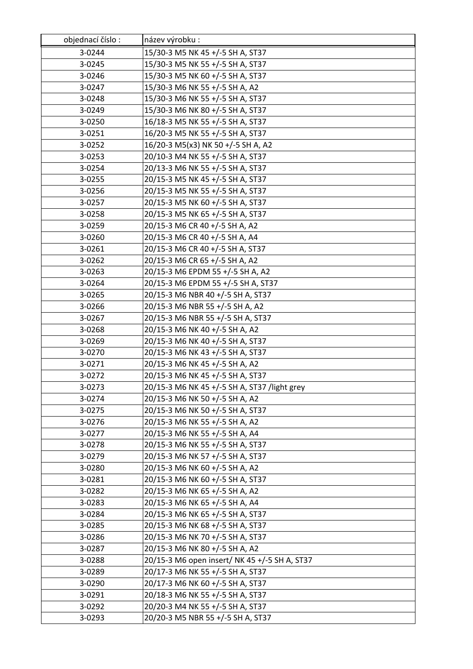| objednací číslo: | název výrobku :                               |
|------------------|-----------------------------------------------|
| 3-0244           | 15/30-3 M5 NK 45 +/-5 SH A, ST37              |
| 3-0245           | 15/30-3 M5 NK 55 +/-5 SH A, ST37              |
| 3-0246           | 15/30-3 M5 NK 60 +/-5 SH A, ST37              |
| 3-0247           | 15/30-3 M6 NK 55 +/-5 SH A, A2                |
| 3-0248           | 15/30-3 M6 NK 55 +/-5 SH A, ST37              |
| 3-0249           | 15/30-3 M6 NK 80 +/-5 SH A, ST37              |
| 3-0250           | 16/18-3 M5 NK 55 +/-5 SH A, ST37              |
| 3-0251           | 16/20-3 M5 NK 55 +/-5 SH A, ST37              |
| 3-0252           | 16/20-3 M5(x3) NK 50 +/-5 SH A, A2            |
| 3-0253           | 20/10-3 M4 NK 55 +/-5 SH A, ST37              |
| 3-0254           | 20/13-3 M6 NK 55 +/-5 SH A, ST37              |
| 3-0255           | 20/15-3 M5 NK 45 +/-5 SH A, ST37              |
| 3-0256           | 20/15-3 M5 NK 55 +/-5 SH A, ST37              |
| 3-0257           | 20/15-3 M5 NK 60 +/-5 SH A, ST37              |
| 3-0258           | 20/15-3 M5 NK 65 +/-5 SH A, ST37              |
| 3-0259           | 20/15-3 M6 CR 40 +/-5 SH A, A2                |
| 3-0260           | 20/15-3 M6 CR 40 +/-5 SH A, A4                |
| 3-0261           | 20/15-3 M6 CR 40 +/-5 SH A, ST37              |
| 3-0262           | 20/15-3 M6 CR 65 +/-5 SH A, A2                |
| 3-0263           | 20/15-3 M6 EPDM 55 +/-5 SH A, A2              |
| 3-0264           | 20/15-3 M6 EPDM 55 +/-5 SH A, ST37            |
| 3-0265           | 20/15-3 M6 NBR 40 +/-5 SH A, ST37             |
| 3-0266           | 20/15-3 M6 NBR 55 +/-5 SH A, A2               |
| 3-0267           | 20/15-3 M6 NBR 55 +/-5 SH A, ST37             |
| 3-0268           | 20/15-3 M6 NK 40 +/-5 SH A, A2                |
| 3-0269           | 20/15-3 M6 NK 40 +/-5 SH A, ST37              |
| 3-0270           | 20/15-3 M6 NK 43 +/-5 SH A, ST37              |
| 3-0271           | 20/15-3 M6 NK 45 +/-5 SH A, A2                |
| 3-0272           | 20/15-3 M6 NK 45 +/-5 SH A, ST37              |
| 3-0273           | 20/15-3 M6 NK 45 +/-5 SH A, ST37 /light grey  |
| 3-0274           | 20/15-3 M6 NK 50 +/-5 SH A, A2                |
| 3-0275           | 20/15-3 M6 NK 50 +/-5 SH A, ST37              |
| 3-0276           | 20/15-3 M6 NK 55 +/-5 SH A, A2                |
| 3-0277           | 20/15-3 M6 NK 55 +/-5 SH A, A4                |
| 3-0278           | 20/15-3 M6 NK 55 +/-5 SH A, ST37              |
| 3-0279           | 20/15-3 M6 NK 57 +/-5 SH A, ST37              |
| 3-0280           | 20/15-3 M6 NK 60 +/-5 SH A, A2                |
| 3-0281           | 20/15-3 M6 NK 60 +/-5 SH A, ST37              |
| 3-0282           | 20/15-3 M6 NK 65 +/-5 SH A, A2                |
| 3-0283           | 20/15-3 M6 NK 65 +/-5 SH A, A4                |
| 3-0284           | 20/15-3 M6 NK 65 +/-5 SH A, ST37              |
| 3-0285           | 20/15-3 M6 NK 68 +/-5 SH A, ST37              |
| 3-0286           | 20/15-3 M6 NK 70 +/-5 SH A, ST37              |
| 3-0287           | 20/15-3 M6 NK 80 +/-5 SH A, A2                |
| 3-0288           | 20/15-3 M6 open insert/ NK 45 +/-5 SH A, ST37 |
| 3-0289           | 20/17-3 M6 NK 55 +/-5 SH A, ST37              |
| 3-0290           | 20/17-3 M6 NK 60 +/-5 SH A, ST37              |
| 3-0291           | 20/18-3 M6 NK 55 +/-5 SH A, ST37              |
| 3-0292           | 20/20-3 M4 NK 55 +/-5 SH A, ST37              |
| 3-0293           | 20/20-3 M5 NBR 55 +/-5 SH A, ST37             |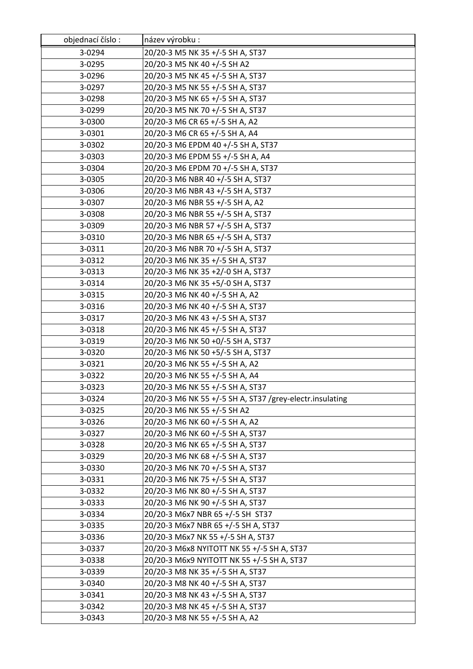| objednací číslo: | název výrobku :                                          |
|------------------|----------------------------------------------------------|
| 3-0294           | 20/20-3 M5 NK 35 +/-5 SH A, ST37                         |
| 3-0295           | 20/20-3 M5 NK 40 +/-5 SH A2                              |
| 3-0296           | 20/20-3 M5 NK 45 +/-5 SH A, ST37                         |
| 3-0297           | 20/20-3 M5 NK 55 +/-5 SH A, ST37                         |
| 3-0298           | 20/20-3 M5 NK 65 +/-5 SH A, ST37                         |
| 3-0299           | 20/20-3 M5 NK 70 +/-5 SH A, ST37                         |
| 3-0300           | 20/20-3 M6 CR 65 +/-5 SH A, A2                           |
| 3-0301           | 20/20-3 M6 CR 65 +/-5 SH A, A4                           |
| 3-0302           | 20/20-3 M6 EPDM 40 +/-5 SH A, ST37                       |
| 3-0303           | 20/20-3 M6 EPDM 55 +/-5 SH A, A4                         |
| 3-0304           | 20/20-3 M6 EPDM 70 +/-5 SH A, ST37                       |
| 3-0305           | 20/20-3 M6 NBR 40 +/-5 SH A, ST37                        |
| 3-0306           | 20/20-3 M6 NBR 43 +/-5 SH A, ST37                        |
| 3-0307           | 20/20-3 M6 NBR 55 +/-5 SH A, A2                          |
| 3-0308           | 20/20-3 M6 NBR 55 +/-5 SH A, ST37                        |
| 3-0309           | 20/20-3 M6 NBR 57 +/-5 SH A, ST37                        |
| 3-0310           | 20/20-3 M6 NBR 65 +/-5 SH A, ST37                        |
| 3-0311           | 20/20-3 M6 NBR 70 +/-5 SH A, ST37                        |
| 3-0312           | 20/20-3 M6 NK 35 +/-5 SH A, ST37                         |
| 3-0313           | 20/20-3 M6 NK 35 +2/-0 SH A, ST37                        |
| 3-0314           | 20/20-3 M6 NK 35 +5/-0 SH A, ST37                        |
| 3-0315           | 20/20-3 M6 NK 40 +/-5 SH A, A2                           |
| 3-0316           | 20/20-3 M6 NK 40 +/-5 SH A, ST37                         |
| 3-0317           | 20/20-3 M6 NK 43 +/-5 SH A, ST37                         |
| 3-0318           | 20/20-3 M6 NK 45 +/-5 SH A, ST37                         |
| 3-0319           | 20/20-3 M6 NK 50 +0/-5 SH A, ST37                        |
| 3-0320           | 20/20-3 M6 NK 50 +5/-5 SH A, ST37                        |
| 3-0321           | 20/20-3 M6 NK 55 +/-5 SH A, A2                           |
| 3-0322           | 20/20-3 M6 NK 55 +/-5 SH A, A4                           |
| 3-0323           | 20/20-3 M6 NK 55 +/-5 SH A, ST37                         |
| 3-0324           | 20/20-3 M6 NK 55 +/-5 SH A, ST37 /grey-electr.insulating |
| 3-0325           | 20/20-3 M6 NK 55 +/-5 SH A2                              |
| 3-0326           | 20/20-3 M6 NK 60 +/-5 SH A, A2                           |
| 3-0327           | 20/20-3 M6 NK 60 +/-5 SH A, ST37                         |
| 3-0328           | 20/20-3 M6 NK 65 +/-5 SH A, ST37                         |
| 3-0329           | 20/20-3 M6 NK 68 +/-5 SH A, ST37                         |
| 3-0330           | 20/20-3 M6 NK 70 +/-5 SH A, ST37                         |
| 3-0331           | 20/20-3 M6 NK 75 +/-5 SH A, ST37                         |
| 3-0332           | 20/20-3 M6 NK 80 +/-5 SH A, ST37                         |
| 3-0333           | 20/20-3 M6 NK 90 +/-5 SH A, ST37                         |
| 3-0334           | 20/20-3 M6x7 NBR 65 +/-5 SH ST37                         |
| 3-0335           | 20/20-3 M6x7 NBR 65 +/-5 SH A, ST37                      |
| 3-0336           | 20/20-3 M6x7 NK 55 +/-5 SH A, ST37                       |
| 3-0337           | 20/20-3 M6x8 NYITOTT NK 55 +/-5 SH A, ST37               |
| 3-0338           | 20/20-3 M6x9 NYITOTT NK 55 +/-5 SH A, ST37               |
| 3-0339           | 20/20-3 M8 NK 35 +/-5 SH A, ST37                         |
| 3-0340           | 20/20-3 M8 NK 40 +/-5 SH A, ST37                         |
| 3-0341           | 20/20-3 M8 NK 43 +/-5 SH A, ST37                         |
| 3-0342           | 20/20-3 M8 NK 45 +/-5 SH A, ST37                         |
| 3-0343           | 20/20-3 M8 NK 55 +/-5 SH A, A2                           |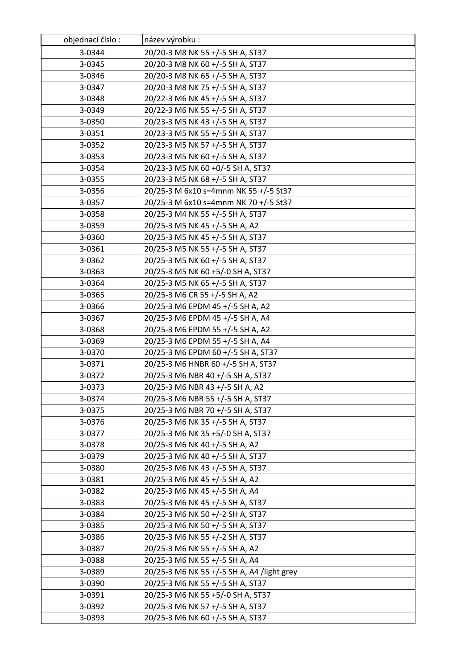| objednací číslo: | název výrobku :                            |
|------------------|--------------------------------------------|
| 3-0344           | 20/20-3 M8 NK 55 +/-5 SH A, ST37           |
| 3-0345           | 20/20-3 M8 NK 60 +/-5 SH A, ST37           |
| 3-0346           | 20/20-3 M8 NK 65 +/-5 SH A, ST37           |
| 3-0347           | 20/20-3 M8 NK 75 +/-5 SH A, ST37           |
| 3-0348           | 20/22-3 M6 NK 45 +/-5 SH A, ST37           |
| 3-0349           | 20/22-3 M6 NK 55 +/-5 SH A, ST37           |
| 3-0350           | 20/23-3 M5 NK 43 +/-5 SH A, ST37           |
| 3-0351           | 20/23-3 M5 NK 55 +/-5 SH A, ST37           |
| 3-0352           | 20/23-3 M5 NK 57 +/-5 SH A, ST37           |
| 3-0353           | 20/23-3 M5 NK 60 +/-5 SH A, ST37           |
| 3-0354           | 20/23-3 M5 NK 60 +0/-5 SH A, ST37          |
| 3-0355           | 20/23-3 M5 NK 68 +/-5 SH A, ST37           |
| 3-0356           | 20/25-3 M 6x10 s=4mnm NK 55 +/-5 St37      |
| 3-0357           | 20/25-3 M 6x10 s=4mnm NK 70 +/-5 St37      |
| 3-0358           | 20/25-3 M4 NK 55 +/-5 SH A, ST37           |
| 3-0359           | 20/25-3 M5 NK 45 +/-5 SH A, A2             |
| 3-0360           | 20/25-3 M5 NK 45 +/-5 SH A, ST37           |
| 3-0361           | 20/25-3 M5 NK 55 +/-5 SH A, ST37           |
| 3-0362           | 20/25-3 M5 NK 60 +/-5 SH A, ST37           |
| 3-0363           | 20/25-3 M5 NK 60 +5/-0 SH A, ST37          |
| 3-0364           | 20/25-3 M5 NK 65 +/-5 SH A, ST37           |
| 3-0365           | 20/25-3 M6 CR 55 +/-5 SH A, A2             |
| 3-0366           | 20/25-3 M6 EPDM 45 +/-5 SH A, A2           |
| 3-0367           | 20/25-3 M6 EPDM 45 +/-5 SH A, A4           |
| 3-0368           | 20/25-3 M6 EPDM 55 +/-5 SH A, A2           |
| 3-0369           | 20/25-3 M6 EPDM 55 +/-5 SH A, A4           |
| 3-0370           | 20/25-3 M6 EPDM 60 +/-5 SH A, ST37         |
| 3-0371           | 20/25-3 M6 HNBR 60 +/-5 SH A, ST37         |
| 3-0372           | 20/25-3 M6 NBR 40 +/-5 SH A, ST37          |
| 3-0373           | 20/25-3 M6 NBR 43 +/-5 SH A, A2            |
| 3-0374           | 20/25-3 M6 NBR 55 +/-5 SH A, ST37          |
| 3-0375           | 20/25-3 M6 NBR 70 +/-5 SH A, ST37          |
| 3-0376           | 20/25-3 M6 NK 35 +/-5 SH A, ST37           |
| 3-0377           | 20/25-3 M6 NK 35 +5/-0 SH A, ST37          |
| 3-0378           | 20/25-3 M6 NK 40 +/-5 SH A, A2             |
| 3-0379           | 20/25-3 M6 NK 40 +/-5 SH A, ST37           |
| 3-0380           | 20/25-3 M6 NK 43 +/-5 SH A, ST37           |
| 3-0381           | 20/25-3 M6 NK 45 +/-5 SH A, A2             |
| 3-0382           | 20/25-3 M6 NK 45 +/-5 SH A, A4             |
| 3-0383           | 20/25-3 M6 NK 45 +/-5 SH A, ST37           |
| 3-0384           | 20/25-3 M6 NK 50 +/-2 SH A, ST37           |
| 3-0385           | 20/25-3 M6 NK 50 +/-5 SH A, ST37           |
| 3-0386           | 20/25-3 M6 NK 55 +/-2 SH A, ST37           |
| 3-0387           | 20/25-3 M6 NK 55 +/-5 SH A, A2             |
| 3-0388           | 20/25-3 M6 NK 55 +/-5 SH A, A4             |
| 3-0389           | 20/25-3 M6 NK 55 +/-5 SH A, A4 /light grey |
| 3-0390           | 20/25-3 M6 NK 55 +/-5 SH A, ST37           |
| 3-0391           | 20/25-3 M6 NK 55 +5/-0 SH A, ST37          |
| 3-0392           | 20/25-3 M6 NK 57 +/-5 SH A, ST37           |
| 3-0393           | 20/25-3 M6 NK 60 +/-5 SH A, ST37           |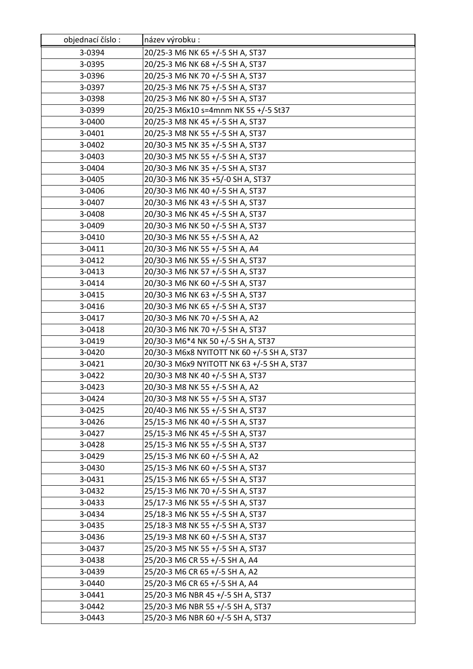| objednací číslo: | název výrobku :                            |
|------------------|--------------------------------------------|
| 3-0394           | 20/25-3 M6 NK 65 +/-5 SH A, ST37           |
| 3-0395           | 20/25-3 M6 NK 68 +/-5 SH A, ST37           |
| 3-0396           | 20/25-3 M6 NK 70 +/-5 SH A, ST37           |
| 3-0397           | 20/25-3 M6 NK 75 +/-5 SH A, ST37           |
| 3-0398           | 20/25-3 M6 NK 80 +/-5 SH A, ST37           |
| 3-0399           | 20/25-3 M6x10 s=4mnm NK 55 +/-5 St37       |
| 3-0400           | 20/25-3 M8 NK 45 +/-5 SH A, ST37           |
| 3-0401           | 20/25-3 M8 NK 55 +/-5 SH A, ST37           |
| 3-0402           | 20/30-3 M5 NK 35 +/-5 SH A, ST37           |
| 3-0403           | 20/30-3 M5 NK 55 +/-5 SH A, ST37           |
| 3-0404           | 20/30-3 M6 NK 35 +/-5 SH A, ST37           |
| 3-0405           | 20/30-3 M6 NK 35 +5/-0 SH A, ST37          |
| 3-0406           | 20/30-3 M6 NK 40 +/-5 SH A, ST37           |
| 3-0407           | 20/30-3 M6 NK 43 +/-5 SH A, ST37           |
| 3-0408           | 20/30-3 M6 NK 45 +/-5 SH A, ST37           |
| 3-0409           | 20/30-3 M6 NK 50 +/-5 SH A, ST37           |
| 3-0410           | 20/30-3 M6 NK 55 +/-5 SH A, A2             |
| 3-0411           | 20/30-3 M6 NK 55 +/-5 SH A, A4             |
| 3-0412           | 20/30-3 M6 NK 55 +/-5 SH A, ST37           |
| 3-0413           | 20/30-3 M6 NK 57 +/-5 SH A, ST37           |
| 3-0414           | 20/30-3 M6 NK 60 +/-5 SH A, ST37           |
| 3-0415           | 20/30-3 M6 NK 63 +/-5 SH A, ST37           |
| 3-0416           | 20/30-3 M6 NK 65 +/-5 SH A, ST37           |
| 3-0417           | 20/30-3 M6 NK 70 +/-5 SH A, A2             |
| 3-0418           | 20/30-3 M6 NK 70 +/-5 SH A, ST37           |
| 3-0419           | 20/30-3 M6*4 NK 50 +/-5 SH A, ST37         |
| 3-0420           | 20/30-3 M6x8 NYITOTT NK 60 +/-5 SH A, ST37 |
| 3-0421           | 20/30-3 M6x9 NYITOTT NK 63 +/-5 SH A, ST37 |
| 3-0422           | 20/30-3 M8 NK 40 +/-5 SH A, ST37           |
| 3-0423           | 20/30-3 M8 NK 55 +/-5 SH A, A2             |
| 3-0424           | 20/30-3 M8 NK 55 +/-5 SH A, ST37           |
| 3-0425           | 20/40-3 M6 NK 55 +/-5 SH A, ST37           |
| 3-0426           | 25/15-3 M6 NK 40 +/-5 SH A, ST37           |
| 3-0427           | 25/15-3 M6 NK 45 +/-5 SH A, ST37           |
| 3-0428           | 25/15-3 M6 NK 55 +/-5 SH A, ST37           |
| 3-0429           | 25/15-3 M6 NK 60 +/-5 SH A, A2             |
| 3-0430           | 25/15-3 M6 NK 60 +/-5 SH A, ST37           |
| 3-0431           | 25/15-3 M6 NK 65 +/-5 SH A, ST37           |
| 3-0432           | 25/15-3 M6 NK 70 +/-5 SH A, ST37           |
| 3-0433           | 25/17-3 M6 NK 55 +/-5 SH A, ST37           |
| 3-0434           | 25/18-3 M6 NK 55 +/-5 SH A, ST37           |
| 3-0435           | 25/18-3 M8 NK 55 +/-5 SH A, ST37           |
| 3-0436           | 25/19-3 M8 NK 60 +/-5 SH A, ST37           |
| 3-0437           | 25/20-3 M5 NK 55 +/-5 SH A, ST37           |
| 3-0438           | 25/20-3 M6 CR 55 +/-5 SH A, A4             |
| 3-0439           | 25/20-3 M6 CR 65 +/-5 SH A, A2             |
| 3-0440           | 25/20-3 M6 CR 65 +/-5 SH A, A4             |
| 3-0441           | 25/20-3 M6 NBR 45 +/-5 SH A, ST37          |
| 3-0442           | 25/20-3 M6 NBR 55 +/-5 SH A, ST37          |
| 3-0443           | 25/20-3 M6 NBR 60 +/-5 SH A, ST37          |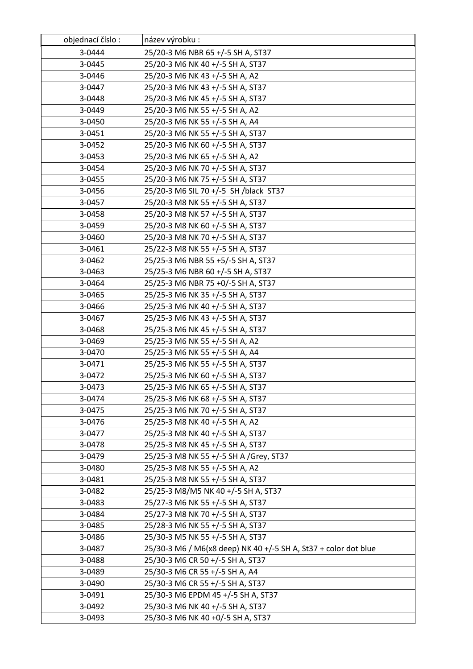| objednací číslo: | název výrobku :                                                 |
|------------------|-----------------------------------------------------------------|
| 3-0444           | 25/20-3 M6 NBR 65 +/-5 SH A, ST37                               |
| 3-0445           | 25/20-3 M6 NK 40 +/-5 SH A, ST37                                |
| 3-0446           | 25/20-3 M6 NK 43 +/-5 SH A, A2                                  |
| 3-0447           | 25/20-3 M6 NK 43 +/-5 SH A, ST37                                |
| 3-0448           | 25/20-3 M6 NK 45 +/-5 SH A, ST37                                |
| 3-0449           | 25/20-3 M6 NK 55 +/-5 SH A, A2                                  |
| 3-0450           | 25/20-3 M6 NK 55 +/-5 SH A, A4                                  |
| 3-0451           | 25/20-3 M6 NK 55 +/-5 SH A, ST37                                |
| 3-0452           | 25/20-3 M6 NK 60 +/-5 SH A, ST37                                |
| 3-0453           | 25/20-3 M6 NK 65 +/-5 SH A, A2                                  |
| 3-0454           | 25/20-3 M6 NK 70 +/-5 SH A, ST37                                |
| 3-0455           | 25/20-3 M6 NK 75 +/-5 SH A, ST37                                |
| 3-0456           | 25/20-3 M6 SIL 70 +/-5 SH /black ST37                           |
| 3-0457           | 25/20-3 M8 NK 55 +/-5 SH A, ST37                                |
| 3-0458           | 25/20-3 M8 NK 57 +/-5 SH A, ST37                                |
| 3-0459           | 25/20-3 M8 NK 60 +/-5 SH A, ST37                                |
| 3-0460           | 25/20-3 M8 NK 70 +/-5 SH A, ST37                                |
| 3-0461           | 25/22-3 M8 NK 55 +/-5 SH A, ST37                                |
| 3-0462           | 25/25-3 M6 NBR 55 +5/-5 SH A, ST37                              |
| 3-0463           | 25/25-3 M6 NBR 60 +/-5 SH A, ST37                               |
| 3-0464           | 25/25-3 M6 NBR 75 +0/-5 SH A, ST37                              |
| 3-0465           | 25/25-3 M6 NK 35 +/-5 SH A, ST37                                |
| 3-0466           | 25/25-3 M6 NK 40 +/-5 SH A, ST37                                |
| 3-0467           | 25/25-3 M6 NK 43 +/-5 SH A, ST37                                |
| 3-0468           | 25/25-3 M6 NK 45 +/-5 SH A, ST37                                |
| 3-0469           | 25/25-3 M6 NK 55 +/-5 SH A, A2                                  |
| 3-0470           | 25/25-3 M6 NK 55 +/-5 SH A, A4                                  |
| 3-0471           | 25/25-3 M6 NK 55 +/-5 SH A, ST37                                |
| 3-0472           | 25/25-3 M6 NK 60 +/-5 SH A, ST37                                |
| 3-0473           | 25/25-3 M6 NK 65 +/-5 SH A, ST37                                |
| 3-0474           | 25/25-3 M6 NK 68 +/-5 SH A, ST37                                |
| 3-0475           | 25/25-3 M6 NK 70 +/-5 SH A, ST37                                |
| 3-0476           | 25/25-3 M8 NK 40 +/-5 SH A, A2                                  |
| 3-0477           | 25/25-3 M8 NK 40 +/-5 SH A, ST37                                |
| 3-0478           | 25/25-3 M8 NK 45 +/-5 SH A, ST37                                |
| 3-0479           | 25/25-3 M8 NK 55 +/-5 SH A /Grey, ST37                          |
| 3-0480           | 25/25-3 M8 NK 55 +/-5 SH A, A2                                  |
| 3-0481           | 25/25-3 M8 NK 55 +/-5 SH A, ST37                                |
| 3-0482           | 25/25-3 M8/M5 NK 40 +/-5 SH A, ST37                             |
| 3-0483           | 25/27-3 M6 NK 55 +/-5 SH A, ST37                                |
| 3-0484           | 25/27-3 M8 NK 70 +/-5 SH A, ST37                                |
| 3-0485           | 25/28-3 M6 NK 55 +/-5 SH A, ST37                                |
| 3-0486           | 25/30-3 M5 NK 55 +/-5 SH A, ST37                                |
| 3-0487           | 25/30-3 M6 / M6(x8 deep) NK 40 +/-5 SH A, St37 + color dot blue |
| 3-0488           | 25/30-3 M6 CR 50 +/-5 SH A, ST37                                |
| 3-0489           | 25/30-3 M6 CR 55 +/-5 SH A, A4                                  |
| 3-0490           | 25/30-3 M6 CR 55 +/-5 SH A, ST37                                |
| 3-0491           | 25/30-3 M6 EPDM 45 +/-5 SH A, ST37                              |
| 3-0492           | 25/30-3 M6 NK 40 +/-5 SH A, ST37                                |
| 3-0493           | 25/30-3 M6 NK 40 +0/-5 SH A, ST37                               |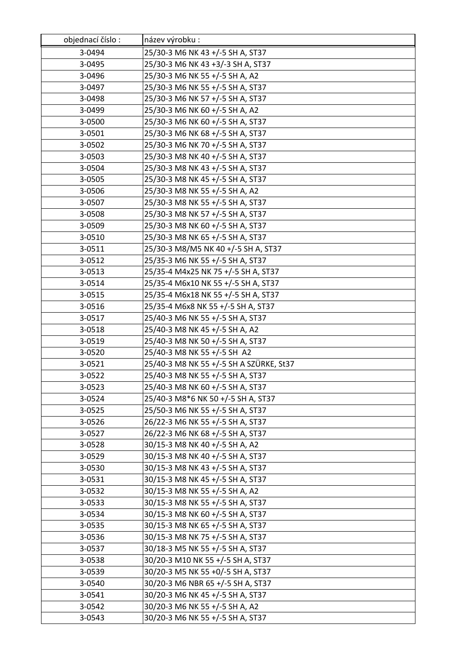| objednací číslo: | název výrobku :                         |
|------------------|-----------------------------------------|
| 3-0494           | 25/30-3 M6 NK 43 +/-5 SH A, ST37        |
| 3-0495           | 25/30-3 M6 NK 43 +3/-3 SH A, ST37       |
| 3-0496           | 25/30-3 M6 NK 55 +/-5 SH A, A2          |
| 3-0497           | 25/30-3 M6 NK 55 +/-5 SH A, ST37        |
| 3-0498           | 25/30-3 M6 NK 57 +/-5 SH A, ST37        |
| 3-0499           | 25/30-3 M6 NK 60 +/-5 SH A, A2          |
| 3-0500           | 25/30-3 M6 NK 60 +/-5 SH A, ST37        |
| 3-0501           | 25/30-3 M6 NK 68 +/-5 SH A, ST37        |
| 3-0502           | 25/30-3 M6 NK 70 +/-5 SH A, ST37        |
| 3-0503           | 25/30-3 M8 NK 40 +/-5 SH A, ST37        |
| 3-0504           | 25/30-3 M8 NK 43 +/-5 SH A, ST37        |
| 3-0505           | 25/30-3 M8 NK 45 +/-5 SH A, ST37        |
| 3-0506           | 25/30-3 M8 NK 55 +/-5 SH A, A2          |
| 3-0507           | 25/30-3 M8 NK 55 +/-5 SH A, ST37        |
| 3-0508           | 25/30-3 M8 NK 57 +/-5 SH A, ST37        |
| 3-0509           | 25/30-3 M8 NK 60 +/-5 SH A, ST37        |
| 3-0510           | 25/30-3 M8 NK 65 +/-5 SH A, ST37        |
| 3-0511           | 25/30-3 M8/M5 NK 40 +/-5 SH A, ST37     |
| 3-0512           | 25/35-3 M6 NK 55 +/-5 SH A, ST37        |
| 3-0513           | 25/35-4 M4x25 NK 75 +/-5 SH A, ST37     |
| 3-0514           | 25/35-4 M6x10 NK 55 +/-5 SH A, ST37     |
| 3-0515           | 25/35-4 M6x18 NK 55 +/-5 SH A, ST37     |
| 3-0516           | 25/35-4 M6x8 NK 55 +/-5 SH A, ST37      |
| 3-0517           | 25/40-3 M6 NK 55 +/-5 SH A, ST37        |
| 3-0518           | 25/40-3 M8 NK 45 +/-5 SH A, A2          |
| 3-0519           | 25/40-3 M8 NK 50 +/-5 SH A, ST37        |
| 3-0520           | 25/40-3 M8 NK 55 +/-5 SH A2             |
| 3-0521           | 25/40-3 M8 NK 55 +/-5 SH A SZÜRKE, St37 |
| 3-0522           | 25/40-3 M8 NK 55 +/-5 SH A, ST37        |
| 3-0523           | 25/40-3 M8 NK 60 +/-5 SH A, ST37        |
| 3-0524           | 25/40-3 M8*6 NK 50 +/-5 SH A, ST37      |
| 3-0525           | 25/50-3 M6 NK 55 +/-5 SH A, ST37        |
| 3-0526           | 26/22-3 M6 NK 55 +/-5 SH A, ST37        |
| 3-0527           | 26/22-3 M6 NK 68 +/-5 SH A, ST37        |
| 3-0528           | 30/15-3 M8 NK 40 +/-5 SH A, A2          |
| 3-0529           | 30/15-3 M8 NK 40 +/-5 SH A, ST37        |
| 3-0530           | 30/15-3 M8 NK 43 +/-5 SH A, ST37        |
| 3-0531           | 30/15-3 M8 NK 45 +/-5 SH A, ST37        |
| 3-0532           | 30/15-3 M8 NK 55 +/-5 SH A, A2          |
| 3-0533           | 30/15-3 M8 NK 55 +/-5 SH A, ST37        |
| 3-0534           | 30/15-3 M8 NK 60 +/-5 SH A, ST37        |
| 3-0535           | 30/15-3 M8 NK 65 +/-5 SH A, ST37        |
| 3-0536           | 30/15-3 M8 NK 75 +/-5 SH A, ST37        |
| 3-0537           | 30/18-3 M5 NK 55 +/-5 SH A, ST37        |
| 3-0538           | 30/20-3 M10 NK 55 +/-5 SH A, ST37       |
| 3-0539           | 30/20-3 M5 NK 55 +0/-5 SH A, ST37       |
| 3-0540           | 30/20-3 M6 NBR 65 +/-5 SH A, ST37       |
| 3-0541           | 30/20-3 M6 NK 45 +/-5 SH A, ST37        |
| 3-0542           | 30/20-3 M6 NK 55 +/-5 SH A, A2          |
| 3-0543           | 30/20-3 M6 NK 55 +/-5 SH A, ST37        |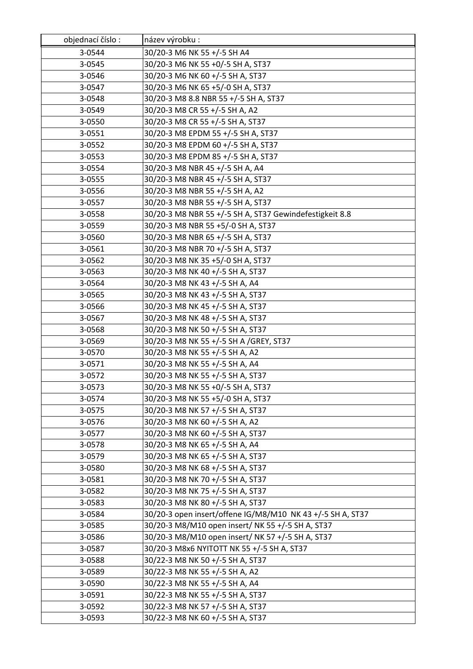| objednací číslo: | název výrobku :                                            |
|------------------|------------------------------------------------------------|
| 3-0544           | 30/20-3 M6 NK 55 +/-5 SH A4                                |
| 3-0545           | 30/20-3 M6 NK 55 +0/-5 SH A, ST37                          |
| 3-0546           | 30/20-3 M6 NK 60 +/-5 SH A, ST37                           |
| 3-0547           | 30/20-3 M6 NK 65 +5/-0 SH A, ST37                          |
| 3-0548           | 30/20-3 M8 8.8 NBR 55 +/-5 SH A, ST37                      |
| 3-0549           | 30/20-3 M8 CR 55 +/-5 SH A, A2                             |
| 3-0550           | 30/20-3 M8 CR 55 +/-5 SH A, ST37                           |
| 3-0551           | 30/20-3 M8 EPDM 55 +/-5 SH A, ST37                         |
| 3-0552           | 30/20-3 M8 EPDM 60 +/-5 SH A, ST37                         |
| 3-0553           | 30/20-3 M8 EPDM 85 +/-5 SH A, ST37                         |
| 3-0554           | 30/20-3 M8 NBR 45 +/-5 SH A, A4                            |
| 3-0555           | 30/20-3 M8 NBR 45 +/-5 SH A, ST37                          |
| 3-0556           | 30/20-3 M8 NBR 55 +/-5 SH A, A2                            |
| 3-0557           | 30/20-3 M8 NBR 55 +/-5 SH A, ST37                          |
| 3-0558           | 30/20-3 M8 NBR 55 +/-5 SH A, ST37 Gewindefestigkeit 8.8    |
| 3-0559           | 30/20-3 M8 NBR 55 +5/-0 SH A, ST37                         |
| 3-0560           | 30/20-3 M8 NBR 65 +/-5 SH A, ST37                          |
| 3-0561           | 30/20-3 M8 NBR 70 +/-5 SH A, ST37                          |
| 3-0562           | 30/20-3 M8 NK 35 +5/-0 SH A, ST37                          |
| 3-0563           | 30/20-3 M8 NK 40 +/-5 SH A, ST37                           |
| 3-0564           | 30/20-3 M8 NK 43 +/-5 SH A, A4                             |
| 3-0565           | 30/20-3 M8 NK 43 +/-5 SH A, ST37                           |
| 3-0566           | 30/20-3 M8 NK 45 +/-5 SH A, ST37                           |
| 3-0567           | 30/20-3 M8 NK 48 +/-5 SH A, ST37                           |
| 3-0568           | 30/20-3 M8 NK 50 +/-5 SH A, ST37                           |
| 3-0569           | 30/20-3 M8 NK 55 +/-5 SH A /GREY, ST37                     |
| 3-0570           | 30/20-3 M8 NK 55 +/-5 SH A, A2                             |
| 3-0571           | 30/20-3 M8 NK 55 +/-5 SH A, A4                             |
| 3-0572           | 30/20-3 M8 NK 55 +/-5 SH A, ST37                           |
| 3-0573           | 30/20-3 M8 NK 55 +0/-5 SH A, ST37                          |
| 3-0574           | 30/20-3 M8 NK 55 +5/-0 SH A, ST37                          |
| 3-0575           | 30/20-3 M8 NK 57 +/-5 SH A, ST37                           |
| 3-0576           | 30/20-3 M8 NK 60 +/-5 SH A, A2                             |
| 3-0577           | 30/20-3 M8 NK 60 +/-5 SH A, ST37                           |
| 3-0578           | 30/20-3 M8 NK 65 +/-5 SH A, A4                             |
| 3-0579           | 30/20-3 M8 NK 65 +/-5 SH A, ST37                           |
| 3-0580           | 30/20-3 M8 NK 68 +/-5 SH A, ST37                           |
| 3-0581           | 30/20-3 M8 NK 70 +/-5 SH A, ST37                           |
| 3-0582           | 30/20-3 M8 NK 75 +/-5 SH A, ST37                           |
| 3-0583           | 30/20-3 M8 NK 80 +/-5 SH A, ST37                           |
| 3-0584           | 30/20-3 open insert/offene IG/M8/M10 NK 43 +/-5 SH A, ST37 |
| 3-0585           | 30/20-3 M8/M10 open insert/ NK 55 +/-5 SH A, ST37          |
| 3-0586           | 30/20-3 M8/M10 open insert/ NK 57 +/-5 SH A, ST37          |
| 3-0587           | 30/20-3 M8x6 NYITOTT NK 55 +/-5 SH A, ST37                 |
| 3-0588           | 30/22-3 M8 NK 50 +/-5 SH A, ST37                           |
| 3-0589           | 30/22-3 M8 NK 55 +/-5 SH A, A2                             |
| 3-0590           | 30/22-3 M8 NK 55 +/-5 SH A, A4                             |
| 3-0591           | 30/22-3 M8 NK 55 +/-5 SH A, ST37                           |
| 3-0592           | 30/22-3 M8 NK 57 +/-5 SH A, ST37                           |
| 3-0593           | 30/22-3 M8 NK 60 +/-5 SH A, ST37                           |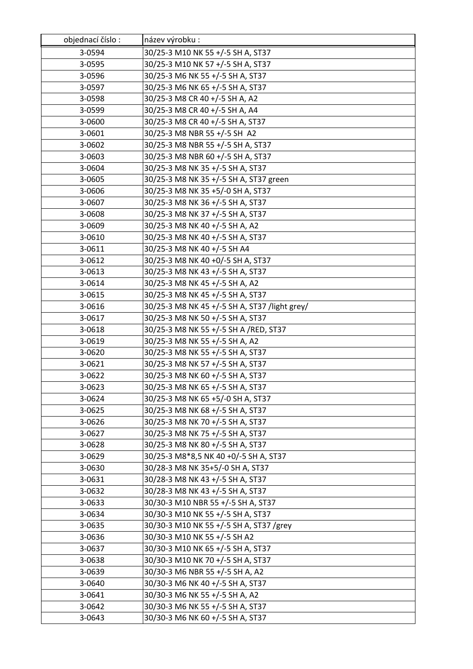| objednací číslo: | název výrobku :                               |
|------------------|-----------------------------------------------|
| 3-0594           | 30/25-3 M10 NK 55 +/-5 SH A, ST37             |
| 3-0595           | 30/25-3 M10 NK 57 +/-5 SH A, ST37             |
| 3-0596           | 30/25-3 M6 NK 55 +/-5 SH A, ST37              |
| 3-0597           | 30/25-3 M6 NK 65 +/-5 SH A, ST37              |
| 3-0598           | 30/25-3 M8 CR 40 +/-5 SH A, A2                |
| 3-0599           | 30/25-3 M8 CR 40 +/-5 SH A, A4                |
| 3-0600           | 30/25-3 M8 CR 40 +/-5 SH A, ST37              |
| 3-0601           | 30/25-3 M8 NBR 55 +/-5 SH A2                  |
| 3-0602           | 30/25-3 M8 NBR 55 +/-5 SH A, ST37             |
| 3-0603           | 30/25-3 M8 NBR 60 +/-5 SH A, ST37             |
| 3-0604           | 30/25-3 M8 NK 35 +/-5 SH A, ST37              |
| 3-0605           | 30/25-3 M8 NK 35 +/-5 SH A, ST37 green        |
| 3-0606           | 30/25-3 M8 NK 35 +5/-0 SH A, ST37             |
| 3-0607           | 30/25-3 M8 NK 36 +/-5 SH A, ST37              |
| 3-0608           | 30/25-3 M8 NK 37 +/-5 SH A, ST37              |
| 3-0609           | 30/25-3 M8 NK 40 +/-5 SH A, A2                |
| 3-0610           | 30/25-3 M8 NK 40 +/-5 SH A, ST37              |
| 3-0611           | 30/25-3 M8 NK 40 +/-5 SH A4                   |
| 3-0612           | 30/25-3 M8 NK 40 +0/-5 SH A, ST37             |
| 3-0613           | 30/25-3 M8 NK 43 +/-5 SH A, ST37              |
| 3-0614           | 30/25-3 M8 NK 45 +/-5 SH A, A2                |
| 3-0615           | 30/25-3 M8 NK 45 +/-5 SH A, ST37              |
| 3-0616           | 30/25-3 M8 NK 45 +/-5 SH A, ST37 /light grey/ |
| 3-0617           | 30/25-3 M8 NK 50 +/-5 SH A, ST37              |
| 3-0618           | 30/25-3 M8 NK 55 +/-5 SH A /RED, ST37         |
| 3-0619           | 30/25-3 M8 NK 55 +/-5 SH A, A2                |
| 3-0620           | 30/25-3 M8 NK 55 +/-5 SH A, ST37              |
| 3-0621           | 30/25-3 M8 NK 57 +/-5 SH A, ST37              |
| 3-0622           | 30/25-3 M8 NK 60 +/-5 SH A, ST37              |
| 3-0623           | 30/25-3 M8 NK 65 +/-5 SH A, ST37              |
| 3-0624           | 30/25-3 M8 NK 65 +5/-0 SH A, ST37             |
| 3-0625           | 30/25-3 M8 NK 68 +/-5 SH A, ST37              |
| 3-0626           | 30/25-3 M8 NK 70 +/-5 SH A, ST37              |
| 3-0627           | 30/25-3 M8 NK 75 +/-5 SH A, ST37              |
| 3-0628           | 30/25-3 M8 NK 80 +/-5 SH A, ST37              |
| 3-0629           | 30/25-3 M8*8,5 NK 40 +0/-5 SH A, ST37         |
| 3-0630           | 30/28-3 M8 NK 35+5/-0 SH A, ST37              |
| 3-0631           | 30/28-3 M8 NK 43 +/-5 SH A, ST37              |
| 3-0632           | 30/28-3 M8 NK 43 +/-5 SH A, ST37              |
| 3-0633           | 30/30-3 M10 NBR 55 +/-5 SH A, ST37            |
| 3-0634           | 30/30-3 M10 NK 55 +/-5 SH A, ST37             |
| 3-0635           | 30/30-3 M10 NK 55 +/-5 SH A, ST37 /grey       |
| 3-0636           | 30/30-3 M10 NK 55 +/-5 SH A2                  |
| 3-0637           | 30/30-3 M10 NK 65 +/-5 SH A, ST37             |
| 3-0638           | 30/30-3 M10 NK 70 +/-5 SH A, ST37             |
| 3-0639           | 30/30-3 M6 NBR 55 +/-5 SH A, A2               |
| 3-0640           | 30/30-3 M6 NK 40 +/-5 SH A, ST37              |
| 3-0641           | 30/30-3 M6 NK 55 +/-5 SH A, A2                |
| 3-0642           | 30/30-3 M6 NK 55 +/-5 SH A, ST37              |
| 3-0643           | 30/30-3 M6 NK 60 +/-5 SH A, ST37              |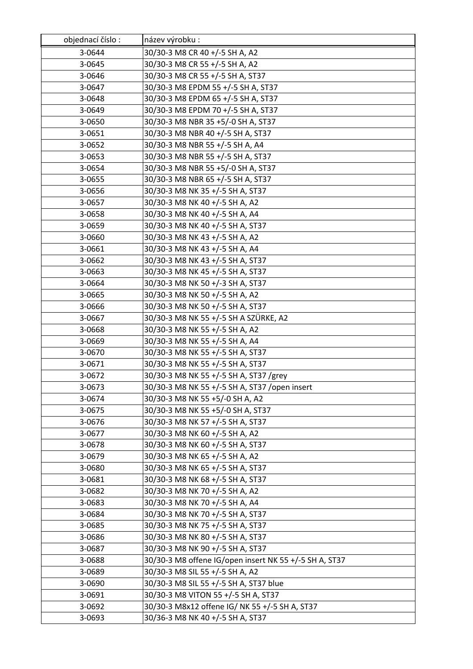| objednací číslo: | název výrobku :                                        |
|------------------|--------------------------------------------------------|
| 3-0644           | 30/30-3 M8 CR 40 +/-5 SH A, A2                         |
| 3-0645           | 30/30-3 M8 CR 55 +/-5 SH A, A2                         |
| 3-0646           | 30/30-3 M8 CR 55 +/-5 SH A, ST37                       |
| 3-0647           | 30/30-3 M8 EPDM 55 +/-5 SH A, ST37                     |
| 3-0648           | 30/30-3 M8 EPDM 65 +/-5 SH A, ST37                     |
| 3-0649           | 30/30-3 M8 EPDM 70 +/-5 SH A, ST37                     |
| 3-0650           | 30/30-3 M8 NBR 35 +5/-0 SH A, ST37                     |
| 3-0651           | 30/30-3 M8 NBR 40 +/-5 SH A, ST37                      |
| 3-0652           | 30/30-3 M8 NBR 55 +/-5 SH A, A4                        |
| 3-0653           | 30/30-3 M8 NBR 55 +/-5 SH A, ST37                      |
| 3-0654           | 30/30-3 M8 NBR 55 +5/-0 SH A, ST37                     |
| 3-0655           | 30/30-3 M8 NBR 65 +/-5 SH A, ST37                      |
| 3-0656           | 30/30-3 M8 NK 35 +/-5 SH A, ST37                       |
| 3-0657           | 30/30-3 M8 NK 40 +/-5 SH A, A2                         |
| 3-0658           | 30/30-3 M8 NK 40 +/-5 SH A, A4                         |
| 3-0659           | 30/30-3 M8 NK 40 +/-5 SH A, ST37                       |
| 3-0660           | 30/30-3 M8 NK 43 +/-5 SH A, A2                         |
| 3-0661           | 30/30-3 M8 NK 43 +/-5 SH A, A4                         |
| 3-0662           | 30/30-3 M8 NK 43 +/-5 SH A, ST37                       |
| 3-0663           | 30/30-3 M8 NK 45 +/-5 SH A, ST37                       |
| 3-0664           | 30/30-3 M8 NK 50 +/-3 SH A, ST37                       |
| 3-0665           | 30/30-3 M8 NK 50 +/-5 SH A, A2                         |
| 3-0666           | 30/30-3 M8 NK 50 +/-5 SH A, ST37                       |
| 3-0667           | 30/30-3 M8 NK 55 +/-5 SH A SZÜRKE, A2                  |
| 3-0668           | 30/30-3 M8 NK 55 +/-5 SH A, A2                         |
| 3-0669           | 30/30-3 M8 NK 55 +/-5 SH A, A4                         |
| 3-0670           | 30/30-3 M8 NK 55 +/-5 SH A, ST37                       |
| 3-0671           | 30/30-3 M8 NK 55 +/-5 SH A, ST37                       |
| 3-0672           | 30/30-3 M8 NK 55 +/-5 SH A, ST37 /grey                 |
| 3-0673           | 30/30-3 M8 NK 55 +/-5 SH A, ST37 /open insert          |
| 3-0674           | 30/30-3 M8 NK 55 +5/-0 SH A, A2                        |
| 3-0675           | 30/30-3 M8 NK 55 +5/-0 SH A, ST37                      |
| 3-0676           | 30/30-3 M8 NK 57 +/-5 SH A, ST37                       |
| 3-0677           | 30/30-3 M8 NK 60 +/-5 SH A, A2                         |
| 3-0678           | 30/30-3 M8 NK 60 +/-5 SH A, ST37                       |
| 3-0679           | 30/30-3 M8 NK 65 +/-5 SH A, A2                         |
| 3-0680           | 30/30-3 M8 NK 65 +/-5 SH A, ST37                       |
| 3-0681           | 30/30-3 M8 NK 68 +/-5 SH A, ST37                       |
| 3-0682           | 30/30-3 M8 NK 70 +/-5 SH A, A2                         |
| 3-0683           | 30/30-3 M8 NK 70 +/-5 SH A, A4                         |
| 3-0684           | 30/30-3 M8 NK 70 +/-5 SH A, ST37                       |
| 3-0685           | 30/30-3 M8 NK 75 +/-5 SH A, ST37                       |
| 3-0686           | 30/30-3 M8 NK 80 +/-5 SH A, ST37                       |
| 3-0687           | 30/30-3 M8 NK 90 +/-5 SH A, ST37                       |
| 3-0688           | 30/30-3 M8 offene IG/open insert NK 55 +/-5 SH A, ST37 |
| 3-0689           | 30/30-3 M8 SIL 55 +/-5 SH A, A2                        |
| 3-0690           | 30/30-3 M8 SIL 55 +/-5 SH A, ST37 blue                 |
| 3-0691           | 30/30-3 M8 VITON 55 +/-5 SH A, ST37                    |
| 3-0692           | 30/30-3 M8x12 offene IG/ NK 55 +/-5 SH A, ST37         |
| 3-0693           | 30/36-3 M8 NK 40 +/-5 SH A, ST37                       |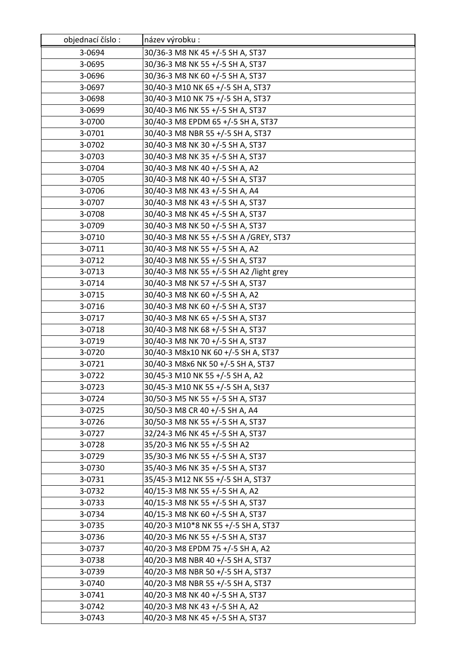| objednací číslo: | název výrobku :                         |
|------------------|-----------------------------------------|
| 3-0694           | 30/36-3 M8 NK 45 +/-5 SH A, ST37        |
| 3-0695           | 30/36-3 M8 NK 55 +/-5 SH A, ST37        |
| 3-0696           | 30/36-3 M8 NK 60 +/-5 SH A, ST37        |
| 3-0697           | 30/40-3 M10 NK 65 +/-5 SH A, ST37       |
| 3-0698           | 30/40-3 M10 NK 75 +/-5 SH A, ST37       |
| 3-0699           | 30/40-3 M6 NK 55 +/-5 SH A, ST37        |
| 3-0700           | 30/40-3 M8 EPDM 65 +/-5 SH A, ST37      |
| 3-0701           | 30/40-3 M8 NBR 55 +/-5 SH A, ST37       |
| 3-0702           | 30/40-3 M8 NK 30 +/-5 SH A, ST37        |
| 3-0703           | 30/40-3 M8 NK 35 +/-5 SH A, ST37        |
| 3-0704           | 30/40-3 M8 NK 40 +/-5 SH A, A2          |
| 3-0705           | 30/40-3 M8 NK 40 +/-5 SH A, ST37        |
| 3-0706           | 30/40-3 M8 NK 43 +/-5 SH A, A4          |
| 3-0707           | 30/40-3 M8 NK 43 +/-5 SH A, ST37        |
| 3-0708           | 30/40-3 M8 NK 45 +/-5 SH A, ST37        |
| 3-0709           | 30/40-3 M8 NK 50 +/-5 SH A, ST37        |
| 3-0710           | 30/40-3 M8 NK 55 +/-5 SH A /GREY, ST37  |
| 3-0711           | 30/40-3 M8 NK 55 +/-5 SH A, A2          |
| 3-0712           | 30/40-3 M8 NK 55 +/-5 SH A, ST37        |
| 3-0713           | 30/40-3 M8 NK 55 +/-5 SH A2 /light grey |
| 3-0714           | 30/40-3 M8 NK 57 +/-5 SH A, ST37        |
| 3-0715           | 30/40-3 M8 NK 60 +/-5 SH A, A2          |
| 3-0716           | 30/40-3 M8 NK 60 +/-5 SH A, ST37        |
| 3-0717           | 30/40-3 M8 NK 65 +/-5 SH A, ST37        |
| 3-0718           | 30/40-3 M8 NK 68 +/-5 SH A, ST37        |
| 3-0719           | 30/40-3 M8 NK 70 +/-5 SH A, ST37        |
| 3-0720           | 30/40-3 M8x10 NK 60 +/-5 SH A, ST37     |
| 3-0721           | 30/40-3 M8x6 NK 50 +/-5 SH A, ST37      |
| 3-0722           | 30/45-3 M10 NK 55 +/-5 SH A, A2         |
| 3-0723           | 30/45-3 M10 NK 55 +/-5 SH A, St37       |
| 3-0724           | 30/50-3 M5 NK 55 +/-5 SH A, ST37        |
| 3-0725           | 30/50-3 M8 CR 40 +/-5 SH A, A4          |
| 3-0726           | 30/50-3 M8 NK 55 +/-5 SH A, ST37        |
| 3-0727           | 32/24-3 M6 NK 45 +/-5 SH A, ST37        |
| 3-0728           | 35/20-3 M6 NK 55 +/-5 SH A2             |
| 3-0729           | 35/30-3 M6 NK 55 +/-5 SH A, ST37        |
| 3-0730           | 35/40-3 M6 NK 35 +/-5 SH A, ST37        |
| 3-0731           | 35/45-3 M12 NK 55 +/-5 SH A, ST37       |
| 3-0732           | 40/15-3 M8 NK 55 +/-5 SH A, A2          |
| 3-0733           | 40/15-3 M8 NK 55 +/-5 SH A, ST37        |
| 3-0734           | 40/15-3 M8 NK 60 +/-5 SH A, ST37        |
| 3-0735           | 40/20-3 M10*8 NK 55 +/-5 SH A, ST37     |
| 3-0736           | 40/20-3 M6 NK 55 +/-5 SH A, ST37        |
| 3-0737           | 40/20-3 M8 EPDM 75 +/-5 SH A, A2        |
| 3-0738           | 40/20-3 M8 NBR 40 +/-5 SH A, ST37       |
| 3-0739           | 40/20-3 M8 NBR 50 +/-5 SH A, ST37       |
| 3-0740           | 40/20-3 M8 NBR 55 +/-5 SH A, ST37       |
| 3-0741           | 40/20-3 M8 NK 40 +/-5 SH A, ST37        |
| 3-0742           | 40/20-3 M8 NK 43 +/-5 SH A, A2          |
| 3-0743           | 40/20-3 M8 NK 45 +/-5 SH A, ST37        |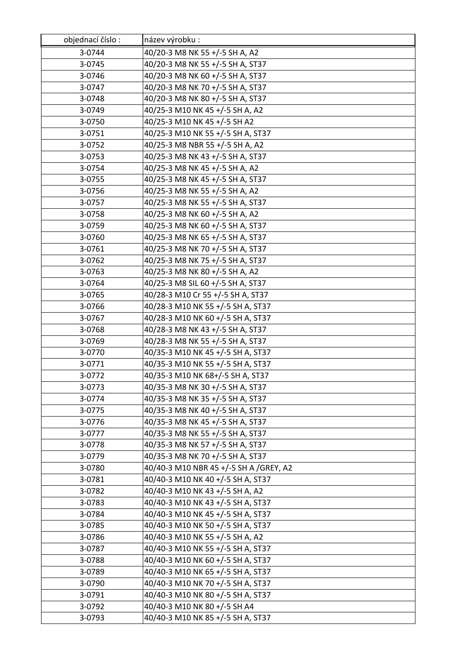| objednací číslo: | název výrobku :                        |
|------------------|----------------------------------------|
| 3-0744           | 40/20-3 M8 NK 55 +/-5 SH A, A2         |
| 3-0745           | 40/20-3 M8 NK 55 +/-5 SH A, ST37       |
| 3-0746           | 40/20-3 M8 NK 60 +/-5 SH A, ST37       |
| 3-0747           | 40/20-3 M8 NK 70 +/-5 SH A, ST37       |
| 3-0748           | 40/20-3 M8 NK 80 +/-5 SH A, ST37       |
| 3-0749           | 40/25-3 M10 NK 45 +/-5 SH A, A2        |
| 3-0750           | 40/25-3 M10 NK 45 +/-5 SH A2           |
| 3-0751           | 40/25-3 M10 NK 55 +/-5 SH A, ST37      |
| 3-0752           | 40/25-3 M8 NBR 55 +/-5 SH A, A2        |
| 3-0753           | 40/25-3 M8 NK 43 +/-5 SH A, ST37       |
| 3-0754           | 40/25-3 M8 NK 45 +/-5 SH A, A2         |
| 3-0755           | 40/25-3 M8 NK 45 +/-5 SH A, ST37       |
| 3-0756           | 40/25-3 M8 NK 55 +/-5 SH A, A2         |
| 3-0757           | 40/25-3 M8 NK 55 +/-5 SH A, ST37       |
| 3-0758           | 40/25-3 M8 NK 60 +/-5 SH A, A2         |
| 3-0759           | 40/25-3 M8 NK 60 +/-5 SH A, ST37       |
| 3-0760           | 40/25-3 M8 NK 65 +/-5 SH A, ST37       |
| 3-0761           | 40/25-3 M8 NK 70 +/-5 SH A, ST37       |
| 3-0762           | 40/25-3 M8 NK 75 +/-5 SH A, ST37       |
| 3-0763           | 40/25-3 M8 NK 80 +/-5 SH A, A2         |
| 3-0764           | 40/25-3 M8 SIL 60 +/-5 SH A, ST37      |
| 3-0765           | 40/28-3 M10 Cr 55 +/-5 SH A, ST37      |
| 3-0766           | 40/28-3 M10 NK 55 +/-5 SH A, ST37      |
| 3-0767           | 40/28-3 M10 NK 60 +/-5 SH A, ST37      |
| 3-0768           | 40/28-3 M8 NK 43 +/-5 SH A, ST37       |
| 3-0769           | 40/28-3 M8 NK 55 +/-5 SH A, ST37       |
| 3-0770           | 40/35-3 M10 NK 45 +/-5 SH A, ST37      |
| 3-0771           | 40/35-3 M10 NK 55 +/-5 SH A, ST37      |
| 3-0772           | 40/35-3 M10 NK 68+/-5 SH A, ST37       |
| 3-0773           | 40/35-3 M8 NK 30 +/-5 SH A, ST37       |
| 3-0774           | 40/35-3 M8 NK 35 +/-5 SH A, ST37       |
| 3-0775           | 40/35-3 M8 NK 40 +/-5 SH A, ST37       |
| 3-0776           | 40/35-3 M8 NK 45 +/-5 SH A, ST37       |
| 3-0777           | 40/35-3 M8 NK 55 +/-5 SH A, ST37       |
| 3-0778           | 40/35-3 M8 NK 57 +/-5 SH A, ST37       |
| 3-0779           | 40/35-3 M8 NK 70 +/-5 SH A, ST37       |
| 3-0780           | 40/40-3 M10 NBR 45 +/-5 SH A /GREY, A2 |
| 3-0781           | 40/40-3 M10 NK 40 +/-5 SH A, ST37      |
| 3-0782           | 40/40-3 M10 NK 43 +/-5 SH A, A2        |
| 3-0783           | 40/40-3 M10 NK 43 +/-5 SH A, ST37      |
| 3-0784           | 40/40-3 M10 NK 45 +/-5 SH A, ST37      |
| 3-0785           | 40/40-3 M10 NK 50 +/-5 SH A, ST37      |
| 3-0786           | 40/40-3 M10 NK 55 +/-5 SH A, A2        |
| 3-0787           | 40/40-3 M10 NK 55 +/-5 SH A, ST37      |
| 3-0788           | 40/40-3 M10 NK 60 +/-5 SH A, ST37      |
| 3-0789           | 40/40-3 M10 NK 65 +/-5 SH A, ST37      |
| 3-0790           | 40/40-3 M10 NK 70 +/-5 SH A, ST37      |
| 3-0791           | 40/40-3 M10 NK 80 +/-5 SH A, ST37      |
| 3-0792           | 40/40-3 M10 NK 80 +/-5 SH A4           |
| 3-0793           | 40/40-3 M10 NK 85 +/-5 SH A, ST37      |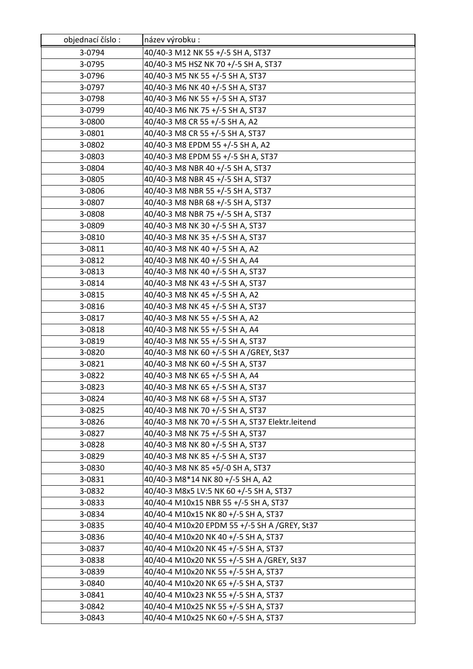| objednací číslo: | název výrobku :                                 |
|------------------|-------------------------------------------------|
| 3-0794           | 40/40-3 M12 NK 55 +/-5 SH A, ST37               |
| 3-0795           | 40/40-3 M5 HSZ NK 70 +/-5 SH A, ST37            |
| 3-0796           | 40/40-3 M5 NK 55 +/-5 SH A, ST37                |
| 3-0797           | 40/40-3 M6 NK 40 +/-5 SH A, ST37                |
| 3-0798           | 40/40-3 M6 NK 55 +/-5 SH A, ST37                |
| 3-0799           | 40/40-3 M6 NK 75 +/-5 SH A, ST37                |
| 3-0800           | 40/40-3 M8 CR 55 +/-5 SH A, A2                  |
| 3-0801           | 40/40-3 M8 CR 55 +/-5 SH A, ST37                |
| 3-0802           | 40/40-3 M8 EPDM 55 +/-5 SH A, A2                |
| 3-0803           | 40/40-3 M8 EPDM 55 +/-5 SH A, ST37              |
| 3-0804           | 40/40-3 M8 NBR 40 +/-5 SH A, ST37               |
| 3-0805           | 40/40-3 M8 NBR 45 +/-5 SH A, ST37               |
| 3-0806           | 40/40-3 M8 NBR 55 +/-5 SH A, ST37               |
| 3-0807           | 40/40-3 M8 NBR 68 +/-5 SH A, ST37               |
| 3-0808           | 40/40-3 M8 NBR 75 +/-5 SH A, ST37               |
| 3-0809           | 40/40-3 M8 NK 30 +/-5 SH A, ST37                |
| 3-0810           | 40/40-3 M8 NK 35 +/-5 SH A, ST37                |
| 3-0811           | 40/40-3 M8 NK 40 +/-5 SH A, A2                  |
| 3-0812           | 40/40-3 M8 NK 40 +/-5 SH A, A4                  |
| 3-0813           | 40/40-3 M8 NK 40 +/-5 SH A, ST37                |
| 3-0814           | 40/40-3 M8 NK 43 +/-5 SH A, ST37                |
| 3-0815           | 40/40-3 M8 NK 45 +/-5 SH A, A2                  |
| 3-0816           | 40/40-3 M8 NK 45 +/-5 SH A, ST37                |
| 3-0817           | 40/40-3 M8 NK 55 +/-5 SH A, A2                  |
| 3-0818           | 40/40-3 M8 NK 55 +/-5 SH A, A4                  |
| 3-0819           | 40/40-3 M8 NK 55 +/-5 SH A, ST37                |
| 3-0820           | 40/40-3 M8 NK 60 +/-5 SH A /GREY, St37          |
| 3-0821           | 40/40-3 M8 NK 60 +/-5 SH A, ST37                |
| 3-0822           | 40/40-3 M8 NK 65 +/-5 SH A, A4                  |
| 3-0823           | 40/40-3 M8 NK 65 +/-5 SH A, ST37                |
| 3-0824           | 40/40-3 M8 NK 68 +/-5 SH A, ST37                |
| 3-0825           | 40/40-3 M8 NK 70 +/-5 SH A, ST37                |
| 3-0826           | 40/40-3 M8 NK 70 +/-5 SH A, ST37 Elektr.leitend |
| 3-0827           | 40/40-3 M8 NK 75 +/-5 SH A, ST37                |
| 3-0828           | 40/40-3 M8 NK 80 +/-5 SH A, ST37                |
| 3-0829           | 40/40-3 M8 NK 85 +/-5 SH A, ST37                |
| 3-0830           | 40/40-3 M8 NK 85 +5/-0 SH A, ST37               |
| 3-0831           | 40/40-3 M8*14 NK 80 +/-5 SH A, A2               |
| 3-0832           | 40/40-3 M8x5 LV:5 NK 60 +/-5 SH A, ST37         |
| 3-0833           | 40/40-4 M10x15 NBR 55 +/-5 SH A, ST37           |
| 3-0834           | 40/40-4 M10x15 NK 80 +/-5 SH A, ST37            |
| 3-0835           | 40/40-4 M10x20 EPDM 55 +/-5 SH A /GREY, St37    |
| 3-0836           | 40/40-4 M10x20 NK 40 +/-5 SH A, ST37            |
| 3-0837           | 40/40-4 M10x20 NK 45 +/-5 SH A, ST37            |
| 3-0838           | 40/40-4 M10x20 NK 55 +/-5 SH A /GREY, St37      |
| 3-0839           | 40/40-4 M10x20 NK 55 +/-5 SH A, ST37            |
| 3-0840           | 40/40-4 M10x20 NK 65 +/-5 SH A, ST37            |
| 3-0841           | 40/40-4 M10x23 NK 55 +/-5 SH A, ST37            |
| 3-0842           | 40/40-4 M10x25 NK 55 +/-5 SH A, ST37            |
| 3-0843           | 40/40-4 M10x25 NK 60 +/-5 SH A, ST37            |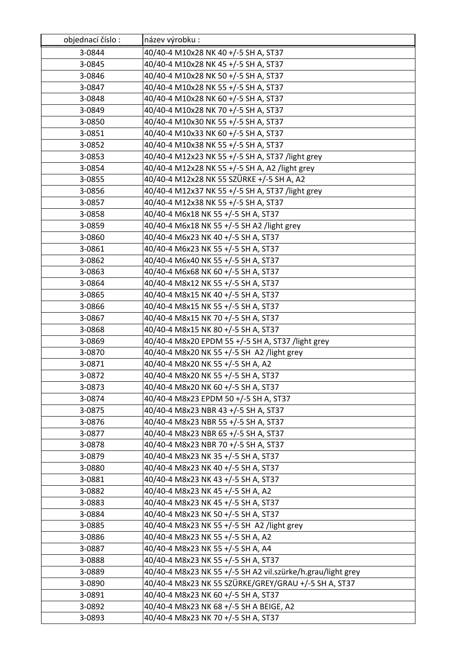| objednací číslo: | název výrobku :                                             |
|------------------|-------------------------------------------------------------|
| 3-0844           | 40/40-4 M10x28 NK 40 +/-5 SH A, ST37                        |
| 3-0845           | 40/40-4 M10x28 NK 45 +/-5 SH A, ST37                        |
| 3-0846           | 40/40-4 M10x28 NK 50 +/-5 SH A, ST37                        |
| 3-0847           | 40/40-4 M10x28 NK 55 +/-5 SH A, ST37                        |
| 3-0848           | 40/40-4 M10x28 NK 60 +/-5 SH A, ST37                        |
| 3-0849           | 40/40-4 M10x28 NK 70 +/-5 SH A, ST37                        |
| 3-0850           | 40/40-4 M10x30 NK 55 +/-5 SH A, ST37                        |
| 3-0851           | 40/40-4 M10x33 NK 60 +/-5 SH A, ST37                        |
| 3-0852           | 40/40-4 M10x38 NK 55 +/-5 SH A, ST37                        |
| 3-0853           | 40/40-4 M12x23 NK 55 +/-5 SH A, ST37 /light grey            |
| 3-0854           | 40/40-4 M12x28 NK 55 +/-5 SH A, A2 /light grey              |
| 3-0855           | 40/40-4 M12x28 NK 55 SZÜRKE +/-5 SH A, A2                   |
| 3-0856           | 40/40-4 M12x37 NK 55 +/-5 SH A, ST37 /light grey            |
| 3-0857           | 40/40-4 M12x38 NK 55 +/-5 SH A, ST37                        |
| 3-0858           | 40/40-4 M6x18 NK 55 +/-5 SH A, ST37                         |
| 3-0859           | 40/40-4 M6x18 NK 55 +/-5 SH A2 /light grey                  |
| 3-0860           | 40/40-4 M6x23 NK 40 +/-5 SH A, ST37                         |
| 3-0861           | 40/40-4 M6x23 NK 55 +/-5 SH A, ST37                         |
| 3-0862           | 40/40-4 M6x40 NK 55 +/-5 SH A, ST37                         |
| 3-0863           | 40/40-4 M6x68 NK 60 +/-5 SH A, ST37                         |
| 3-0864           | 40/40-4 M8x12 NK 55 +/-5 SH A, ST37                         |
| 3-0865           | 40/40-4 M8x15 NK 40 +/-5 SH A, ST37                         |
| 3-0866           | 40/40-4 M8x15 NK 55 +/-5 SH A, ST37                         |
| 3-0867           | 40/40-4 M8x15 NK 70 +/-5 SH A, ST37                         |
| 3-0868           | 40/40-4 M8x15 NK 80 +/-5 SH A, ST37                         |
| 3-0869           | 40/40-4 M8x20 EPDM 55 +/-5 SH A, ST37 /light grey           |
| 3-0870           | 40/40-4 M8x20 NK 55 +/-5 SH A2 /light grey                  |
| 3-0871           | 40/40-4 M8x20 NK 55 +/-5 SH A, A2                           |
| 3-0872           | 40/40-4 M8x20 NK 55 +/-5 SH A, ST37                         |
| 3-0873           | 40/40-4 M8x20 NK 60 +/-5 SH A, ST37                         |
| 3-0874           | 40/40-4 M8x23 EPDM 50 +/-5 SH A, ST37                       |
| 3-0875           | 40/40-4 M8x23 NBR 43 +/-5 SH A, ST37                        |
| 3-0876           | 40/40-4 M8x23 NBR 55 +/-5 SH A, ST37                        |
| 3-0877           | 40/40-4 M8x23 NBR 65 +/-5 SH A, ST37                        |
| 3-0878           | 40/40-4 M8x23 NBR 70 +/-5 SH A, ST37                        |
| 3-0879           | 40/40-4 M8x23 NK 35 +/-5 SH A, ST37                         |
| 3-0880           | 40/40-4 M8x23 NK 40 +/-5 SH A, ST37                         |
| 3-0881           | 40/40-4 M8x23 NK 43 +/-5 SH A, ST37                         |
| 3-0882           | 40/40-4 M8x23 NK 45 +/-5 SH A, A2                           |
| 3-0883           | 40/40-4 M8x23 NK 45 +/-5 SH A, ST37                         |
| 3-0884           | 40/40-4 M8x23 NK 50 +/-5 SH A, ST37                         |
| 3-0885           | 40/40-4 M8x23 NK 55 +/-5 SH A2 /light grey                  |
| 3-0886           | 40/40-4 M8x23 NK 55 +/-5 SH A, A2                           |
| 3-0887           | 40/40-4 M8x23 NK 55 +/-5 SH A, A4                           |
| 3-0888           | 40/40-4 M8x23 NK 55 +/-5 SH A, ST37                         |
| 3-0889           | 40/40-4 M8x23 NK 55 +/-5 SH A2 vil.szürke/h.grau/light grey |
| 3-0890           | 40/40-4 M8x23 NK 55 SZÜRKE/GREY/GRAU +/-5 SH A, ST37        |
| 3-0891           | 40/40-4 M8x23 NK 60 +/-5 SH A, ST37                         |
| 3-0892           | 40/40-4 M8x23 NK 68 +/-5 SH A BEIGE, A2                     |
| 3-0893           | 40/40-4 M8x23 NK 70 +/-5 SH A, ST37                         |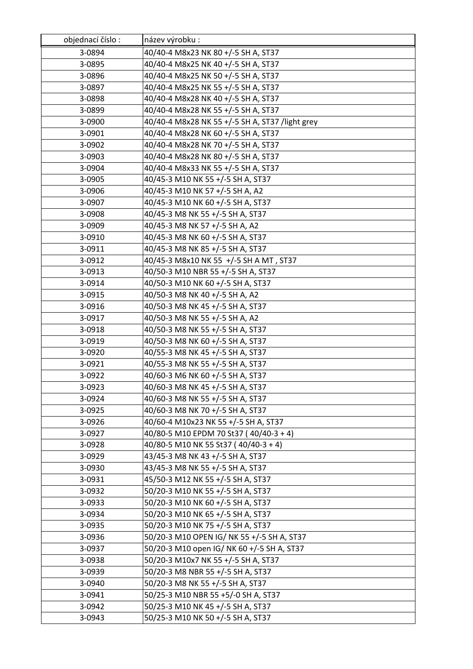| objednací číslo: | název výrobku:                                  |
|------------------|-------------------------------------------------|
| 3-0894           | 40/40-4 M8x23 NK 80 +/-5 SH A, ST37             |
| 3-0895           | 40/40-4 M8x25 NK 40 +/-5 SH A, ST37             |
| 3-0896           | 40/40-4 M8x25 NK 50 +/-5 SH A, ST37             |
| 3-0897           | 40/40-4 M8x25 NK 55 +/-5 SH A, ST37             |
| 3-0898           | 40/40-4 M8x28 NK 40 +/-5 SH A, ST37             |
| 3-0899           | 40/40-4 M8x28 NK 55 +/-5 SH A, ST37             |
| 3-0900           | 40/40-4 M8x28 NK 55 +/-5 SH A, ST37 /light grey |
| 3-0901           | 40/40-4 M8x28 NK 60 +/-5 SH A, ST37             |
| 3-0902           | 40/40-4 M8x28 NK 70 +/-5 SH A, ST37             |
| 3-0903           | 40/40-4 M8x28 NK 80 +/-5 SH A, ST37             |
| 3-0904           | 40/40-4 M8x33 NK 55 +/-5 SH A, ST37             |
| 3-0905           | 40/45-3 M10 NK 55 +/-5 SH A, ST37               |
| 3-0906           | 40/45-3 M10 NK 57 +/-5 SH A, A2                 |
| 3-0907           | 40/45-3 M10 NK 60 +/-5 SH A, ST37               |
| 3-0908           | 40/45-3 M8 NK 55 +/-5 SH A, ST37                |
| 3-0909           | 40/45-3 M8 NK 57 +/-5 SH A, A2                  |
| 3-0910           | 40/45-3 M8 NK 60 +/-5 SH A, ST37                |
| 3-0911           | 40/45-3 M8 NK 85 +/-5 SH A, ST37                |
| 3-0912           | 40/45-3 M8x10 NK 55 +/-5 SH A MT, ST37          |
| 3-0913           | 40/50-3 M10 NBR 55 +/-5 SH A, ST37              |
| 3-0914           | 40/50-3 M10 NK 60 +/-5 SH A, ST37               |
| 3-0915           | 40/50-3 M8 NK 40 +/-5 SH A, A2                  |
| 3-0916           | 40/50-3 M8 NK 45 +/-5 SH A, ST37                |
| 3-0917           | 40/50-3 M8 NK 55 +/-5 SH A, A2                  |
| 3-0918           | 40/50-3 M8 NK 55 +/-5 SH A, ST37                |
| 3-0919           | 40/50-3 M8 NK 60 +/-5 SH A, ST37                |
| 3-0920           | 40/55-3 M8 NK 45 +/-5 SH A, ST37                |
| 3-0921           | 40/55-3 M8 NK 55 +/-5 SH A, ST37                |
| 3-0922           | 40/60-3 M6 NK 60 +/-5 SH A, ST37                |
| 3-0923           | 40/60-3 M8 NK 45 +/-5 SH A, ST37                |
| 3-0924           | 40/60-3 M8 NK 55 +/-5 SH A, ST37                |
| 3-0925           | 40/60-3 M8 NK 70 +/-5 SH A, ST37                |
| 3-0926           | 40/60-4 M10x23 NK 55 +/-5 SH A, ST37            |
| 3-0927           | 40/80-5 M10 EPDM 70 St37 (40/40-3 + 4)          |
| 3-0928           | 40/80-5 M10 NK 55 St37 (40/40-3 + 4)            |
| 3-0929           | 43/45-3 M8 NK 43 +/-5 SH A, ST37                |
| 3-0930           | 43/45-3 M8 NK 55 +/-5 SH A, ST37                |
| 3-0931           | 45/50-3 M12 NK 55 +/-5 SH A, ST37               |
| 3-0932           | 50/20-3 M10 NK 55 +/-5 SH A, ST37               |
| 3-0933           | 50/20-3 M10 NK 60 +/-5 SH A, ST37               |
| 3-0934           | 50/20-3 M10 NK 65 +/-5 SH A, ST37               |
| 3-0935           | 50/20-3 M10 NK 75 +/-5 SH A, ST37               |
| 3-0936           | 50/20-3 M10 OPEN IG/ NK 55 +/-5 SH A, ST37      |
| 3-0937           | 50/20-3 M10 open IG/ NK 60 +/-5 SH A, ST37      |
| 3-0938           | 50/20-3 M10x7 NK 55 +/-5 SH A, ST37             |
| 3-0939           | 50/20-3 M8 NBR 55 +/-5 SH A, ST37               |
| 3-0940           | 50/20-3 M8 NK 55 +/-5 SH A, ST37                |
| 3-0941           | 50/25-3 M10 NBR 55 +5/-0 SH A, ST37             |
| 3-0942           | 50/25-3 M10 NK 45 +/-5 SH A, ST37               |
| 3-0943           | 50/25-3 M10 NK 50 +/-5 SH A, ST37               |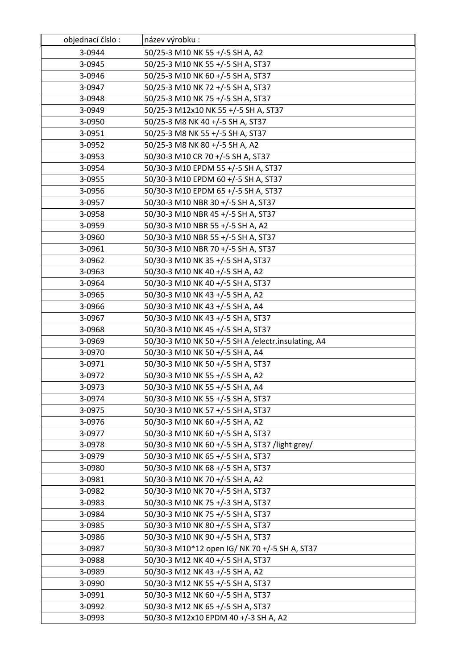| objednací číslo: | název výrobku :                                    |
|------------------|----------------------------------------------------|
| 3-0944           | 50/25-3 M10 NK 55 +/-5 SH A, A2                    |
| 3-0945           | 50/25-3 M10 NK 55 +/-5 SH A, ST37                  |
| 3-0946           | 50/25-3 M10 NK 60 +/-5 SH A, ST37                  |
| 3-0947           | 50/25-3 M10 NK 72 +/-5 SH A, ST37                  |
| 3-0948           | 50/25-3 M10 NK 75 +/-5 SH A, ST37                  |
| 3-0949           | 50/25-3 M12x10 NK 55 +/-5 SH A, ST37               |
| 3-0950           | 50/25-3 M8 NK 40 +/-5 SH A, ST37                   |
| 3-0951           | 50/25-3 M8 NK 55 +/-5 SH A, ST37                   |
| 3-0952           | 50/25-3 M8 NK 80 +/-5 SH A, A2                     |
| 3-0953           | 50/30-3 M10 CR 70 +/-5 SH A, ST37                  |
| 3-0954           | 50/30-3 M10 EPDM 55 +/-5 SH A, ST37                |
| 3-0955           | 50/30-3 M10 EPDM 60 +/-5 SH A, ST37                |
| 3-0956           | 50/30-3 M10 EPDM 65 +/-5 SH A, ST37                |
| 3-0957           | 50/30-3 M10 NBR 30 +/-5 SH A, ST37                 |
| 3-0958           | 50/30-3 M10 NBR 45 +/-5 SH A, ST37                 |
| 3-0959           | 50/30-3 M10 NBR 55 +/-5 SH A, A2                   |
| 3-0960           | 50/30-3 M10 NBR 55 +/-5 SH A, ST37                 |
| 3-0961           | 50/30-3 M10 NBR 70 +/-5 SH A, ST37                 |
| 3-0962           | 50/30-3 M10 NK 35 +/-5 SH A, ST37                  |
| 3-0963           | 50/30-3 M10 NK 40 +/-5 SH A, A2                    |
| 3-0964           | 50/30-3 M10 NK 40 +/-5 SH A, ST37                  |
| 3-0965           | 50/30-3 M10 NK 43 +/-5 SH A, A2                    |
| 3-0966           | 50/30-3 M10 NK 43 +/-5 SH A, A4                    |
| 3-0967           | 50/30-3 M10 NK 43 +/-5 SH A, ST37                  |
| 3-0968           | 50/30-3 M10 NK 45 +/-5 SH A, ST37                  |
| 3-0969           | 50/30-3 M10 NK 50 +/-5 SH A /electr.insulating, A4 |
| 3-0970           | 50/30-3 M10 NK 50 +/-5 SH A, A4                    |
| 3-0971           | 50/30-3 M10 NK 50 +/-5 SH A, ST37                  |
| 3-0972           | 50/30-3 M10 NK 55 +/-5 SH A, A2                    |
| 3-0973           | 50/30-3 M10 NK 55 +/-5 SH A, A4                    |
| 3-0974           | 50/30-3 M10 NK 55 +/-5 SH A, ST37                  |
| 3-0975           | 50/30-3 M10 NK 57 +/-5 SH A, ST37                  |
| 3-0976           | 50/30-3 M10 NK 60 +/-5 SH A, A2                    |
| 3-0977           | 50/30-3 M10 NK 60 +/-5 SH A, ST37                  |
| 3-0978           | 50/30-3 M10 NK 60 +/-5 SH A, ST37 /light grey/     |
| 3-0979           | 50/30-3 M10 NK 65 +/-5 SH A, ST37                  |
| 3-0980           | 50/30-3 M10 NK 68 +/-5 SH A, ST37                  |
| 3-0981           | 50/30-3 M10 NK 70 +/-5 SH A, A2                    |
| 3-0982           | 50/30-3 M10 NK 70 +/-5 SH A, ST37                  |
| 3-0983           | 50/30-3 M10 NK 75 +/-3 SH A, ST37                  |
| 3-0984           | 50/30-3 M10 NK 75 +/-5 SH A, ST37                  |
| 3-0985           | 50/30-3 M10 NK 80 +/-5 SH A, ST37                  |
| 3-0986           | 50/30-3 M10 NK 90 +/-5 SH A, ST37                  |
| 3-0987           | 50/30-3 M10*12 open IG/ NK 70 +/-5 SH A, ST37      |
| 3-0988           | 50/30-3 M12 NK 40 +/-5 SH A, ST37                  |
| 3-0989           | 50/30-3 M12 NK 43 +/-5 SH A, A2                    |
| 3-0990           | 50/30-3 M12 NK 55 +/-5 SH A, ST37                  |
| 3-0991           | 50/30-3 M12 NK 60 +/-5 SH A, ST37                  |
| 3-0992           | 50/30-3 M12 NK 65 +/-5 SH A, ST37                  |
| 3-0993           | 50/30-3 M12x10 EPDM 40 +/-3 SH A, A2               |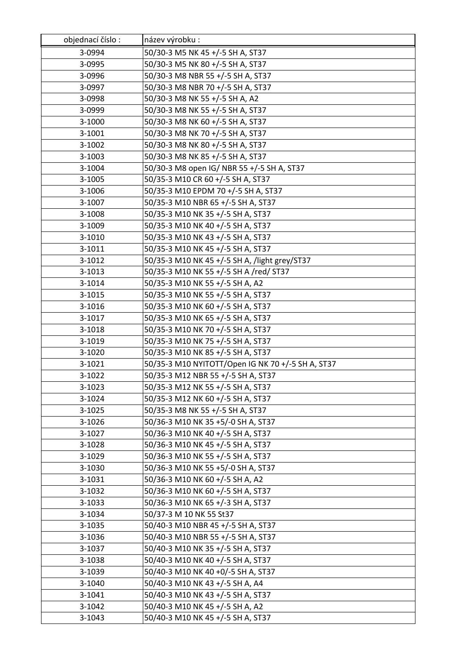| objednací číslo: | název výrobku :                                   |
|------------------|---------------------------------------------------|
| 3-0994           | 50/30-3 M5 NK 45 +/-5 SH A, ST37                  |
| 3-0995           | 50/30-3 M5 NK 80 +/-5 SH A, ST37                  |
| 3-0996           | 50/30-3 M8 NBR 55 +/-5 SH A, ST37                 |
| 3-0997           | 50/30-3 M8 NBR 70 +/-5 SH A, ST37                 |
| 3-0998           | 50/30-3 M8 NK 55 +/-5 SH A, A2                    |
| 3-0999           | 50/30-3 M8 NK 55 +/-5 SH A, ST37                  |
| 3-1000           | 50/30-3 M8 NK 60 +/-5 SH A, ST37                  |
| 3-1001           | 50/30-3 M8 NK 70 +/-5 SH A, ST37                  |
| 3-1002           | 50/30-3 M8 NK 80 +/-5 SH A, ST37                  |
| 3-1003           | 50/30-3 M8 NK 85 +/-5 SH A, ST37                  |
| 3-1004           | 50/30-3 M8 open IG/ NBR 55 +/-5 SH A, ST37        |
| 3-1005           | 50/35-3 M10 CR 60 +/-5 SH A, ST37                 |
| 3-1006           | 50/35-3 M10 EPDM 70 +/-5 SH A, ST37               |
| 3-1007           | 50/35-3 M10 NBR 65 +/-5 SH A, ST37                |
| 3-1008           | 50/35-3 M10 NK 35 +/-5 SH A, ST37                 |
| 3-1009           | 50/35-3 M10 NK 40 +/-5 SH A, ST37                 |
| 3-1010           | 50/35-3 M10 NK 43 +/-5 SH A, ST37                 |
| 3-1011           | 50/35-3 M10 NK 45 +/-5 SH A, ST37                 |
| 3-1012           | 50/35-3 M10 NK 45 +/-5 SH A, /light grey/ST37     |
| 3-1013           | 50/35-3 M10 NK 55 +/-5 SH A /red/ ST37            |
| 3-1014           | 50/35-3 M10 NK 55 +/-5 SH A, A2                   |
| 3-1015           | 50/35-3 M10 NK 55 +/-5 SH A, ST37                 |
| 3-1016           | 50/35-3 M10 NK 60 +/-5 SH A, ST37                 |
| 3-1017           | 50/35-3 M10 NK 65 +/-5 SH A, ST37                 |
| 3-1018           | 50/35-3 M10 NK 70 +/-5 SH A, ST37                 |
| 3-1019           | 50/35-3 M10 NK 75 +/-5 SH A, ST37                 |
| 3-1020           | 50/35-3 M10 NK 85 +/-5 SH A, ST37                 |
| 3-1021           | 50/35-3 M10 NYITOTT/Open IG NK 70 +/-5 SH A, ST37 |
| 3-1022           | 50/35-3 M12 NBR 55 +/-5 SH A, ST37                |
| 3-1023           | 50/35-3 M12 NK 55 +/-5 SH A, ST37                 |
| 3-1024           | 50/35-3 M12 NK 60 +/-5 SH A, ST37                 |
| 3-1025           | 50/35-3 M8 NK 55 +/-5 SH A, ST37                  |
| 3-1026           | 50/36-3 M10 NK 35 +5/-0 SH A, ST37                |
| 3-1027           | 50/36-3 M10 NK 40 +/-5 SH A, ST37                 |
| 3-1028           | 50/36-3 M10 NK 45 +/-5 SH A, ST37                 |
| 3-1029           | 50/36-3 M10 NK 55 +/-5 SH A, ST37                 |
| 3-1030           | 50/36-3 M10 NK 55 +5/-0 SH A, ST37                |
| 3-1031           | 50/36-3 M10 NK 60 +/-5 SH A, A2                   |
| 3-1032           | 50/36-3 M10 NK 60 +/-5 SH A, ST37                 |
| 3-1033           | 50/36-3 M10 NK 65 +/-3 SH A, ST37                 |
| 3-1034           | 50/37-3 M 10 NK 55 St37                           |
| 3-1035           | 50/40-3 M10 NBR 45 +/-5 SH A, ST37                |
| 3-1036           | 50/40-3 M10 NBR 55 +/-5 SH A, ST37                |
| 3-1037           | 50/40-3 M10 NK 35 +/-5 SH A, ST37                 |
| 3-1038           | 50/40-3 M10 NK 40 +/-5 SH A, ST37                 |
| 3-1039           | 50/40-3 M10 NK 40 +0/-5 SH A, ST37                |
| 3-1040           | 50/40-3 M10 NK 43 +/-5 SH A, A4                   |
| 3-1041           | 50/40-3 M10 NK 43 +/-5 SH A, ST37                 |
| 3-1042           | 50/40-3 M10 NK 45 +/-5 SH A, A2                   |
| 3-1043           | 50/40-3 M10 NK 45 +/-5 SH A, ST37                 |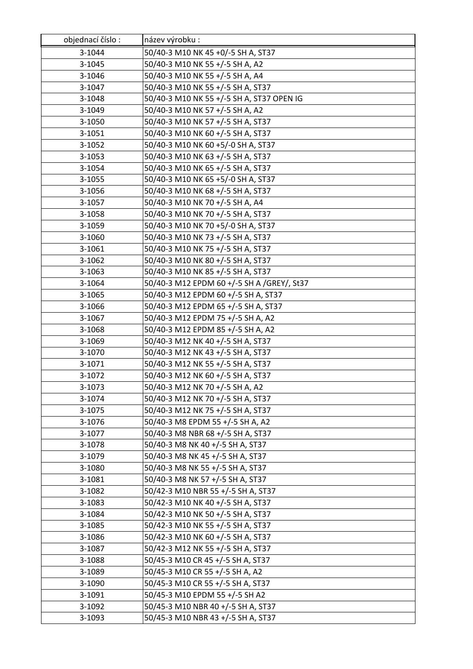| objednací číslo: | název výrobku :                            |
|------------------|--------------------------------------------|
| 3-1044           | 50/40-3 M10 NK 45 +0/-5 SH A, ST37         |
| 3-1045           | 50/40-3 M10 NK 55 +/-5 SH A, A2            |
| 3-1046           | 50/40-3 M10 NK 55 +/-5 SH A, A4            |
| 3-1047           | 50/40-3 M10 NK 55 +/-5 SH A, ST37          |
| 3-1048           | 50/40-3 M10 NK 55 +/-5 SH A, ST37 OPEN IG  |
| 3-1049           | 50/40-3 M10 NK 57 +/-5 SH A, A2            |
| 3-1050           | 50/40-3 M10 NK 57 +/-5 SH A, ST37          |
| 3-1051           | 50/40-3 M10 NK 60 +/-5 SH A, ST37          |
| 3-1052           | 50/40-3 M10 NK 60 +5/-0 SH A, ST37         |
| 3-1053           | 50/40-3 M10 NK 63 +/-5 SH A, ST37          |
| 3-1054           | 50/40-3 M10 NK 65 +/-5 SH A, ST37          |
| 3-1055           | 50/40-3 M10 NK 65 +5/-0 SH A, ST37         |
| 3-1056           | 50/40-3 M10 NK 68 +/-5 SH A, ST37          |
| 3-1057           | 50/40-3 M10 NK 70 +/-5 SH A, A4            |
| 3-1058           | 50/40-3 M10 NK 70 +/-5 SH A, ST37          |
| 3-1059           | 50/40-3 M10 NK 70 +5/-0 SH A, ST37         |
| 3-1060           | 50/40-3 M10 NK 73 +/-5 SH A, ST37          |
| 3-1061           | 50/40-3 M10 NK 75 +/-5 SH A, ST37          |
| 3-1062           | 50/40-3 M10 NK 80 +/-5 SH A, ST37          |
| 3-1063           | 50/40-3 M10 NK 85 +/-5 SH A, ST37          |
| 3-1064           | 50/40-3 M12 EPDM 60 +/-5 SH A /GREY/, St37 |
| 3-1065           | 50/40-3 M12 EPDM 60 +/-5 SH A, ST37        |
| 3-1066           | 50/40-3 M12 EPDM 65 +/-5 SH A, ST37        |
| 3-1067           | 50/40-3 M12 EPDM 75 +/-5 SH A, A2          |
| 3-1068           | 50/40-3 M12 EPDM 85 +/-5 SH A, A2          |
| 3-1069           | 50/40-3 M12 NK 40 +/-5 SH A, ST37          |
| 3-1070           | 50/40-3 M12 NK 43 +/-5 SH A, ST37          |
| 3-1071           | 50/40-3 M12 NK 55 +/-5 SH A, ST37          |
| 3-1072           | 50/40-3 M12 NK 60 +/-5 SH A, ST37          |
| 3-1073           | 50/40-3 M12 NK 70 +/-5 SH A, A2            |
| 3-1074           | 50/40-3 M12 NK 70 +/-5 SH A, ST37          |
| 3-1075           | 50/40-3 M12 NK 75 +/-5 SH A, ST37          |
| 3-1076           | 50/40-3 M8 EPDM 55 +/-5 SH A, A2           |
| 3-1077           | 50/40-3 M8 NBR 68 +/-5 SH A, ST37          |
| 3-1078           | 50/40-3 M8 NK 40 +/-5 SH A, ST37           |
| 3-1079           | 50/40-3 M8 NK 45 +/-5 SH A, ST37           |
| 3-1080           | 50/40-3 M8 NK 55 +/-5 SH A, ST37           |
| 3-1081           | 50/40-3 M8 NK 57 +/-5 SH A, ST37           |
| 3-1082           | 50/42-3 M10 NBR 55 +/-5 SH A, ST37         |
| 3-1083           | 50/42-3 M10 NK 40 +/-5 SH A, ST37          |
| 3-1084           | 50/42-3 M10 NK 50 +/-5 SH A, ST37          |
| 3-1085           | 50/42-3 M10 NK 55 +/-5 SH A, ST37          |
| 3-1086           | 50/42-3 M10 NK 60 +/-5 SH A, ST37          |
| 3-1087           | 50/42-3 M12 NK 55 +/-5 SH A, ST37          |
| 3-1088           | 50/45-3 M10 CR 45 +/-5 SH A, ST37          |
| 3-1089           | 50/45-3 M10 CR 55 +/-5 SH A, A2            |
| 3-1090           | 50/45-3 M10 CR 55 +/-5 SH A, ST37          |
| 3-1091           | 50/45-3 M10 EPDM 55 +/-5 SH A2             |
| 3-1092           | 50/45-3 M10 NBR 40 +/-5 SH A, ST37         |
| 3-1093           | 50/45-3 M10 NBR 43 +/-5 SH A, ST37         |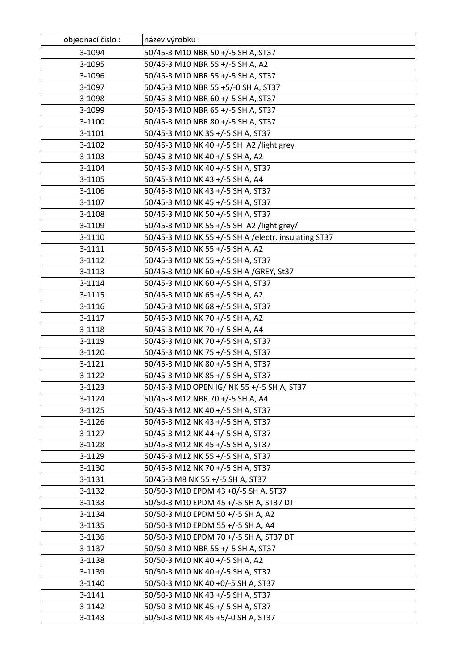| objednací číslo: | název výrobku:                                       |
|------------------|------------------------------------------------------|
| 3-1094           | 50/45-3 M10 NBR 50 +/-5 SH A, ST37                   |
| 3-1095           | 50/45-3 M10 NBR 55 +/-5 SH A, A2                     |
| 3-1096           | 50/45-3 M10 NBR 55 +/-5 SH A, ST37                   |
| 3-1097           | 50/45-3 M10 NBR 55 +5/-0 SH A, ST37                  |
| 3-1098           | 50/45-3 M10 NBR 60 +/-5 SH A, ST37                   |
| 3-1099           | 50/45-3 M10 NBR 65 +/-5 SH A, ST37                   |
| 3-1100           | 50/45-3 M10 NBR 80 +/-5 SH A, ST37                   |
| 3-1101           | 50/45-3 M10 NK 35 +/-5 SH A, ST37                    |
| 3-1102           | 50/45-3 M10 NK 40 +/-5 SH A2 /light grey             |
| 3-1103           | 50/45-3 M10 NK 40 +/-5 SH A, A2                      |
| 3-1104           | 50/45-3 M10 NK 40 +/-5 SH A, ST37                    |
| 3-1105           | 50/45-3 M10 NK 43 +/-5 SH A, A4                      |
| 3-1106           | 50/45-3 M10 NK 43 +/-5 SH A, ST37                    |
| 3-1107           | 50/45-3 M10 NK 45 +/-5 SH A, ST37                    |
| 3-1108           | 50/45-3 M10 NK 50 +/-5 SH A, ST37                    |
| 3-1109           | 50/45-3 M10 NK 55 +/-5 SH A2 /light grey/            |
| 3-1110           | 50/45-3 M10 NK 55 +/-5 SH A /electr. insulating ST37 |
| 3-1111           | 50/45-3 M10 NK 55 +/-5 SH A, A2                      |
| 3-1112           | 50/45-3 M10 NK 55 +/-5 SH A, ST37                    |
| 3-1113           | 50/45-3 M10 NK 60 +/-5 SH A /GREY, St37              |
| 3-1114           | 50/45-3 M10 NK 60 +/-5 SH A, ST37                    |
| 3-1115           | 50/45-3 M10 NK 65 +/-5 SH A, A2                      |
| 3-1116           | 50/45-3 M10 NK 68 +/-5 SH A, ST37                    |
| 3-1117           | 50/45-3 M10 NK 70 +/-5 SH A, A2                      |
| 3-1118           | 50/45-3 M10 NK 70 +/-5 SH A, A4                      |
| 3-1119           | 50/45-3 M10 NK 70 +/-5 SH A, ST37                    |
| 3-1120           | 50/45-3 M10 NK 75 +/-5 SH A, ST37                    |
| 3-1121           | 50/45-3 M10 NK 80 +/-5 SH A, ST37                    |
| 3-1122           | 50/45-3 M10 NK 85 +/-5 SH A, ST37                    |
| 3-1123           | 50/45-3 M10 OPEN IG/ NK 55 +/-5 SH A, ST37           |
| 3-1124           | 50/45-3 M12 NBR 70 +/-5 SH A, A4                     |
| 3-1125           | 50/45-3 M12 NK 40 +/-5 SH A, ST37                    |
| 3-1126           | 50/45-3 M12 NK 43 +/-5 SH A, ST37                    |
| 3-1127           | 50/45-3 M12 NK 44 +/-5 SH A, ST37                    |
| 3-1128           | 50/45-3 M12 NK 45 +/-5 SH A, ST37                    |
| 3-1129           | 50/45-3 M12 NK 55 +/-5 SH A, ST37                    |
| 3-1130           | 50/45-3 M12 NK 70 +/-5 SH A, ST37                    |
| 3-1131           | 50/45-3 M8 NK 55 +/-5 SH A, ST37                     |
| 3-1132           | 50/50-3 M10 EPDM 43 +0/-5 SH A, ST37                 |
| 3-1133           | 50/50-3 M10 EPDM 45 +/-5 SH A, ST37 DT               |
| 3-1134           | 50/50-3 M10 EPDM 50 +/-5 SH A, A2                    |
| 3-1135           | 50/50-3 M10 EPDM 55 +/-5 SH A, A4                    |
| 3-1136           | 50/50-3 M10 EPDM 70 +/-5 SH A, ST37 DT               |
| 3-1137           | 50/50-3 M10 NBR 55 +/-5 SH A, ST37                   |
| 3-1138           | 50/50-3 M10 NK 40 +/-5 SH A, A2                      |
| 3-1139           | 50/50-3 M10 NK 40 +/-5 SH A, ST37                    |
| 3-1140           | 50/50-3 M10 NK 40 +0/-5 SH A, ST37                   |
| 3-1141           | 50/50-3 M10 NK 43 +/-5 SH A, ST37                    |
| 3-1142           | 50/50-3 M10 NK 45 +/-5 SH A, ST37                    |
| 3-1143           | 50/50-3 M10 NK 45 +5/-0 SH A, ST37                   |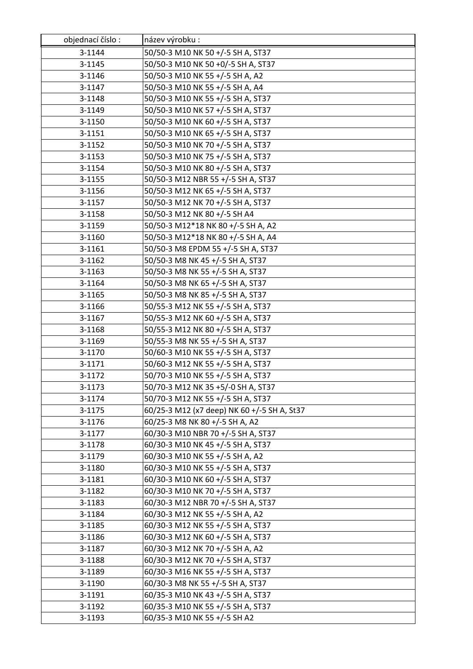| objednací číslo: | název výrobku :                             |
|------------------|---------------------------------------------|
| 3-1144           | 50/50-3 M10 NK 50 +/-5 SH A, ST37           |
| 3-1145           | 50/50-3 M10 NK 50 +0/-5 SH A, ST37          |
| 3-1146           | 50/50-3 M10 NK 55 +/-5 SH A, A2             |
| 3-1147           | 50/50-3 M10 NK 55 +/-5 SH A, A4             |
| 3-1148           | 50/50-3 M10 NK 55 +/-5 SH A, ST37           |
| 3-1149           | 50/50-3 M10 NK 57 +/-5 SH A, ST37           |
| 3-1150           | 50/50-3 M10 NK 60 +/-5 SH A, ST37           |
| 3-1151           | 50/50-3 M10 NK 65 +/-5 SH A, ST37           |
| 3-1152           | 50/50-3 M10 NK 70 +/-5 SH A, ST37           |
| 3-1153           | 50/50-3 M10 NK 75 +/-5 SH A, ST37           |
| 3-1154           | 50/50-3 M10 NK 80 +/-5 SH A, ST37           |
| 3-1155           | 50/50-3 M12 NBR 55 +/-5 SH A, ST37          |
| 3-1156           | 50/50-3 M12 NK 65 +/-5 SH A, ST37           |
| 3-1157           | 50/50-3 M12 NK 70 +/-5 SH A, ST37           |
| 3-1158           | 50/50-3 M12 NK 80 +/-5 SH A4                |
| 3-1159           | 50/50-3 M12*18 NK 80 +/-5 SH A, A2          |
| 3-1160           | 50/50-3 M12*18 NK 80 +/-5 SH A, A4          |
| 3-1161           | 50/50-3 M8 EPDM 55 +/-5 SH A, ST37          |
| 3-1162           | 50/50-3 M8 NK 45 +/-5 SH A, ST37            |
| 3-1163           | 50/50-3 M8 NK 55 +/-5 SH A, ST37            |
| 3-1164           | 50/50-3 M8 NK 65 +/-5 SH A, ST37            |
| 3-1165           | 50/50-3 M8 NK 85 +/-5 SH A, ST37            |
| 3-1166           | 50/55-3 M12 NK 55 +/-5 SH A, ST37           |
| 3-1167           | 50/55-3 M12 NK 60 +/-5 SH A, ST37           |
| 3-1168           | 50/55-3 M12 NK 80 +/-5 SH A, ST37           |
| 3-1169           | 50/55-3 M8 NK 55 +/-5 SH A, ST37            |
| 3-1170           | 50/60-3 M10 NK 55 +/-5 SH A, ST37           |
| 3-1171           | 50/60-3 M12 NK 55 +/-5 SH A, ST37           |
| 3-1172           | 50/70-3 M10 NK 55 +/-5 SH A, ST37           |
| 3-1173           | 50/70-3 M12 NK 35 +5/-0 SH A, ST37          |
| 3-1174           | 50/70-3 M12 NK 55 +/-5 SH A, ST37           |
| 3-1175           | 60/25-3 M12 (x7 deep) NK 60 +/-5 SH A, St37 |
| 3-1176           | 60/25-3 M8 NK 80 +/-5 SH A, A2              |
| 3-1177           | 60/30-3 M10 NBR 70 +/-5 SH A, ST37          |
| 3-1178           | 60/30-3 M10 NK 45 +/-5 SH A, ST37           |
| 3-1179           | 60/30-3 M10 NK 55 +/-5 SH A, A2             |
| 3-1180           | 60/30-3 M10 NK 55 +/-5 SH A, ST37           |
| 3-1181           | 60/30-3 M10 NK 60 +/-5 SH A, ST37           |
| 3-1182           | 60/30-3 M10 NK 70 +/-5 SH A, ST37           |
| 3-1183           | 60/30-3 M12 NBR 70 +/-5 SH A, ST37          |
| 3-1184           | 60/30-3 M12 NK 55 +/-5 SH A, A2             |
| 3-1185           | 60/30-3 M12 NK 55 +/-5 SH A, ST37           |
| 3-1186           | 60/30-3 M12 NK 60 +/-5 SH A, ST37           |
| 3-1187           | 60/30-3 M12 NK 70 +/-5 SH A, A2             |
| 3-1188           | 60/30-3 M12 NK 70 +/-5 SH A, ST37           |
| 3-1189           | 60/30-3 M16 NK 55 +/-5 SH A, ST37           |
| 3-1190           | 60/30-3 M8 NK 55 +/-5 SH A, ST37            |
| 3-1191           | 60/35-3 M10 NK 43 +/-5 SH A, ST37           |
| 3-1192           | 60/35-3 M10 NK 55 +/-5 SH A, ST37           |
| 3-1193           | 60/35-3 M10 NK 55 +/-5 SH A2                |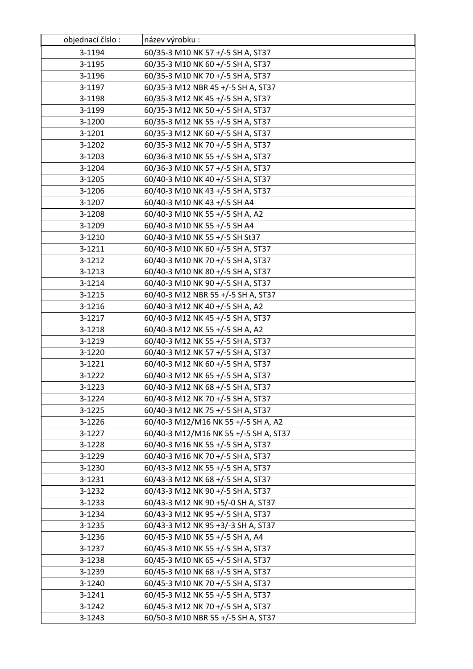| objednací číslo: | název výrobku:                        |
|------------------|---------------------------------------|
| 3-1194           | 60/35-3 M10 NK 57 +/-5 SH A, ST37     |
| 3-1195           | 60/35-3 M10 NK 60 +/-5 SH A, ST37     |
| 3-1196           | 60/35-3 M10 NK 70 +/-5 SH A, ST37     |
| 3-1197           | 60/35-3 M12 NBR 45 +/-5 SH A, ST37    |
| 3-1198           | 60/35-3 M12 NK 45 +/-5 SH A, ST37     |
| 3-1199           | 60/35-3 M12 NK 50 +/-5 SH A, ST37     |
| 3-1200           | 60/35-3 M12 NK 55 +/-5 SH A, ST37     |
| 3-1201           | 60/35-3 M12 NK 60 +/-5 SH A, ST37     |
| 3-1202           | 60/35-3 M12 NK 70 +/-5 SH A, ST37     |
| 3-1203           | 60/36-3 M10 NK 55 +/-5 SH A, ST37     |
| 3-1204           | 60/36-3 M10 NK 57 +/-5 SH A, ST37     |
| 3-1205           | 60/40-3 M10 NK 40 +/-5 SH A, ST37     |
| 3-1206           | 60/40-3 M10 NK 43 +/-5 SH A, ST37     |
| 3-1207           | 60/40-3 M10 NK 43 +/-5 SH A4          |
| 3-1208           | 60/40-3 M10 NK 55 +/-5 SH A, A2       |
| 3-1209           | 60/40-3 M10 NK 55 +/-5 SH A4          |
| 3-1210           | 60/40-3 M10 NK 55 +/-5 SH St37        |
| 3-1211           | 60/40-3 M10 NK 60 +/-5 SH A, ST37     |
| 3-1212           | 60/40-3 M10 NK 70 +/-5 SH A, ST37     |
| 3-1213           | 60/40-3 M10 NK 80 +/-5 SH A, ST37     |
| 3-1214           | 60/40-3 M10 NK 90 +/-5 SH A, ST37     |
| 3-1215           | 60/40-3 M12 NBR 55 +/-5 SH A, ST37    |
| 3-1216           | 60/40-3 M12 NK 40 +/-5 SH A, A2       |
| 3-1217           | 60/40-3 M12 NK 45 +/-5 SH A, ST37     |
| 3-1218           | 60/40-3 M12 NK 55 +/-5 SH A, A2       |
| 3-1219           | 60/40-3 M12 NK 55 +/-5 SH A, ST37     |
| 3-1220           | 60/40-3 M12 NK 57 +/-5 SH A, ST37     |
| 3-1221           | 60/40-3 M12 NK 60 +/-5 SH A, ST37     |
| 3-1222           | 60/40-3 M12 NK 65 +/-5 SH A, ST37     |
| 3-1223           | 60/40-3 M12 NK 68 +/-5 SH A, ST37     |
| 3-1224           | 60/40-3 M12 NK 70 +/-5 SH A, ST37     |
| 3-1225           | 60/40-3 M12 NK 75 +/-5 SH A, ST37     |
| 3-1226           | 60/40-3 M12/M16 NK 55 +/-5 SH A, A2   |
| 3-1227           | 60/40-3 M12/M16 NK 55 +/-5 SH A, ST37 |
| 3-1228           | 60/40-3 M16 NK 55 +/-5 SH A, ST37     |
| 3-1229           | 60/40-3 M16 NK 70 +/-5 SH A, ST37     |
| 3-1230           | 60/43-3 M12 NK 55 +/-5 SH A, ST37     |
| 3-1231           | 60/43-3 M12 NK 68 +/-5 SH A, ST37     |
| 3-1232           | 60/43-3 M12 NK 90 +/-5 SH A, ST37     |
| 3-1233           | 60/43-3 M12 NK 90 +5/-0 SH A, ST37    |
| 3-1234           | 60/43-3 M12 NK 95 +/-5 SH A, ST37     |
| 3-1235           | 60/43-3 M12 NK 95 +3/-3 SH A, ST37    |
| 3-1236           | 60/45-3 M10 NK 55 +/-5 SH A, A4       |
| 3-1237           | 60/45-3 M10 NK 55 +/-5 SH A, ST37     |
| 3-1238           | 60/45-3 M10 NK 65 +/-5 SH A, ST37     |
| 3-1239           | 60/45-3 M10 NK 68 +/-5 SH A, ST37     |
| 3-1240           | 60/45-3 M10 NK 70 +/-5 SH A, ST37     |
| 3-1241           | 60/45-3 M12 NK 55 +/-5 SH A, ST37     |
| 3-1242           | 60/45-3 M12 NK 70 +/-5 SH A, ST37     |
| 3-1243           | 60/50-3 M10 NBR 55 +/-5 SH A, ST37    |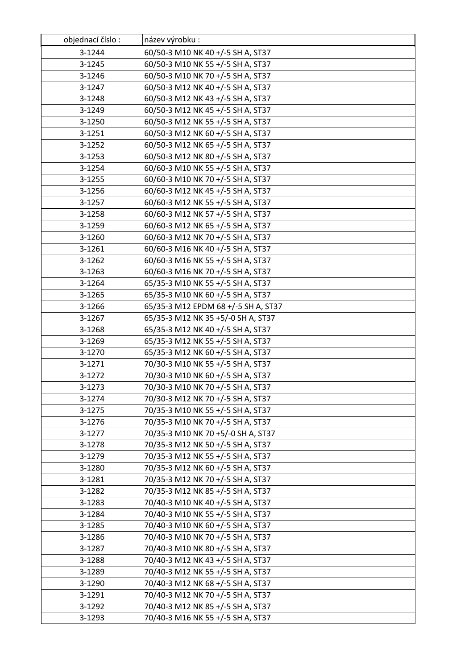| objednací číslo: | název výrobku :                     |
|------------------|-------------------------------------|
| 3-1244           | 60/50-3 M10 NK 40 +/-5 SH A, ST37   |
| 3-1245           | 60/50-3 M10 NK 55 +/-5 SH A, ST37   |
| 3-1246           | 60/50-3 M10 NK 70 +/-5 SH A, ST37   |
| 3-1247           | 60/50-3 M12 NK 40 +/-5 SH A, ST37   |
| 3-1248           | 60/50-3 M12 NK 43 +/-5 SH A, ST37   |
| 3-1249           | 60/50-3 M12 NK 45 +/-5 SH A, ST37   |
| 3-1250           | 60/50-3 M12 NK 55 +/-5 SH A, ST37   |
| 3-1251           | 60/50-3 M12 NK 60 +/-5 SH A, ST37   |
| 3-1252           | 60/50-3 M12 NK 65 +/-5 SH A, ST37   |
| 3-1253           | 60/50-3 M12 NK 80 +/-5 SH A, ST37   |
| 3-1254           | 60/60-3 M10 NK 55 +/-5 SH A, ST37   |
| 3-1255           | 60/60-3 M10 NK 70 +/-5 SH A, ST37   |
| 3-1256           | 60/60-3 M12 NK 45 +/-5 SH A, ST37   |
| 3-1257           | 60/60-3 M12 NK 55 +/-5 SH A, ST37   |
| 3-1258           | 60/60-3 M12 NK 57 +/-5 SH A, ST37   |
| 3-1259           | 60/60-3 M12 NK 65 +/-5 SH A, ST37   |
| 3-1260           | 60/60-3 M12 NK 70 +/-5 SH A, ST37   |
| 3-1261           | 60/60-3 M16 NK 40 +/-5 SH A, ST37   |
| 3-1262           | 60/60-3 M16 NK 55 +/-5 SH A, ST37   |
| 3-1263           | 60/60-3 M16 NK 70 +/-5 SH A, ST37   |
| 3-1264           | 65/35-3 M10 NK 55 +/-5 SH A, ST37   |
| 3-1265           | 65/35-3 M10 NK 60 +/-5 SH A, ST37   |
| 3-1266           | 65/35-3 M12 EPDM 68 +/-5 SH A, ST37 |
| 3-1267           | 65/35-3 M12 NK 35 +5/-0 SH A, ST37  |
| 3-1268           | 65/35-3 M12 NK 40 +/-5 SH A, ST37   |
| 3-1269           | 65/35-3 M12 NK 55 +/-5 SH A, ST37   |
| 3-1270           | 65/35-3 M12 NK 60 +/-5 SH A, ST37   |
| 3-1271           | 70/30-3 M10 NK 55 +/-5 SH A, ST37   |
| 3-1272           | 70/30-3 M10 NK 60 +/-5 SH A, ST37   |
| 3-1273           | 70/30-3 M10 NK 70 +/-5 SH A, ST37   |
| 3-1274           | 70/30-3 M12 NK 70 +/-5 SH A, ST37   |
| 3-1275           | 70/35-3 M10 NK 55 +/-5 SH A, ST37   |
| 3-1276           | 70/35-3 M10 NK 70 +/-5 SH A, ST37   |
| 3-1277           | 70/35-3 M10 NK 70 +5/-0 SH A, ST37  |
| 3-1278           | 70/35-3 M12 NK 50 +/-5 SH A, ST37   |
| 3-1279           | 70/35-3 M12 NK 55 +/-5 SH A, ST37   |
| 3-1280           | 70/35-3 M12 NK 60 +/-5 SH A, ST37   |
| 3-1281           | 70/35-3 M12 NK 70 +/-5 SH A, ST37   |
| 3-1282           | 70/35-3 M12 NK 85 +/-5 SH A, ST37   |
| 3-1283           | 70/40-3 M10 NK 40 +/-5 SH A, ST37   |
| 3-1284           | 70/40-3 M10 NK 55 +/-5 SH A, ST37   |
| 3-1285           | 70/40-3 M10 NK 60 +/-5 SH A, ST37   |
| 3-1286           | 70/40-3 M10 NK 70 +/-5 SH A, ST37   |
| 3-1287           | 70/40-3 M10 NK 80 +/-5 SH A, ST37   |
| 3-1288           | 70/40-3 M12 NK 43 +/-5 SH A, ST37   |
| 3-1289           | 70/40-3 M12 NK 55 +/-5 SH A, ST37   |
| 3-1290           | 70/40-3 M12 NK 68 +/-5 SH A, ST37   |
| 3-1291           | 70/40-3 M12 NK 70 +/-5 SH A, ST37   |
| 3-1292           | 70/40-3 M12 NK 85 +/-5 SH A, ST37   |
| 3-1293           | 70/40-3 M16 NK 55 +/-5 SH A, ST37   |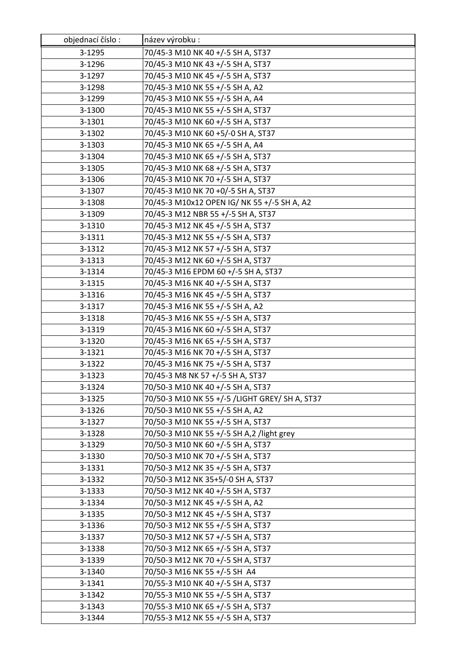| objednací číslo: | název výrobku :                                |
|------------------|------------------------------------------------|
| 3-1295           | 70/45-3 M10 NK 40 +/-5 SH A, ST37              |
| 3-1296           | 70/45-3 M10 NK 43 +/-5 SH A, ST37              |
| 3-1297           | 70/45-3 M10 NK 45 +/-5 SH A, ST37              |
| 3-1298           | 70/45-3 M10 NK 55 +/-5 SH A, A2                |
| 3-1299           | 70/45-3 M10 NK 55 +/-5 SH A, A4                |
| 3-1300           | 70/45-3 M10 NK 55 +/-5 SH A, ST37              |
| 3-1301           | 70/45-3 M10 NK 60 +/-5 SH A, ST37              |
| 3-1302           | 70/45-3 M10 NK 60 +5/-0 SH A, ST37             |
| 3-1303           | 70/45-3 M10 NK 65 +/-5 SH A, A4                |
| 3-1304           | 70/45-3 M10 NK 65 +/-5 SH A, ST37              |
| 3-1305           | 70/45-3 M10 NK 68 +/-5 SH A, ST37              |
| 3-1306           | 70/45-3 M10 NK 70 +/-5 SH A, ST37              |
| 3-1307           | 70/45-3 M10 NK 70 +0/-5 SH A, ST37             |
| 3-1308           | 70/45-3 M10x12 OPEN IG/ NK 55 +/-5 SH A, A2    |
| 3-1309           | 70/45-3 M12 NBR 55 +/-5 SH A, ST37             |
| 3-1310           | 70/45-3 M12 NK 45 +/-5 SH A, ST37              |
| 3-1311           | 70/45-3 M12 NK 55 +/-5 SH A, ST37              |
| 3-1312           | 70/45-3 M12 NK 57 +/-5 SH A, ST37              |
| 3-1313           | 70/45-3 M12 NK 60 +/-5 SH A, ST37              |
| 3-1314           | 70/45-3 M16 EPDM 60 +/-5 SH A, ST37            |
| 3-1315           | 70/45-3 M16 NK 40 +/-5 SH A, ST37              |
| 3-1316           | 70/45-3 M16 NK 45 +/-5 SH A, ST37              |
| 3-1317           | 70/45-3 M16 NK 55 +/-5 SH A, A2                |
| 3-1318           | 70/45-3 M16 NK 55 +/-5 SH A, ST37              |
| 3-1319           | 70/45-3 M16 NK 60 +/-5 SH A, ST37              |
| 3-1320           | 70/45-3 M16 NK 65 +/-5 SH A, ST37              |
| 3-1321           | 70/45-3 M16 NK 70 +/-5 SH A, ST37              |
| 3-1322           | 70/45-3 M16 NK 75 +/-5 SH A, ST37              |
| 3-1323           | 70/45-3 M8 NK 57 +/-5 SH A, ST37               |
| 3-1324           | 70/50-3 M10 NK 40 +/-5 SH A, ST37              |
| 3-1325           | 70/50-3 M10 NK 55 +/-5 /LIGHT GREY/ SH A, ST37 |
| 3-1326           | 70/50-3 M10 NK 55 +/-5 SH A, A2                |
| 3-1327           | 70/50-3 M10 NK 55 +/-5 SH A, ST37              |
| 3-1328           | 70/50-3 M10 NK 55 +/-5 SH A,2 /light grey      |
| 3-1329           | 70/50-3 M10 NK 60 +/-5 SH A, ST37              |
| 3-1330           | 70/50-3 M10 NK 70 +/-5 SH A, ST37              |
| 3-1331           | 70/50-3 M12 NK 35 +/-5 SH A, ST37              |
| 3-1332           | 70/50-3 M12 NK 35+5/-0 SH A, ST37              |
| 3-1333           | 70/50-3 M12 NK 40 +/-5 SH A, ST37              |
| 3-1334           | 70/50-3 M12 NK 45 +/-5 SH A, A2                |
| 3-1335           | 70/50-3 M12 NK 45 +/-5 SH A, ST37              |
| 3-1336           | 70/50-3 M12 NK 55 +/-5 SH A, ST37              |
| 3-1337           | 70/50-3 M12 NK 57 +/-5 SH A, ST37              |
| 3-1338           | 70/50-3 M12 NK 65 +/-5 SH A, ST37              |
| 3-1339           | 70/50-3 M12 NK 70 +/-5 SH A, ST37              |
| 3-1340           | 70/50-3 M16 NK 55 +/-5 SH A4                   |
| 3-1341           | 70/55-3 M10 NK 40 +/-5 SH A, ST37              |
| 3-1342           | 70/55-3 M10 NK 55 +/-5 SH A, ST37              |
| 3-1343           | 70/55-3 M10 NK 65 +/-5 SH A, ST37              |
| 3-1344           | 70/55-3 M12 NK 55 +/-5 SH A, ST37              |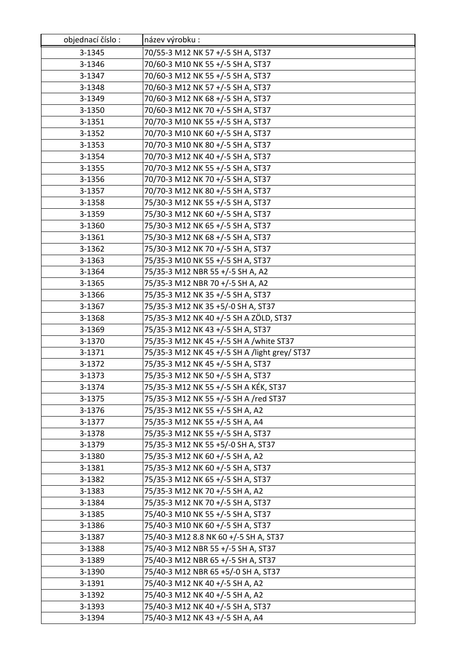| objednací číslo: | název výrobku :                                                             |
|------------------|-----------------------------------------------------------------------------|
| 3-1345           | 70/55-3 M12 NK 57 +/-5 SH A, ST37                                           |
| 3-1346           | 70/60-3 M10 NK 55 +/-5 SH A, ST37                                           |
| 3-1347           | 70/60-3 M12 NK 55 +/-5 SH A, ST37                                           |
| 3-1348           | 70/60-3 M12 NK 57 +/-5 SH A, ST37                                           |
| 3-1349           | 70/60-3 M12 NK 68 +/-5 SH A, ST37                                           |
| 3-1350           | 70/60-3 M12 NK 70 +/-5 SH A, ST37                                           |
| 3-1351           | 70/70-3 M10 NK 55 +/-5 SH A, ST37                                           |
| 3-1352           | 70/70-3 M10 NK 60 +/-5 SH A, ST37                                           |
| 3-1353           | 70/70-3 M10 NK 80 +/-5 SH A, ST37                                           |
| 3-1354           | 70/70-3 M12 NK 40 +/-5 SH A, ST37                                           |
| 3-1355           | 70/70-3 M12 NK 55 +/-5 SH A, ST37                                           |
| 3-1356           | 70/70-3 M12 NK 70 +/-5 SH A, ST37                                           |
| 3-1357           | 70/70-3 M12 NK 80 +/-5 SH A, ST37                                           |
| 3-1358           | 75/30-3 M12 NK 55 +/-5 SH A, ST37                                           |
| 3-1359           | 75/30-3 M12 NK 60 +/-5 SH A, ST37                                           |
| 3-1360           | 75/30-3 M12 NK 65 +/-5 SH A, ST37                                           |
| 3-1361           | 75/30-3 M12 NK 68 +/-5 SH A, ST37                                           |
| 3-1362           | 75/30-3 M12 NK 70 +/-5 SH A, ST37                                           |
| 3-1363           | 75/35-3 M10 NK 55 +/-5 SH A, ST37                                           |
| 3-1364           | 75/35-3 M12 NBR 55 +/-5 SH A, A2                                            |
| 3-1365           | 75/35-3 M12 NBR 70 +/-5 SH A, A2                                            |
| 3-1366           | 75/35-3 M12 NK 35 +/-5 SH A, ST37                                           |
| 3-1367           | 75/35-3 M12 NK 35 +5/-0 SH A, ST37                                          |
| 3-1368           | 75/35-3 M12 NK 40 +/-5 SH A ZÖLD, ST37                                      |
| 3-1369           | 75/35-3 M12 NK 43 +/-5 SH A, ST37                                           |
| 3-1370           | 75/35-3 M12 NK 45 +/-5 SH A /white ST37                                     |
| 3-1371           | 75/35-3 M12 NK 45 +/-5 SH A /light grey/ ST37                               |
| 3-1372           | 75/35-3 M12 NK 45 +/-5 SH A, ST37                                           |
| 3-1373           | 75/35-3 M12 NK 50 +/-5 SH A, ST37                                           |
| 3-1374           | 75/35-3 M12 NK 55 +/-5 SH A KÉK, ST37                                       |
| 3-1375           | 75/35-3 M12 NK 55 +/-5 SH A /red ST37                                       |
| 3-1376           | 75/35-3 M12 NK 55 +/-5 SH A, A2                                             |
| 3-1377           | 75/35-3 M12 NK 55 +/-5 SH A, A4                                             |
| 3-1378           | 75/35-3 M12 NK 55 +/-5 SH A, ST37                                           |
| 3-1379           | 75/35-3 M12 NK 55 +5/-0 SH A, ST37                                          |
| 3-1380           | 75/35-3 M12 NK 60 +/-5 SH A, A2                                             |
| 3-1381           | 75/35-3 M12 NK 60 +/-5 SH A, ST37                                           |
| 3-1382           | 75/35-3 M12 NK 65 +/-5 SH A, ST37                                           |
| 3-1383           | 75/35-3 M12 NK 70 +/-5 SH A, A2                                             |
| 3-1384           | 75/35-3 M12 NK 70 +/-5 SH A, ST37                                           |
| 3-1385           | 75/40-3 M10 NK 55 +/-5 SH A, ST37                                           |
| 3-1386           | 75/40-3 M10 NK 60 +/-5 SH A, ST37                                           |
| 3-1387<br>3-1388 | 75/40-3 M12 8.8 NK 60 +/-5 SH A, ST37<br>75/40-3 M12 NBR 55 +/-5 SH A, ST37 |
| 3-1389           | 75/40-3 M12 NBR 65 +/-5 SH A, ST37                                          |
| 3-1390           | 75/40-3 M12 NBR 65 +5/-0 SH A, ST37                                         |
| 3-1391           | 75/40-3 M12 NK 40 +/-5 SH A, A2                                             |
| 3-1392           | 75/40-3 M12 NK 40 +/-5 SH A, A2                                             |
| 3-1393           | 75/40-3 M12 NK 40 +/-5 SH A, ST37                                           |
| 3-1394           | 75/40-3 M12 NK 43 +/-5 SH A, A4                                             |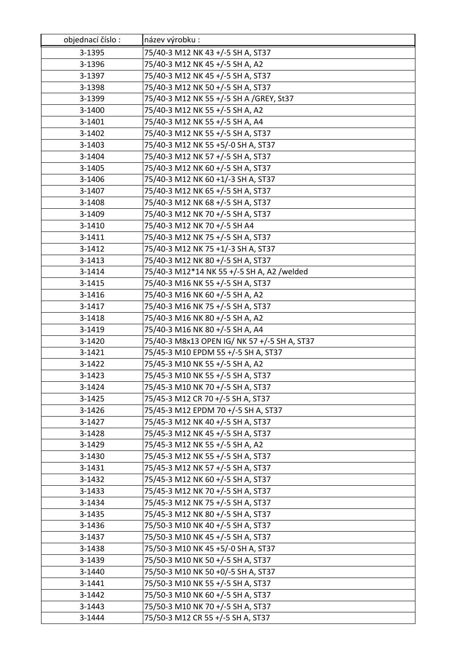| objednací číslo: | název výrobku:                               |
|------------------|----------------------------------------------|
| 3-1395           | 75/40-3 M12 NK 43 +/-5 SH A, ST37            |
| 3-1396           | 75/40-3 M12 NK 45 +/-5 SH A, A2              |
| 3-1397           | 75/40-3 M12 NK 45 +/-5 SH A, ST37            |
| 3-1398           | 75/40-3 M12 NK 50 +/-5 SH A, ST37            |
| 3-1399           | 75/40-3 M12 NK 55 +/-5 SH A /GREY, St37      |
| 3-1400           | 75/40-3 M12 NK 55 +/-5 SH A, A2              |
| 3-1401           | 75/40-3 M12 NK 55 +/-5 SH A, A4              |
| 3-1402           | 75/40-3 M12 NK 55 +/-5 SH A, ST37            |
| 3-1403           | 75/40-3 M12 NK 55 +5/-0 SH A, ST37           |
| 3-1404           | 75/40-3 M12 NK 57 +/-5 SH A, ST37            |
| 3-1405           | 75/40-3 M12 NK 60 +/-5 SH A, ST37            |
| 3-1406           | 75/40-3 M12 NK 60 +1/-3 SH A, ST37           |
| 3-1407           | 75/40-3 M12 NK 65 +/-5 SH A, ST37            |
| 3-1408           | 75/40-3 M12 NK 68 +/-5 SH A, ST37            |
| 3-1409           | 75/40-3 M12 NK 70 +/-5 SH A, ST37            |
| 3-1410           | 75/40-3 M12 NK 70 +/-5 SH A4                 |
| 3-1411           | 75/40-3 M12 NK 75 +/-5 SH A, ST37            |
| 3-1412           | 75/40-3 M12 NK 75 +1/-3 SH A, ST37           |
| 3-1413           | 75/40-3 M12 NK 80 +/-5 SH A, ST37            |
| 3-1414           | 75/40-3 M12*14 NK 55 +/-5 SH A, A2 /welded   |
| 3-1415           | 75/40-3 M16 NK 55 +/-5 SH A, ST37            |
| 3-1416           | 75/40-3 M16 NK 60 +/-5 SH A, A2              |
| 3-1417           | 75/40-3 M16 NK 75 +/-5 SH A, ST37            |
| 3-1418           | 75/40-3 M16 NK 80 +/-5 SH A, A2              |
| 3-1419           | 75/40-3 M16 NK 80 +/-5 SH A, A4              |
| 3-1420           | 75/40-3 M8x13 OPEN IG/ NK 57 +/-5 SH A, ST37 |
| 3-1421           | 75/45-3 M10 EPDM 55 +/-5 SH A, ST37          |
| 3-1422           | 75/45-3 M10 NK 55 +/-5 SH A, A2              |
| 3-1423           | 75/45-3 M10 NK 55 +/-5 SH A, ST37            |
| 3-1424           | 75/45-3 M10 NK 70 +/-5 SH A, ST37            |
| 3-1425           | 75/45-3 M12 CR 70 +/-5 SH A, ST37            |
| 3-1426           | 75/45-3 M12 EPDM 70 +/-5 SH A, ST37          |
| 3-1427           | 75/45-3 M12 NK 40 +/-5 SH A, ST37            |
| 3-1428           | 75/45-3 M12 NK 45 +/-5 SH A, ST37            |
| 3-1429           | 75/45-3 M12 NK 55 +/-5 SH A, A2              |
| 3-1430           | 75/45-3 M12 NK 55 +/-5 SH A, ST37            |
| 3-1431           | 75/45-3 M12 NK 57 +/-5 SH A, ST37            |
| 3-1432           | 75/45-3 M12 NK 60 +/-5 SH A, ST37            |
| 3-1433           | 75/45-3 M12 NK 70 +/-5 SH A, ST37            |
| 3-1434           | 75/45-3 M12 NK 75 +/-5 SH A, ST37            |
| 3-1435           | 75/45-3 M12 NK 80 +/-5 SH A, ST37            |
| 3-1436           | 75/50-3 M10 NK 40 +/-5 SH A, ST37            |
| 3-1437           | 75/50-3 M10 NK 45 +/-5 SH A, ST37            |
| 3-1438           | 75/50-3 M10 NK 45 +5/-0 SH A, ST37           |
| 3-1439           | 75/50-3 M10 NK 50 +/-5 SH A, ST37            |
| 3-1440           | 75/50-3 M10 NK 50 +0/-5 SH A, ST37           |
| 3-1441           | 75/50-3 M10 NK 55 +/-5 SH A, ST37            |
| 3-1442           | 75/50-3 M10 NK 60 +/-5 SH A, ST37            |
| 3-1443           | 75/50-3 M10 NK 70 +/-5 SH A, ST37            |
| 3-1444           | 75/50-3 M12 CR 55 +/-5 SH A, ST37            |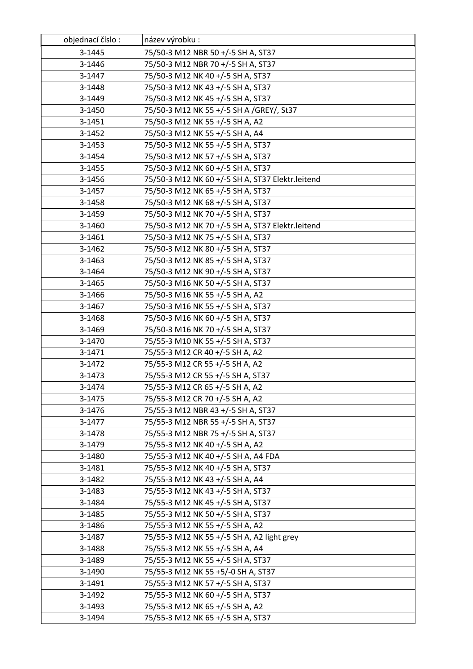| objednací číslo: | název výrobku :                                  |
|------------------|--------------------------------------------------|
| 3-1445           | 75/50-3 M12 NBR 50 +/-5 SH A, ST37               |
| 3-1446           | 75/50-3 M12 NBR 70 +/-5 SH A, ST37               |
| 3-1447           | 75/50-3 M12 NK 40 +/-5 SH A, ST37                |
| 3-1448           | 75/50-3 M12 NK 43 +/-5 SH A, ST37                |
| 3-1449           | 75/50-3 M12 NK 45 +/-5 SH A, ST37                |
| 3-1450           | 75/50-3 M12 NK 55 +/-5 SH A /GREY/, St37         |
| 3-1451           | 75/50-3 M12 NK 55 +/-5 SH A, A2                  |
| 3-1452           | 75/50-3 M12 NK 55 +/-5 SH A, A4                  |
| 3-1453           | 75/50-3 M12 NK 55 +/-5 SH A, ST37                |
| 3-1454           | 75/50-3 M12 NK 57 +/-5 SH A, ST37                |
| 3-1455           | 75/50-3 M12 NK 60 +/-5 SH A, ST37                |
| 3-1456           | 75/50-3 M12 NK 60 +/-5 SH A, ST37 Elektr.leitend |
| 3-1457           | 75/50-3 M12 NK 65 +/-5 SH A, ST37                |
| 3-1458           | 75/50-3 M12 NK 68 +/-5 SH A, ST37                |
| 3-1459           | 75/50-3 M12 NK 70 +/-5 SH A, ST37                |
| 3-1460           | 75/50-3 M12 NK 70 +/-5 SH A, ST37 Elektr.leitend |
| 3-1461           | 75/50-3 M12 NK 75 +/-5 SH A, ST37                |
| 3-1462           | 75/50-3 M12 NK 80 +/-5 SH A, ST37                |
| 3-1463           | 75/50-3 M12 NK 85 +/-5 SH A, ST37                |
| 3-1464           | 75/50-3 M12 NK 90 +/-5 SH A, ST37                |
| 3-1465           | 75/50-3 M16 NK 50 +/-5 SH A, ST37                |
| 3-1466           | 75/50-3 M16 NK 55 +/-5 SH A, A2                  |
| 3-1467           | 75/50-3 M16 NK 55 +/-5 SH A, ST37                |
| 3-1468           | 75/50-3 M16 NK 60 +/-5 SH A, ST37                |
| 3-1469           | 75/50-3 M16 NK 70 +/-5 SH A, ST37                |
| 3-1470           | 75/55-3 M10 NK 55 +/-5 SH A, ST37                |
| 3-1471           | 75/55-3 M12 CR 40 +/-5 SH A, A2                  |
| 3-1472           | 75/55-3 M12 CR 55 +/-5 SH A, A2                  |
| 3-1473           | 75/55-3 M12 CR 55 +/-5 SH A, ST37                |
| 3-1474           | 75/55-3 M12 CR 65 +/-5 SH A, A2                  |
| 3-1475           | 75/55-3 M12 CR 70 +/-5 SH A, A2                  |
| 3-1476           | 75/55-3 M12 NBR 43 +/-5 SH A, ST37               |
| 3-1477           | 75/55-3 M12 NBR 55 +/-5 SH A, ST37               |
| 3-1478           | 75/55-3 M12 NBR 75 +/-5 SH A, ST37               |
| 3-1479           | 75/55-3 M12 NK 40 +/-5 SH A, A2                  |
| 3-1480           | 75/55-3 M12 NK 40 +/-5 SH A, A4 FDA              |
| 3-1481           | 75/55-3 M12 NK 40 +/-5 SH A, ST37                |
| 3-1482           | 75/55-3 M12 NK 43 +/-5 SH A, A4                  |
| 3-1483           | 75/55-3 M12 NK 43 +/-5 SH A, ST37                |
| 3-1484           | 75/55-3 M12 NK 45 +/-5 SH A, ST37                |
| 3-1485           | 75/55-3 M12 NK 50 +/-5 SH A, ST37                |
| 3-1486           | 75/55-3 M12 NK 55 +/-5 SH A, A2                  |
| 3-1487           | 75/55-3 M12 NK 55 +/-5 SH A, A2 light grey       |
| 3-1488           | 75/55-3 M12 NK 55 +/-5 SH A, A4                  |
| 3-1489           | 75/55-3 M12 NK 55 +/-5 SH A, ST37                |
| 3-1490           | 75/55-3 M12 NK 55 +5/-0 SH A, ST37               |
| 3-1491           | 75/55-3 M12 NK 57 +/-5 SH A, ST37                |
| 3-1492           | 75/55-3 M12 NK 60 +/-5 SH A, ST37                |
| 3-1493           | 75/55-3 M12 NK 65 +/-5 SH A, A2                  |
| 3-1494           | 75/55-3 M12 NK 65 +/-5 SH A, ST37                |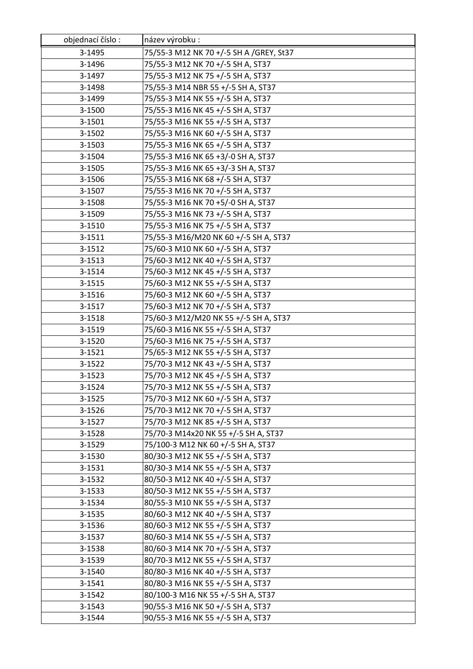| objednací číslo: | název výrobku :                         |
|------------------|-----------------------------------------|
| 3-1495           | 75/55-3 M12 NK 70 +/-5 SH A /GREY, St37 |
| 3-1496           | 75/55-3 M12 NK 70 +/-5 SH A, ST37       |
| 3-1497           | 75/55-3 M12 NK 75 +/-5 SH A, ST37       |
| 3-1498           | 75/55-3 M14 NBR 55 +/-5 SH A, ST37      |
| 3-1499           | 75/55-3 M14 NK 55 +/-5 SH A, ST37       |
| 3-1500           | 75/55-3 M16 NK 45 +/-5 SH A, ST37       |
| 3-1501           | 75/55-3 M16 NK 55 +/-5 SH A, ST37       |
| 3-1502           | 75/55-3 M16 NK 60 +/-5 SH A, ST37       |
| 3-1503           | 75/55-3 M16 NK 65 +/-5 SH A, ST37       |
| 3-1504           | 75/55-3 M16 NK 65 +3/-0 SH A, ST37      |
| 3-1505           | 75/55-3 M16 NK 65 +3/-3 SH A, ST37      |
| 3-1506           | 75/55-3 M16 NK 68 +/-5 SH A, ST37       |
| 3-1507           | 75/55-3 M16 NK 70 +/-5 SH A, ST37       |
| 3-1508           | 75/55-3 M16 NK 70 +5/-0 SH A, ST37      |
| 3-1509           | 75/55-3 M16 NK 73 +/-5 SH A, ST37       |
| 3-1510           | 75/55-3 M16 NK 75 +/-5 SH A, ST37       |
| 3-1511           | 75/55-3 M16/M20 NK 60 +/-5 SH A, ST37   |
| 3-1512           | 75/60-3 M10 NK 60 +/-5 SH A, ST37       |
| 3-1513           | 75/60-3 M12 NK 40 +/-5 SH A, ST37       |
| 3-1514           | 75/60-3 M12 NK 45 +/-5 SH A, ST37       |
| 3-1515           | 75/60-3 M12 NK 55 +/-5 SH A, ST37       |
| 3-1516           | 75/60-3 M12 NK 60 +/-5 SH A, ST37       |
| 3-1517           | 75/60-3 M12 NK 70 +/-5 SH A, ST37       |
| 3-1518           | 75/60-3 M12/M20 NK 55 +/-5 SH A, ST37   |
| 3-1519           | 75/60-3 M16 NK 55 +/-5 SH A, ST37       |
| 3-1520           | 75/60-3 M16 NK 75 +/-5 SH A, ST37       |
| 3-1521           | 75/65-3 M12 NK 55 +/-5 SH A, ST37       |
| 3-1522           | 75/70-3 M12 NK 43 +/-5 SH A, ST37       |
| 3-1523           | 75/70-3 M12 NK 45 +/-5 SH A, ST37       |
| 3-1524           | 75/70-3 M12 NK 55 +/-5 SH A, ST37       |
| 3-1525           | 75/70-3 M12 NK 60 +/-5 SH A, ST37       |
| 3-1526           | 75/70-3 M12 NK 70 +/-5 SH A, ST37       |
| 3-1527           | 75/70-3 M12 NK 85 +/-5 SH A, ST37       |
| 3-1528           | 75/70-3 M14x20 NK 55 +/-5 SH A, ST37    |
| 3-1529           | 75/100-3 M12 NK 60 +/-5 SH A, ST37      |
| 3-1530           | 80/30-3 M12 NK 55 +/-5 SH A, ST37       |
| 3-1531           | 80/30-3 M14 NK 55 +/-5 SH A, ST37       |
| 3-1532           | 80/50-3 M12 NK 40 +/-5 SH A, ST37       |
| 3-1533           | 80/50-3 M12 NK 55 +/-5 SH A, ST37       |
| 3-1534           | 80/55-3 M10 NK 55 +/-5 SH A, ST37       |
| 3-1535           | 80/60-3 M12 NK 40 +/-5 SH A, ST37       |
| 3-1536           | 80/60-3 M12 NK 55 +/-5 SH A, ST37       |
| 3-1537           | 80/60-3 M14 NK 55 +/-5 SH A, ST37       |
| 3-1538           | 80/60-3 M14 NK 70 +/-5 SH A, ST37       |
| 3-1539           | 80/70-3 M12 NK 55 +/-5 SH A, ST37       |
| 3-1540           | 80/80-3 M16 NK 40 +/-5 SH A, ST37       |
| 3-1541           | 80/80-3 M16 NK 55 +/-5 SH A, ST37       |
| 3-1542           | 80/100-3 M16 NK 55 +/-5 SH A, ST37      |
| 3-1543           | 90/55-3 M16 NK 50 +/-5 SH A, ST37       |
| 3-1544           | 90/55-3 M16 NK 55 +/-5 SH A, ST37       |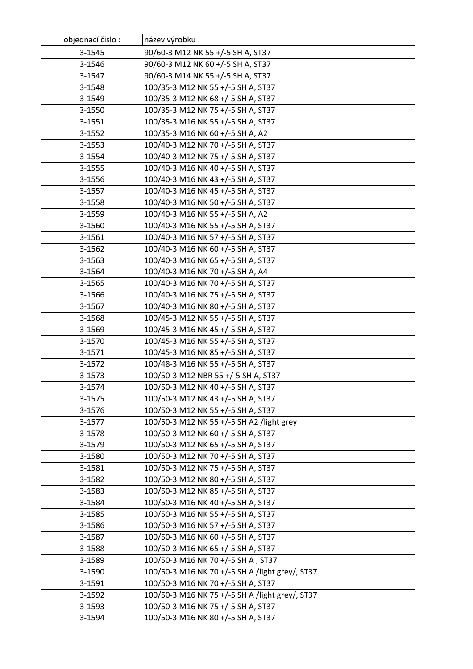| objednací číslo: | název výrobku:                                  |
|------------------|-------------------------------------------------|
| 3-1545           | 90/60-3 M12 NK 55 +/-5 SH A, ST37               |
| 3-1546           | 90/60-3 M12 NK 60 +/-5 SH A, ST37               |
| 3-1547           | 90/60-3 M14 NK 55 +/-5 SH A, ST37               |
| 3-1548           | 100/35-3 M12 NK 55 +/-5 SH A, ST37              |
| 3-1549           | 100/35-3 M12 NK 68 +/-5 SH A, ST37              |
| 3-1550           | 100/35-3 M12 NK 75 +/-5 SH A, ST37              |
| 3-1551           | 100/35-3 M16 NK 55 +/-5 SH A, ST37              |
| 3-1552           | 100/35-3 M16 NK 60 +/-5 SH A, A2                |
| 3-1553           | 100/40-3 M12 NK 70 +/-5 SH A, ST37              |
| 3-1554           | 100/40-3 M12 NK 75 +/-5 SH A, ST37              |
| 3-1555           | 100/40-3 M16 NK 40 +/-5 SH A, ST37              |
| 3-1556           | 100/40-3 M16 NK 43 +/-5 SH A, ST37              |
| 3-1557           | 100/40-3 M16 NK 45 +/-5 SH A, ST37              |
| 3-1558           | 100/40-3 M16 NK 50 +/-5 SH A, ST37              |
| 3-1559           | 100/40-3 M16 NK 55 +/-5 SH A, A2                |
| 3-1560           | 100/40-3 M16 NK 55 +/-5 SH A, ST37              |
| 3-1561           | 100/40-3 M16 NK 57 +/-5 SH A, ST37              |
| 3-1562           | 100/40-3 M16 NK 60 +/-5 SH A, ST37              |
| 3-1563           | 100/40-3 M16 NK 65 +/-5 SH A, ST37              |
| 3-1564           | 100/40-3 M16 NK 70 +/-5 SH A, A4                |
| 3-1565           | 100/40-3 M16 NK 70 +/-5 SH A, ST37              |
| 3-1566           | 100/40-3 M16 NK 75 +/-5 SH A, ST37              |
| 3-1567           | 100/40-3 M16 NK 80 +/-5 SH A, ST37              |
| 3-1568           | 100/45-3 M12 NK 55 +/-5 SH A, ST37              |
| 3-1569           | 100/45-3 M16 NK 45 +/-5 SH A, ST37              |
| 3-1570           | 100/45-3 M16 NK 55 +/-5 SH A, ST37              |
| 3-1571           | 100/45-3 M16 NK 85 +/-5 SH A, ST37              |
| 3-1572           | 100/48-3 M16 NK 55 +/-5 SH A, ST37              |
| 3-1573           | 100/50-3 M12 NBR 55 +/-5 SH A, ST37             |
| 3-1574           | 100/50-3 M12 NK 40 +/-5 SH A, ST37              |
| 3-1575           | 100/50-3 M12 NK 43 +/-5 SH A, ST37              |
| 3-1576           | 100/50-3 M12 NK 55 +/-5 SH A, ST37              |
| 3-1577           | 100/50-3 M12 NK 55 +/-5 SH A2 /light grey       |
| 3-1578           | 100/50-3 M12 NK 60 +/-5 SH A, ST37              |
| 3-1579           | 100/50-3 M12 NK 65 +/-5 SH A, ST37              |
| 3-1580           | 100/50-3 M12 NK 70 +/-5 SH A, ST37              |
| 3-1581           | 100/50-3 M12 NK 75 +/-5 SH A, ST37              |
| 3-1582           | 100/50-3 M12 NK 80 +/-5 SH A, ST37              |
| 3-1583           | 100/50-3 M12 NK 85 +/-5 SH A, ST37              |
| 3-1584           | 100/50-3 M16 NK 40 +/-5 SH A, ST37              |
| 3-1585           | 100/50-3 M16 NK 55 +/-5 SH A, ST37              |
| 3-1586           | 100/50-3 M16 NK 57 +/-5 SH A, ST37              |
| 3-1587           | 100/50-3 M16 NK 60 +/-5 SH A, ST37              |
| 3-1588           | 100/50-3 M16 NK 65 +/-5 SH A, ST37              |
| 3-1589           | 100/50-3 M16 NK 70 +/-5 SH A, ST37              |
| 3-1590           | 100/50-3 M16 NK 70 +/-5 SH A /light grey/, ST37 |
| 3-1591           | 100/50-3 M16 NK 70 +/-5 SH A, ST37              |
| 3-1592           | 100/50-3 M16 NK 75 +/-5 SH A /light grey/, ST37 |
| 3-1593           | 100/50-3 M16 NK 75 +/-5 SH A, ST37              |
| 3-1594           | 100/50-3 M16 NK 80 +/-5 SH A, ST37              |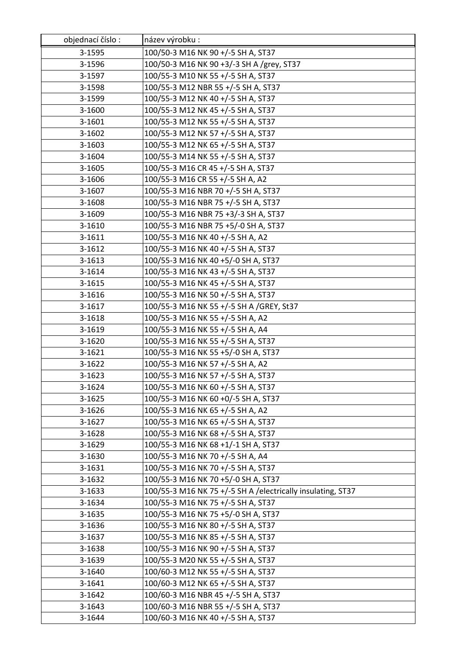| objednací číslo: | název výrobku:                                                           |
|------------------|--------------------------------------------------------------------------|
| 3-1595           | 100/50-3 M16 NK 90 +/-5 SH A, ST37                                       |
| 3-1596           | 100/50-3 M16 NK 90 +3/-3 SH A /grey, ST37                                |
| 3-1597           | 100/55-3 M10 NK 55 +/-5 SH A, ST37                                       |
| 3-1598           | 100/55-3 M12 NBR 55 +/-5 SH A, ST37                                      |
| 3-1599           | 100/55-3 M12 NK 40 +/-5 SH A, ST37                                       |
| 3-1600           | 100/55-3 M12 NK 45 +/-5 SH A, ST37                                       |
| 3-1601           | 100/55-3 M12 NK 55 +/-5 SH A, ST37                                       |
| 3-1602           | 100/55-3 M12 NK 57 +/-5 SH A, ST37                                       |
| 3-1603           | 100/55-3 M12 NK 65 +/-5 SH A, ST37                                       |
| 3-1604           | 100/55-3 M14 NK 55 +/-5 SH A, ST37                                       |
| 3-1605           | 100/55-3 M16 CR 45 +/-5 SH A, ST37                                       |
| 3-1606           | 100/55-3 M16 CR 55 +/-5 SH A, A2                                         |
| 3-1607           | 100/55-3 M16 NBR 70 +/-5 SH A, ST37                                      |
| 3-1608           | 100/55-3 M16 NBR 75 +/-5 SH A, ST37                                      |
| 3-1609           | 100/55-3 M16 NBR 75 +3/-3 SH A, ST37                                     |
| 3-1610           | 100/55-3 M16 NBR 75 +5/-0 SH A, ST37                                     |
| 3-1611           | 100/55-3 M16 NK 40 +/-5 SH A, A2                                         |
| 3-1612           | 100/55-3 M16 NK 40 +/-5 SH A, ST37                                       |
| 3-1613           | 100/55-3 M16 NK 40 +5/-0 SH A, ST37                                      |
| 3-1614           | 100/55-3 M16 NK 43 +/-5 SH A, ST37                                       |
| 3-1615           | 100/55-3 M16 NK 45 +/-5 SH A, ST37                                       |
| 3-1616           | 100/55-3 M16 NK 50 +/-5 SH A, ST37                                       |
| 3-1617           | 100/55-3 M16 NK 55 +/-5 SH A /GREY, St37                                 |
| 3-1618           | 100/55-3 M16 NK 55 +/-5 SH A, A2                                         |
| 3-1619           | 100/55-3 M16 NK 55 +/-5 SH A, A4                                         |
| 3-1620           | 100/55-3 M16 NK 55 +/-5 SH A, ST37                                       |
| 3-1621           | 100/55-3 M16 NK 55 +5/-0 SH A, ST37                                      |
| 3-1622           | 100/55-3 M16 NK 57 +/-5 SH A, A2                                         |
| 3-1623           | 100/55-3 M16 NK 57 +/-5 SH A, ST37                                       |
| 3-1624           | 100/55-3 M16 NK 60 +/-5 SH A, ST37                                       |
| 3-1625           | 100/55-3 M16 NK 60 +0/-5 SH A, ST37                                      |
| 3-1626           | 100/55-3 M16 NK 65 +/-5 SH A, A2                                         |
| 3-1627           | 100/55-3 M16 NK 65 +/-5 SH A, ST37                                       |
| 3-1628           | 100/55-3 M16 NK 68 +/-5 SH A, ST37                                       |
| 3-1629           | 100/55-3 M16 NK 68 +1/-1 SH A, ST37                                      |
| 3-1630           | 100/55-3 M16 NK 70 +/-5 SH A, A4                                         |
| 3-1631           | 100/55-3 M16 NK 70 +/-5 SH A, ST37                                       |
| 3-1632           | 100/55-3 M16 NK 70 +5/-0 SH A, ST37                                      |
| 3-1633           | 100/55-3 M16 NK 75 +/-5 SH A / electrically insulating, ST37             |
| 3-1634           | 100/55-3 M16 NK 75 +/-5 SH A, ST37                                       |
| 3-1635           | 100/55-3 M16 NK 75 +5/-0 SH A, ST37                                      |
| 3-1636           | 100/55-3 M16 NK 80 +/-5 SH A, ST37                                       |
| 3-1637           | 100/55-3 M16 NK 85 +/-5 SH A, ST37<br>100/55-3 M16 NK 90 +/-5 SH A, ST37 |
| 3-1638           |                                                                          |
| 3-1639           | 100/55-3 M20 NK 55 +/-5 SH A, ST37                                       |
| 3-1640           | 100/60-3 M12 NK 55 +/-5 SH A, ST37                                       |
| 3-1641           | 100/60-3 M12 NK 65 +/-5 SH A, ST37                                       |
| 3-1642           | 100/60-3 M16 NBR 45 +/-5 SH A, ST37                                      |
| 3-1643<br>3-1644 | 100/60-3 M16 NBR 55 +/-5 SH A, ST37                                      |
|                  | 100/60-3 M16 NK 40 +/-5 SH A, ST37                                       |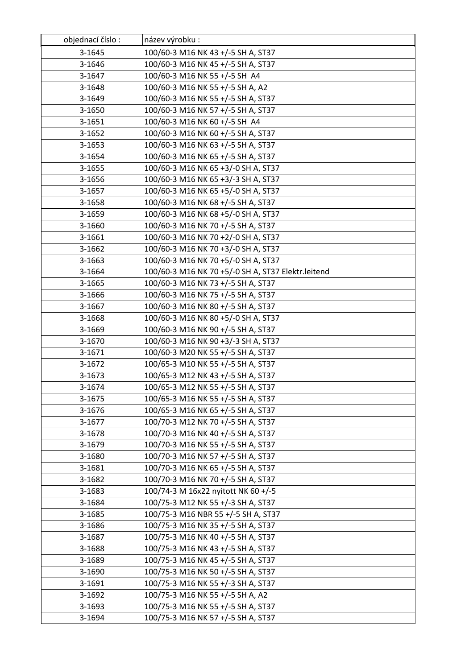| objednací číslo: | název výrobku :                                    |
|------------------|----------------------------------------------------|
| 3-1645           | 100/60-3 M16 NK 43 +/-5 SH A, ST37                 |
| 3-1646           | 100/60-3 M16 NK 45 +/-5 SH A, ST37                 |
| 3-1647           | 100/60-3 M16 NK 55 +/-5 SH A4                      |
| 3-1648           | 100/60-3 M16 NK 55 +/-5 SH A, A2                   |
| 3-1649           | 100/60-3 M16 NK 55 +/-5 SH A, ST37                 |
| 3-1650           | 100/60-3 M16 NK 57 +/-5 SH A, ST37                 |
| 3-1651           | 100/60-3 M16 NK 60 +/-5 SH A4                      |
| 3-1652           | 100/60-3 M16 NK 60 +/-5 SH A, ST37                 |
| 3-1653           | 100/60-3 M16 NK 63 +/-5 SH A, ST37                 |
| 3-1654           | 100/60-3 M16 NK 65 +/-5 SH A, ST37                 |
| 3-1655           | 100/60-3 M16 NK 65 +3/-0 SH A, ST37                |
| 3-1656           | 100/60-3 M16 NK 65 +3/-3 SH A, ST37                |
| 3-1657           | 100/60-3 M16 NK 65 +5/-0 SH A, ST37                |
| 3-1658           | 100/60-3 M16 NK 68 +/-5 SH A, ST37                 |
| 3-1659           | 100/60-3 M16 NK 68 +5/-0 SH A, ST37                |
| 3-1660           | 100/60-3 M16 NK 70 +/-5 SH A, ST37                 |
| 3-1661           | 100/60-3 M16 NK 70 +2/-0 SH A, ST37                |
| 3-1662           | 100/60-3 M16 NK 70 +3/-0 SH A, ST37                |
| 3-1663           | 100/60-3 M16 NK 70 +5/-0 SH A, ST37                |
| 3-1664           | 100/60-3 M16 NK 70 +5/-0 SH A, ST37 Elektr.leitend |
| 3-1665           | 100/60-3 M16 NK 73 +/-5 SH A, ST37                 |
| 3-1666           | 100/60-3 M16 NK 75 +/-5 SH A, ST37                 |
| 3-1667           | 100/60-3 M16 NK 80 +/-5 SH A, ST37                 |
| 3-1668           | 100/60-3 M16 NK 80 +5/-0 SH A, ST37                |
| 3-1669           | 100/60-3 M16 NK 90 +/-5 SH A, ST37                 |
| 3-1670           | 100/60-3 M16 NK 90 +3/-3 SH A, ST37                |
| 3-1671           | 100/60-3 M20 NK 55 +/-5 SH A, ST37                 |
| 3-1672           | 100/65-3 M10 NK 55 +/-5 SH A, ST37                 |
| 3-1673           | 100/65-3 M12 NK 43 +/-5 SH A, ST37                 |
| 3-1674           | 100/65-3 M12 NK 55 +/-5 SH A, ST37                 |
| 3-1675           | 100/65-3 M16 NK 55 +/-5 SH A, ST37                 |
| 3-1676           | 100/65-3 M16 NK 65 +/-5 SH A, ST37                 |
| 3-1677           | 100/70-3 M12 NK 70 +/-5 SH A, ST37                 |
| 3-1678           | 100/70-3 M16 NK 40 +/-5 SH A, ST37                 |
| 3-1679           | 100/70-3 M16 NK 55 +/-5 SH A, ST37                 |
| 3-1680           | 100/70-3 M16 NK 57 +/-5 SH A, ST37                 |
| 3-1681           | 100/70-3 M16 NK 65 +/-5 SH A, ST37                 |
| 3-1682           | 100/70-3 M16 NK 70 +/-5 SH A, ST37                 |
| 3-1683           | 100/74-3 M 16x22 nyitott NK 60 +/-5                |
| 3-1684           | 100/75-3 M12 NK 55 +/-3 SH A, ST37                 |
| 3-1685           | 100/75-3 M16 NBR 55 +/-5 SH A, ST37                |
| 3-1686           | 100/75-3 M16 NK 35 +/-5 SH A, ST37                 |
| 3-1687           | 100/75-3 M16 NK 40 +/-5 SH A, ST37                 |
| 3-1688           | 100/75-3 M16 NK 43 +/-5 SH A, ST37                 |
| 3-1689           | 100/75-3 M16 NK 45 +/-5 SH A, ST37                 |
| 3-1690           | 100/75-3 M16 NK 50 +/-5 SH A, ST37                 |
| 3-1691           | 100/75-3 M16 NK 55 +/-3 SH A, ST37                 |
| 3-1692           | 100/75-3 M16 NK 55 +/-5 SH A, A2                   |
| 3-1693           | 100/75-3 M16 NK 55 +/-5 SH A, ST37                 |
| 3-1694           | 100/75-3 M16 NK 57 +/-5 SH A, ST37                 |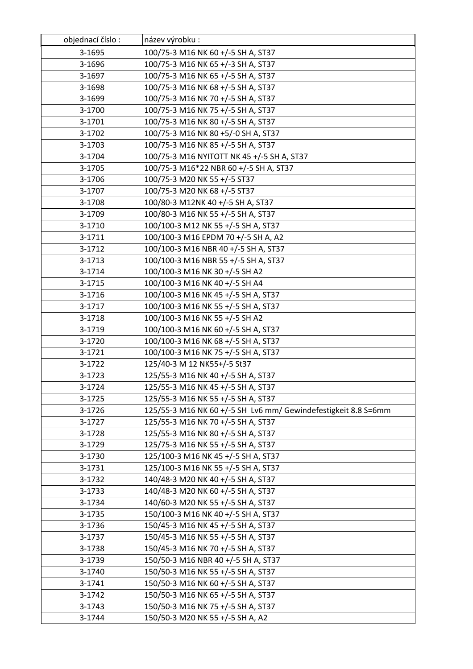| objednací číslo: | název výrobku :                                                |
|------------------|----------------------------------------------------------------|
| 3-1695           | 100/75-3 M16 NK 60 +/-5 SH A, ST37                             |
| 3-1696           | 100/75-3 M16 NK 65 +/-3 SH A, ST37                             |
| 3-1697           | 100/75-3 M16 NK 65 +/-5 SH A, ST37                             |
| 3-1698           | 100/75-3 M16 NK 68 +/-5 SH A, ST37                             |
| 3-1699           | 100/75-3 M16 NK 70 +/-5 SH A, ST37                             |
| 3-1700           | 100/75-3 M16 NK 75 +/-5 SH A, ST37                             |
| 3-1701           | 100/75-3 M16 NK 80 +/-5 SH A, ST37                             |
| 3-1702           | 100/75-3 M16 NK 80 +5/-0 SH A, ST37                            |
| 3-1703           | 100/75-3 M16 NK 85 +/-5 SH A, ST37                             |
| 3-1704           | 100/75-3 M16 NYITOTT NK 45 +/-5 SH A, ST37                     |
| 3-1705           | 100/75-3 M16*22 NBR 60 +/-5 SH A, ST37                         |
| 3-1706           | 100/75-3 M20 NK 55 +/-5 ST37                                   |
| 3-1707           | 100/75-3 M20 NK 68 +/-5 ST37                                   |
| 3-1708           | 100/80-3 M12NK 40 +/-5 SH A, ST37                              |
| 3-1709           | 100/80-3 M16 NK 55 +/-5 SH A, ST37                             |
| 3-1710           | 100/100-3 M12 NK 55 +/-5 SH A, ST37                            |
| 3-1711           | 100/100-3 M16 EPDM 70 +/-5 SH A, A2                            |
| 3-1712           | 100/100-3 M16 NBR 40 +/-5 SH A, ST37                           |
| 3-1713           | 100/100-3 M16 NBR 55 +/-5 SH A, ST37                           |
| 3-1714           | 100/100-3 M16 NK 30 +/-5 SH A2                                 |
| 3-1715           | 100/100-3 M16 NK 40 +/-5 SH A4                                 |
| 3-1716           | 100/100-3 M16 NK 45 +/-5 SH A, ST37                            |
| 3-1717           | 100/100-3 M16 NK 55 +/-5 SH A, ST37                            |
| 3-1718           | 100/100-3 M16 NK 55 +/-5 SH A2                                 |
| 3-1719           | 100/100-3 M16 NK 60 +/-5 SH A, ST37                            |
| 3-1720           | 100/100-3 M16 NK 68 +/-5 SH A, ST37                            |
| 3-1721           | 100/100-3 M16 NK 75 +/-5 SH A, ST37                            |
| 3-1722           | 125/40-3 M 12 NK55+/-5 St37                                    |
| 3-1723           | 125/55-3 M16 NK 40 +/-5 SH A, ST37                             |
| 3-1724           | 125/55-3 M16 NK 45 +/-5 SH A, ST37                             |
| 3-1725           | 125/55-3 M16 NK 55 +/-5 SH A, ST37                             |
| 3-1726           | 125/55-3 M16 NK 60 +/-5 SH Lv6 mm/ Gewindefestigkeit 8.8 S=6mm |
| 3-1727           | 125/55-3 M16 NK 70 +/-5 SH A, ST37                             |
| 3-1728           | 125/55-3 M16 NK 80 +/-5 SH A, ST37                             |
| 3-1729           | 125/75-3 M16 NK 55 +/-5 SH A, ST37                             |
| 3-1730           | 125/100-3 M16 NK 45 +/-5 SH A, ST37                            |
| 3-1731           | 125/100-3 M16 NK 55 +/-5 SH A, ST37                            |
| 3-1732           | 140/48-3 M20 NK 40 +/-5 SH A, ST37                             |
| 3-1733           | 140/48-3 M20 NK 60 +/-5 SH A, ST37                             |
| 3-1734           | 140/60-3 M20 NK 55 +/-5 SH A, ST37                             |
| 3-1735           | 150/100-3 M16 NK 40 +/-5 SH A, ST37                            |
| 3-1736           | 150/45-3 M16 NK 45 +/-5 SH A, ST37                             |
| 3-1737           | 150/45-3 M16 NK 55 +/-5 SH A, ST37                             |
| 3-1738           | 150/45-3 M16 NK 70 +/-5 SH A, ST37                             |
| 3-1739           | 150/50-3 M16 NBR 40 +/-5 SH A, ST37                            |
| 3-1740           | 150/50-3 M16 NK 55 +/-5 SH A, ST37                             |
| 3-1741           | 150/50-3 M16 NK 60 +/-5 SH A, ST37                             |
| 3-1742           | 150/50-3 M16 NK 65 +/-5 SH A, ST37                             |
| 3-1743           | 150/50-3 M16 NK 75 +/-5 SH A, ST37                             |
| 3-1744           | 150/50-3 M20 NK 55 +/-5 SH A, A2                               |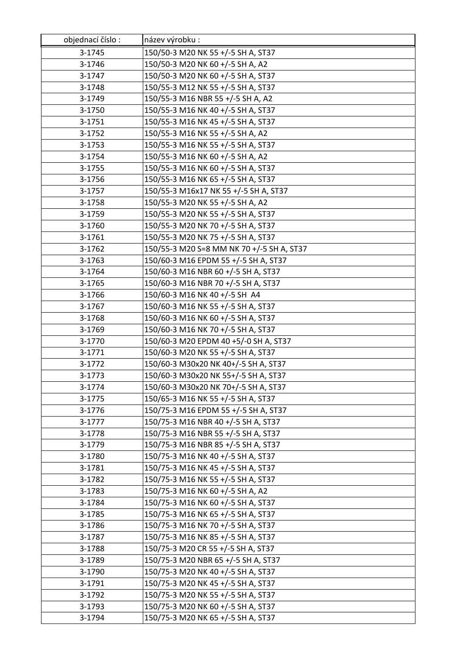| objednací číslo: | název výrobku:                            |
|------------------|-------------------------------------------|
| 3-1745           | 150/50-3 M20 NK 55 +/-5 SH A, ST37        |
| 3-1746           | 150/50-3 M20 NK 60 +/-5 SH A, A2          |
| 3-1747           | 150/50-3 M20 NK 60 +/-5 SH A, ST37        |
| 3-1748           | 150/55-3 M12 NK 55 +/-5 SH A, ST37        |
| 3-1749           | 150/55-3 M16 NBR 55 +/-5 SH A, A2         |
| 3-1750           | 150/55-3 M16 NK 40 +/-5 SH A, ST37        |
| 3-1751           | 150/55-3 M16 NK 45 +/-5 SH A, ST37        |
| 3-1752           | 150/55-3 M16 NK 55 +/-5 SH A, A2          |
| 3-1753           | 150/55-3 M16 NK 55 +/-5 SH A, ST37        |
| 3-1754           | 150/55-3 M16 NK 60 +/-5 SH A, A2          |
| 3-1755           | 150/55-3 M16 NK 60 +/-5 SH A, ST37        |
| 3-1756           | 150/55-3 M16 NK 65 +/-5 SH A, ST37        |
| 3-1757           | 150/55-3 M16x17 NK 55 +/-5 SH A, ST37     |
| 3-1758           | 150/55-3 M20 NK 55 +/-5 SH A, A2          |
| 3-1759           | 150/55-3 M20 NK 55 +/-5 SH A, ST37        |
| 3-1760           | 150/55-3 M20 NK 70 +/-5 SH A, ST37        |
| 3-1761           | 150/55-3 M20 NK 75 +/-5 SH A, ST37        |
| 3-1762           | 150/55-3 M20 S=8 MM NK 70 +/-5 SH A, ST37 |
| 3-1763           | 150/60-3 M16 EPDM 55 +/-5 SH A, ST37      |
| 3-1764           | 150/60-3 M16 NBR 60 +/-5 SH A, ST37       |
| 3-1765           | 150/60-3 M16 NBR 70 +/-5 SH A, ST37       |
| 3-1766           | 150/60-3 M16 NK 40 +/-5 SH A4             |
| 3-1767           | 150/60-3 M16 NK 55 +/-5 SH A, ST37        |
| 3-1768           | 150/60-3 M16 NK 60 +/-5 SH A, ST37        |
| 3-1769           | 150/60-3 M16 NK 70 +/-5 SH A, ST37        |
| 3-1770           | 150/60-3 M20 EPDM 40 +5/-0 SH A, ST37     |
| 3-1771           | 150/60-3 M20 NK 55 +/-5 SH A, ST37        |
| 3-1772           | 150/60-3 M30x20 NK 40+/-5 SH A, ST37      |
| 3-1773           | 150/60-3 M30x20 NK 55+/-5 SH A, ST37      |
| 3-1774           | 150/60-3 M30x20 NK 70+/-5 SH A, ST37      |
| 3-1775           | 150/65-3 M16 NK 55 +/-5 SH A, ST37        |
| 3-1776           | 150/75-3 M16 EPDM 55 +/-5 SH A, ST37      |
| 3-1777           | 150/75-3 M16 NBR 40 +/-5 SH A, ST37       |
| 3-1778           | 150/75-3 M16 NBR 55 +/-5 SH A, ST37       |
| 3-1779           | 150/75-3 M16 NBR 85 +/-5 SH A, ST37       |
| 3-1780           | 150/75-3 M16 NK 40 +/-5 SH A, ST37        |
| 3-1781           | 150/75-3 M16 NK 45 +/-5 SH A, ST37        |
| 3-1782           | 150/75-3 M16 NK 55 +/-5 SH A, ST37        |
| 3-1783           | 150/75-3 M16 NK 60 +/-5 SH A, A2          |
| 3-1784           | 150/75-3 M16 NK 60 +/-5 SH A, ST37        |
| 3-1785           | 150/75-3 M16 NK 65 +/-5 SH A, ST37        |
| 3-1786           | 150/75-3 M16 NK 70 +/-5 SH A, ST37        |
| 3-1787           | 150/75-3 M16 NK 85 +/-5 SH A, ST37        |
| 3-1788           | 150/75-3 M20 CR 55 +/-5 SH A, ST37        |
| 3-1789           | 150/75-3 M20 NBR 65 +/-5 SH A, ST37       |
| 3-1790           | 150/75-3 M20 NK 40 +/-5 SH A, ST37        |
| 3-1791           | 150/75-3 M20 NK 45 +/-5 SH A, ST37        |
| 3-1792           | 150/75-3 M20 NK 55 +/-5 SH A, ST37        |
| 3-1793           | 150/75-3 M20 NK 60 +/-5 SH A, ST37        |
| 3-1794           | 150/75-3 M20 NK 65 +/-5 SH A, ST37        |